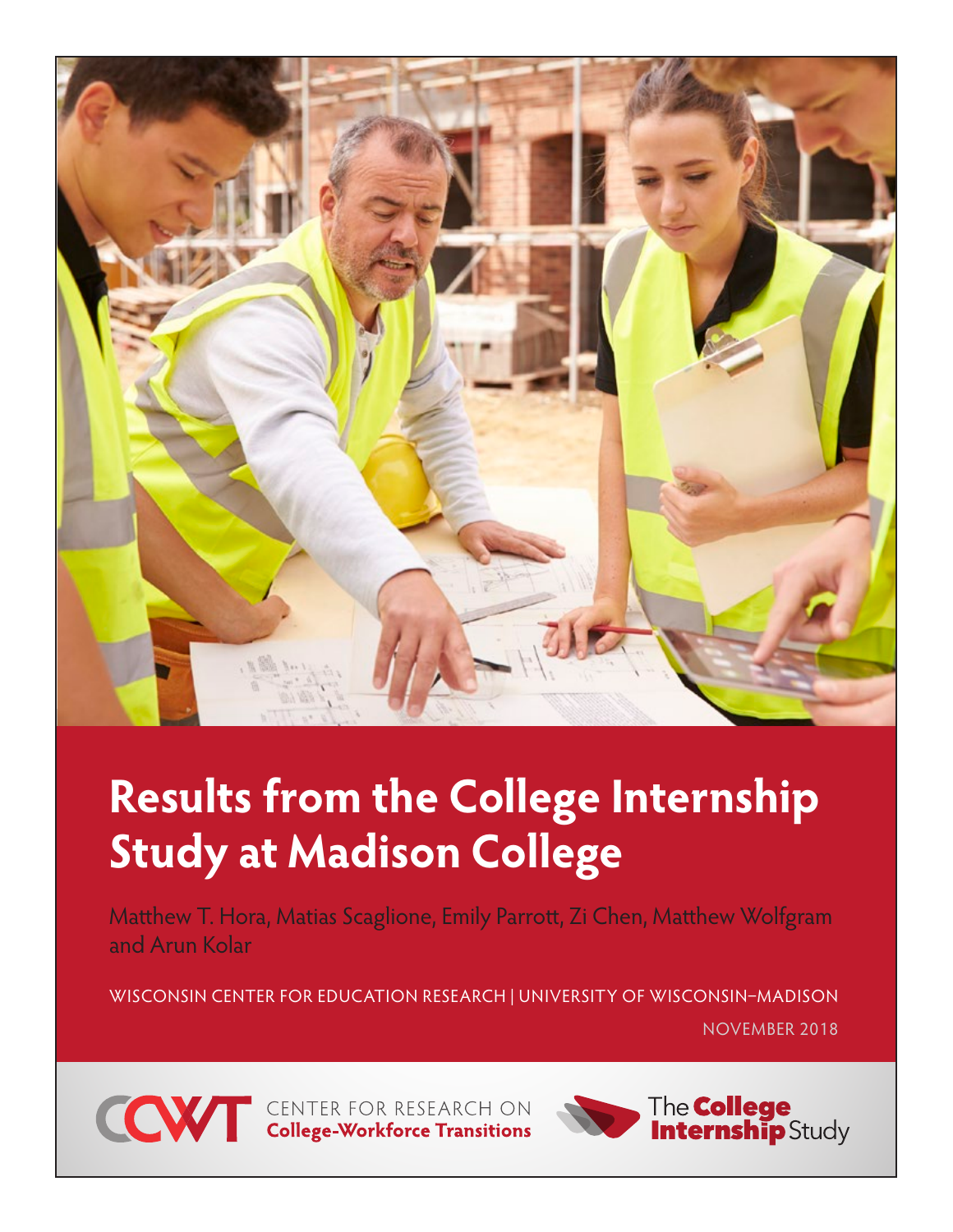

# **Results from the College Internship Study at Madison College**

Matthew T. Hora, Matias Scaglione, Emily Parrott, Zi Chen, Matthew Wolfgram and Arun Kolar

WISCONSIN CENTER FOR EDUCATION RESEARCH | UNIVERSITY OF WISCONSIN–MADISON NOVEMBER 2018



**CONTER FOR RESEARCH ON College-Workforce Transitions** 

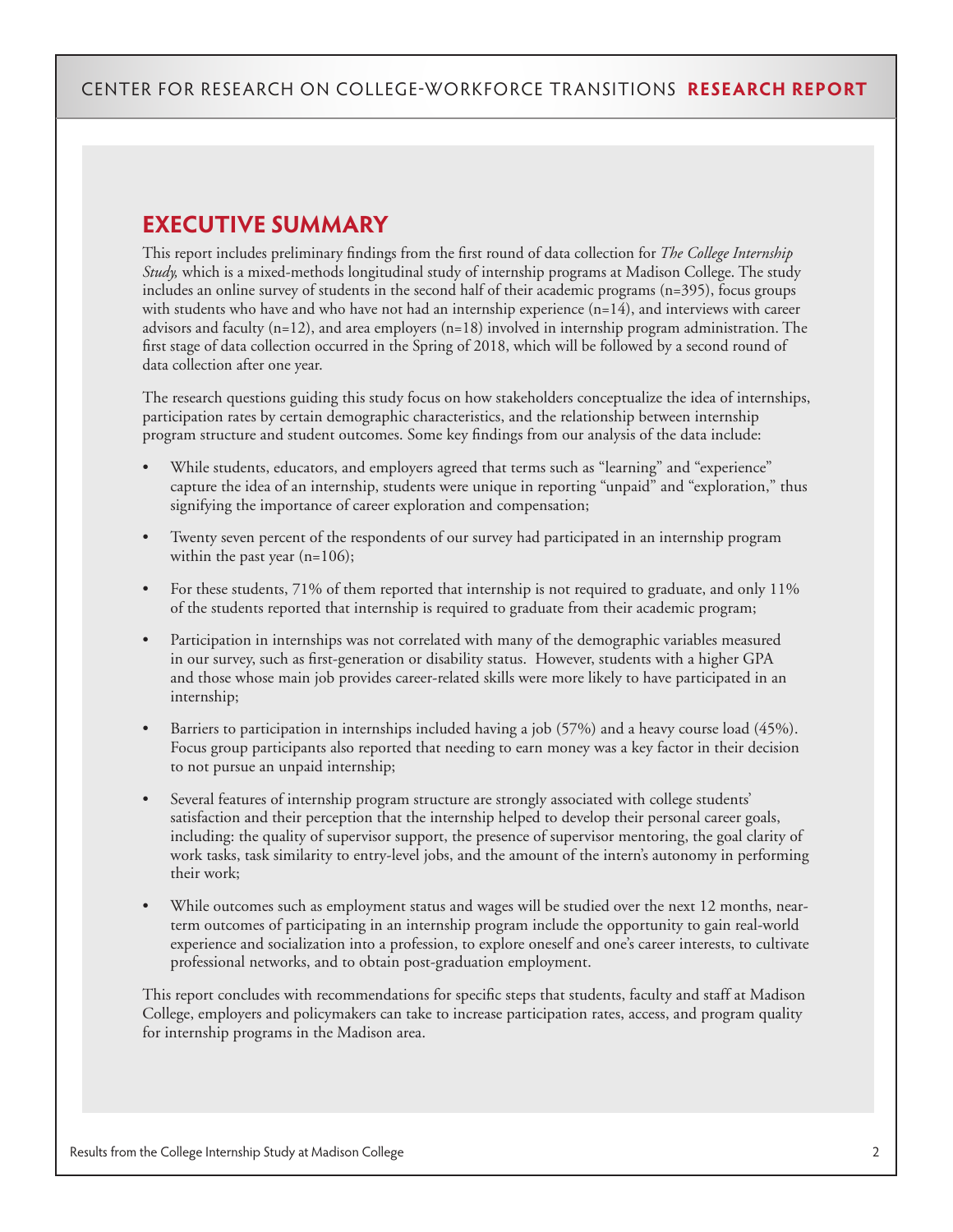# **EXECUTIVE SUMMARY**

This report includes preliminary findings from the first round of data collection for *The College Internship Study,* which is a mixed-methods longitudinal study of internship programs at Madison College. The study includes an online survey of students in the second half of their academic programs (n=395), focus groups with students who have and who have not had an internship experience (n=14), and interviews with career advisors and faculty (n=12), and area employers (n=18) involved in internship program administration. The first stage of data collection occurred in the Spring of 2018, which will be followed by a second round of data collection after one year.

The research questions guiding this study focus on how stakeholders conceptualize the idea of internships, participation rates by certain demographic characteristics, and the relationship between internship program structure and student outcomes. Some key findings from our analysis of the data include:

- While students, educators, and employers agreed that terms such as "learning" and "experience" capture the idea of an internship, students were unique in reporting "unpaid" and "exploration," thus signifying the importance of career exploration and compensation;
- Twenty seven percent of the respondents of our survey had participated in an internship program within the past year (n=106);
- For these students, 71% of them reported that internship is not required to graduate, and only 11% of the students reported that internship is required to graduate from their academic program;
- Participation in internships was not correlated with many of the demographic variables measured in our survey, such as first-generation or disability status. However, students with a higher GPA and those whose main job provides career-related skills were more likely to have participated in an internship;
- Barriers to participation in internships included having a job (57%) and a heavy course load (45%). Focus group participants also reported that needing to earn money was a key factor in their decision to not pursue an unpaid internship;
- Several features of internship program structure are strongly associated with college students' satisfaction and their perception that the internship helped to develop their personal career goals, including: the quality of supervisor support, the presence of supervisor mentoring, the goal clarity of work tasks, task similarity to entry-level jobs, and the amount of the intern's autonomy in performing their work;
- While outcomes such as employment status and wages will be studied over the next 12 months, nearterm outcomes of participating in an internship program include the opportunity to gain real-world experience and socialization into a profession, to explore oneself and one's career interests, to cultivate professional networks, and to obtain post-graduation employment.

This report concludes with recommendations for specific steps that students, faculty and staff at Madison College, employers and policymakers can take to increase participation rates, access, and program quality for internship programs in the Madison area.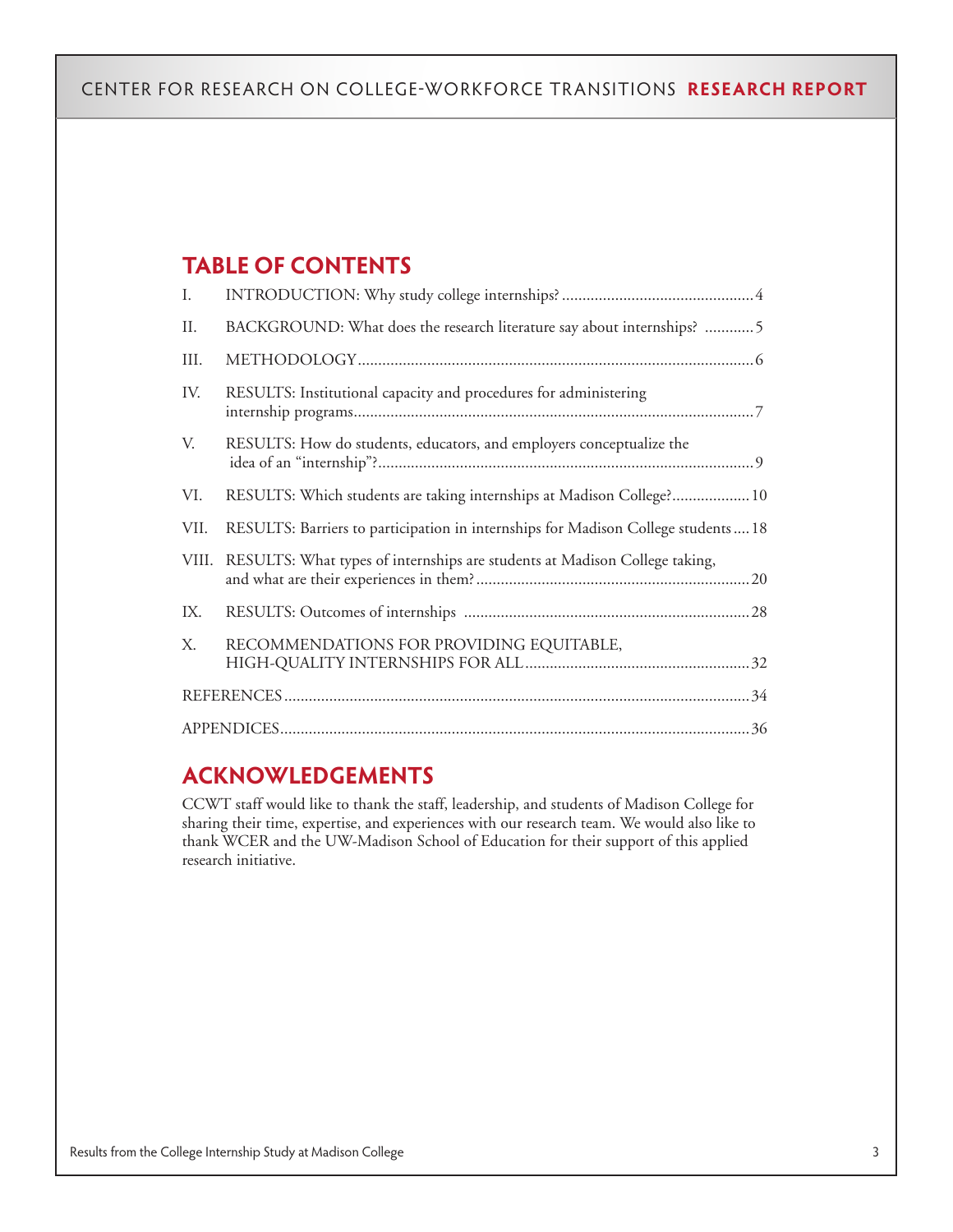# **TABLE OF CONTENTS**

| Ι.    |                                                                                    |
|-------|------------------------------------------------------------------------------------|
| II.   | BACKGROUND: What does the research literature say about internships? 5             |
| III.  |                                                                                    |
| IV.   | RESULTS: Institutional capacity and procedures for administering                   |
| V.    | RESULTS: How do students, educators, and employers conceptualize the               |
| VI.   | RESULTS: Which students are taking internships at Madison College? 10              |
| VII.  | RESULTS: Barriers to participation in internships for Madison College students  18 |
| VIII. | RESULTS: What types of internships are students at Madison College taking,         |
| IX.   |                                                                                    |
| X.    | RECOMMENDATIONS FOR PROVIDING EQUITABLE,                                           |
|       |                                                                                    |
|       |                                                                                    |

# **ACKNOWLEDGEMENTS**

CCWT staff would like to thank the staff, leadership, and students of Madison College for sharing their time, expertise, and experiences with our research team. We would also like to thank WCER and the UW-Madison School of Education for their support of this applied research initiative.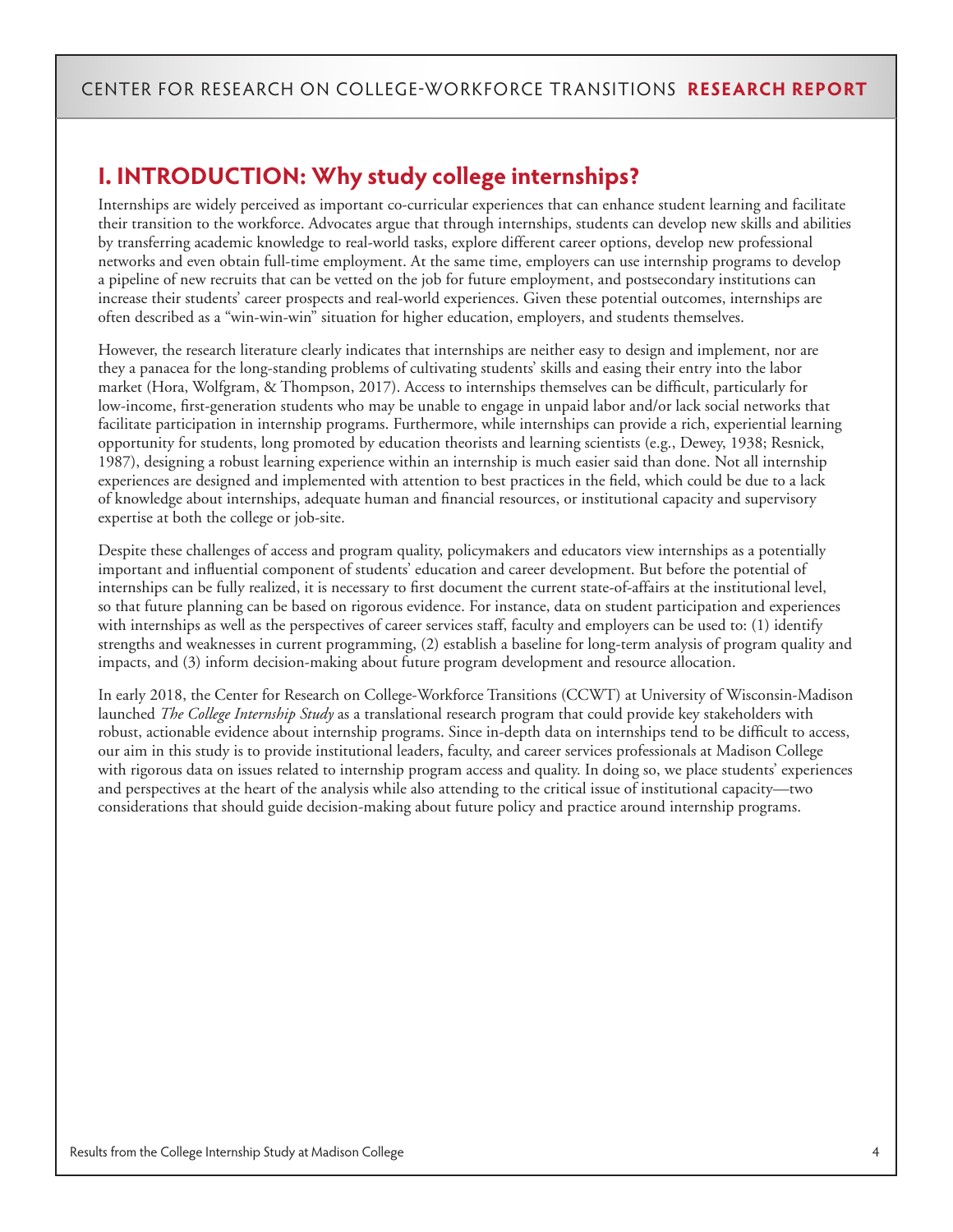# **I. INTRODUCTION: Why study college internships?**

Internships are widely perceived as important co-curricular experiences that can enhance student learning and facilitate their transition to the workforce. Advocates argue that through internships, students can develop new skills and abilities by transferring academic knowledge to real-world tasks, explore different career options, develop new professional networks and even obtain full-time employment. At the same time, employers can use internship programs to develop a pipeline of new recruits that can be vetted on the job for future employment, and postsecondary institutions can increase their students' career prospects and real-world experiences. Given these potential outcomes, internships are often described as a "win-win-win" situation for higher education, employers, and students themselves.

However, the research literature clearly indicates that internships are neither easy to design and implement, nor are they a panacea for the long-standing problems of cultivating students' skills and easing their entry into the labor market (Hora, Wolfgram, & Thompson, 2017). Access to internships themselves can be difficult, particularly for low-income, first-generation students who may be unable to engage in unpaid labor and/or lack social networks that facilitate participation in internship programs. Furthermore, while internships can provide a rich, experiential learning opportunity for students, long promoted by education theorists and learning scientists (e.g., Dewey, 1938; Resnick, 1987), designing a robust learning experience within an internship is much easier said than done. Not all internship experiences are designed and implemented with attention to best practices in the field, which could be due to a lack of knowledge about internships, adequate human and financial resources, or institutional capacity and supervisory expertise at both the college or job-site.

Despite these challenges of access and program quality, policymakers and educators view internships as a potentially important and influential component of students' education and career development. But before the potential of internships can be fully realized, it is necessary to first document the current state-of-affairs at the institutional level, so that future planning can be based on rigorous evidence. For instance, data on student participation and experiences with internships as well as the perspectives of career services staff, faculty and employers can be used to: (1) identify strengths and weaknesses in current programming, (2) establish a baseline for long-term analysis of program quality and impacts, and (3) inform decision-making about future program development and resource allocation.

In early 2018, the Center for Research on College-Workforce Transitions (CCWT) at University of Wisconsin-Madison launched *The College Internship Study* as a translational research program that could provide key stakeholders with robust, actionable evidence about internship programs. Since in-depth data on internships tend to be difficult to access, our aim in this study is to provide institutional leaders, faculty, and career services professionals at Madison College with rigorous data on issues related to internship program access and quality. In doing so, we place students' experiences and perspectives at the heart of the analysis while also attending to the critical issue of institutional capacity—two considerations that should guide decision-making about future policy and practice around internship programs.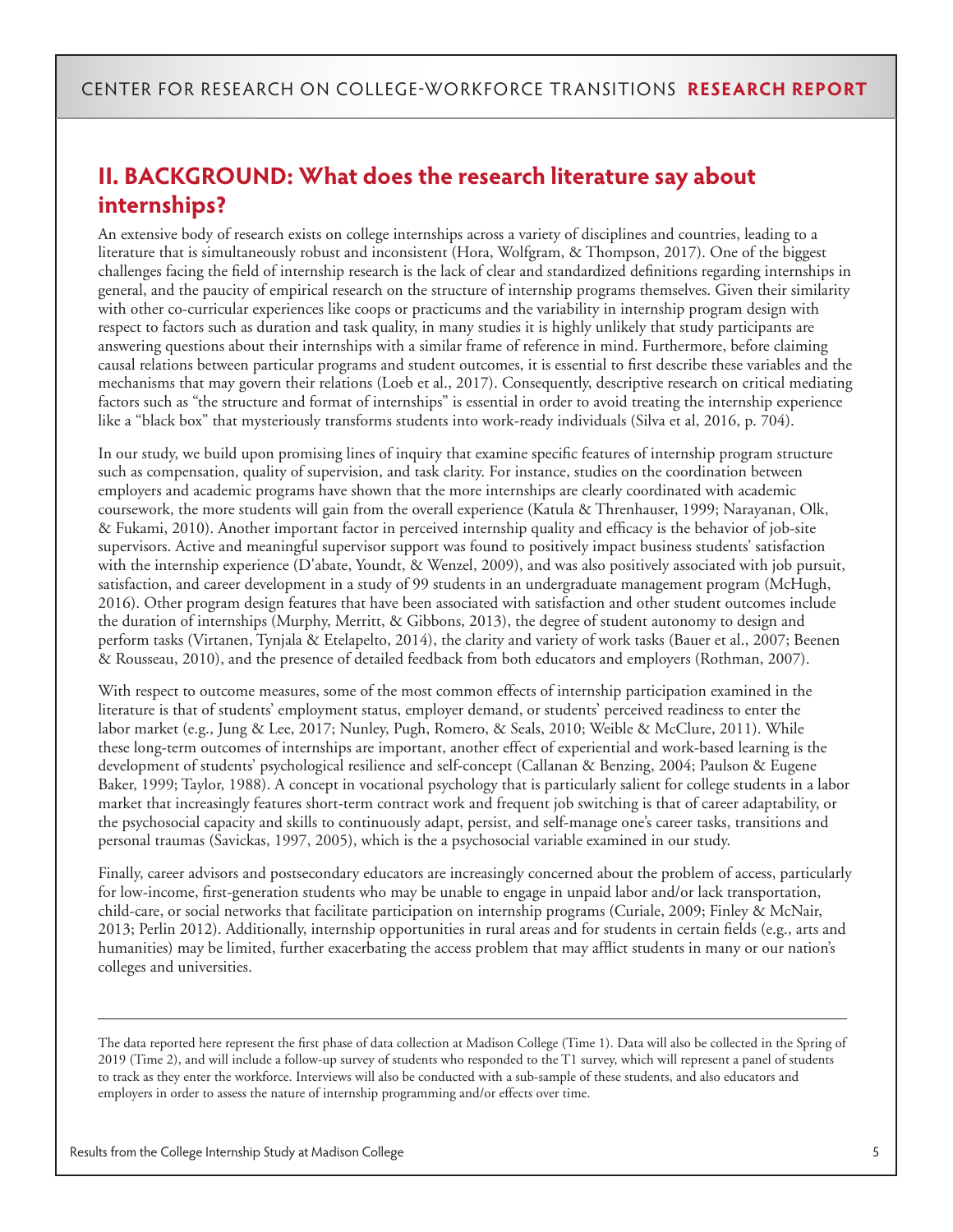# **II. BACKGROUND: What does the research literature say about internships?**

An extensive body of research exists on college internships across a variety of disciplines and countries, leading to a literature that is simultaneously robust and inconsistent (Hora, Wolfgram, & Thompson, 2017). One of the biggest challenges facing the field of internship research is the lack of clear and standardized definitions regarding internships in general, and the paucity of empirical research on the structure of internship programs themselves. Given their similarity with other co-curricular experiences like coops or practicums and the variability in internship program design with respect to factors such as duration and task quality, in many studies it is highly unlikely that study participants are answering questions about their internships with a similar frame of reference in mind. Furthermore, before claiming causal relations between particular programs and student outcomes, it is essential to first describe these variables and the mechanisms that may govern their relations (Loeb et al., 2017). Consequently, descriptive research on critical mediating factors such as "the structure and format of internships" is essential in order to avoid treating the internship experience like a "black box" that mysteriously transforms students into work-ready individuals (Silva et al, 2016, p. 704).

In our study, we build upon promising lines of inquiry that examine specific features of internship program structure such as compensation, quality of supervision, and task clarity. For instance, studies on the coordination between employers and academic programs have shown that the more internships are clearly coordinated with academic coursework, the more students will gain from the overall experience (Katula & Threnhauser, 1999; Narayanan, Olk, & Fukami, 2010). Another important factor in perceived internship quality and efficacy is the behavior of job-site supervisors. Active and meaningful supervisor support was found to positively impact business students' satisfaction with the internship experience (D'abate, Youndt, & Wenzel, 2009), and was also positively associated with job pursuit, satisfaction, and career development in a study of 99 students in an undergraduate management program (McHugh, 2016). Other program design features that have been associated with satisfaction and other student outcomes include the duration of internships (Murphy, Merritt, & Gibbons, 2013), the degree of student autonomy to design and perform tasks (Virtanen, Tynjala & Etelapelto, 2014), the clarity and variety of work tasks (Bauer et al., 2007; Beenen & Rousseau, 2010), and the presence of detailed feedback from both educators and employers (Rothman, 2007).

With respect to outcome measures, some of the most common effects of internship participation examined in the literature is that of students' employment status, employer demand, or students' perceived readiness to enter the labor market (e.g., Jung & Lee, 2017; Nunley, Pugh, Romero, & Seals, 2010; Weible & McClure, 2011). While these long-term outcomes of internships are important, another effect of experiential and work-based learning is the development of students' psychological resilience and self-concept (Callanan & Benzing, 2004; Paulson & Eugene Baker, 1999; Taylor, 1988). A concept in vocational psychology that is particularly salient for college students in a labor market that increasingly features short-term contract work and frequent job switching is that of career adaptability, or the psychosocial capacity and skills to continuously adapt, persist, and self-manage one's career tasks, transitions and personal traumas (Savickas, 1997, 2005), which is the a psychosocial variable examined in our study.

Finally, career advisors and postsecondary educators are increasingly concerned about the problem of access, particularly for low-income, first-generation students who may be unable to engage in unpaid labor and/or lack transportation, child-care, or social networks that facilitate participation on internship programs (Curiale, 2009; Finley & McNair, 2013; Perlin 2012). Additionally, internship opportunities in rural areas and for students in certain fields (e.g., arts and humanities) may be limited, further exacerbating the access problem that may afflict students in many or our nation's colleges and universities.

The data reported here represent the first phase of data collection at Madison College (Time 1). Data will also be collected in the Spring of 2019 (Time 2), and will include a follow-up survey of students who responded to the T1 survey, which will represent a panel of students to track as they enter the workforce. Interviews will also be conducted with a sub-sample of these students, and also educators and employers in order to assess the nature of internship programming and/or effects over time.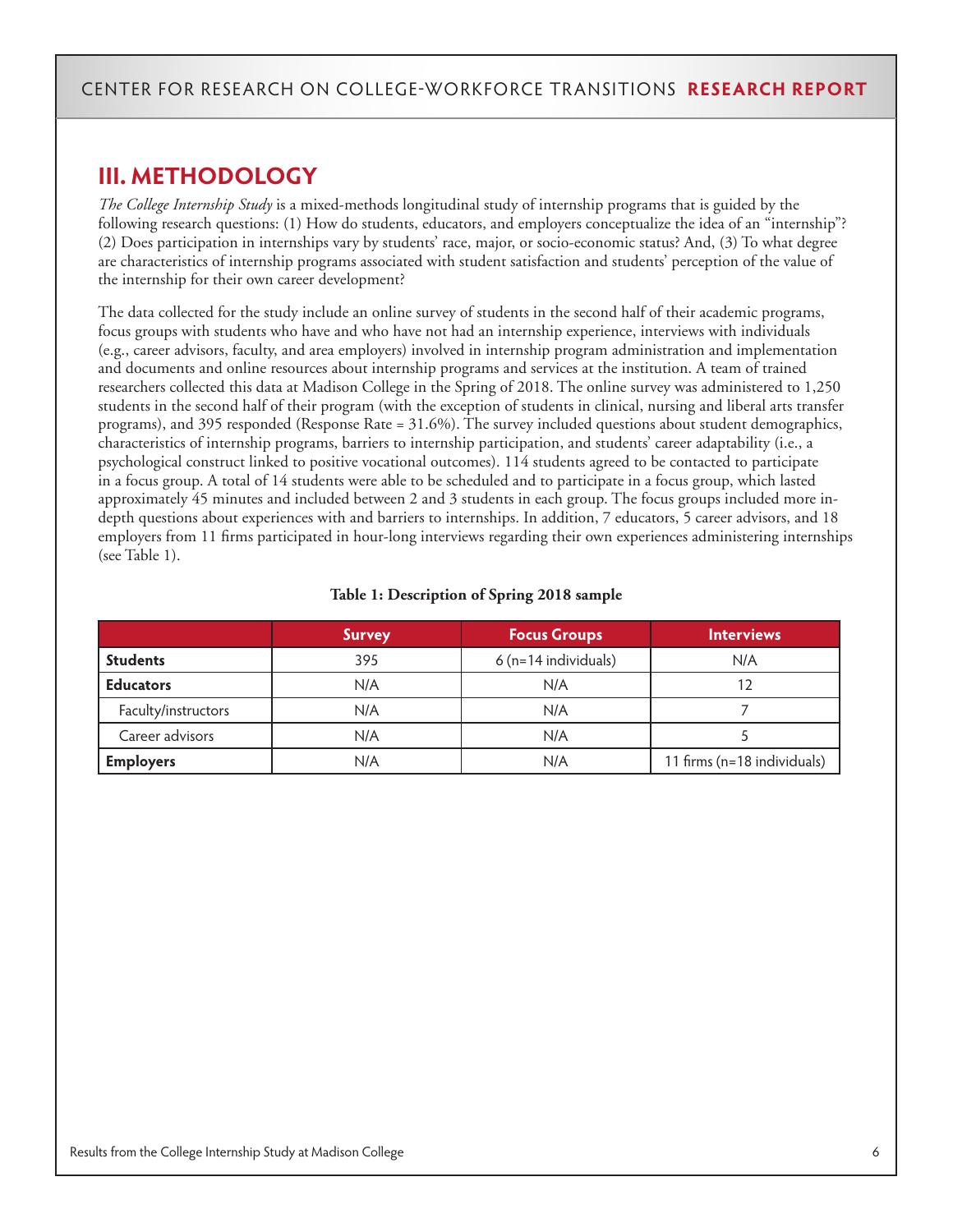# **III. METHODOLOGY**

*The College Internship Study* is a mixed-methods longitudinal study of internship programs that is guided by the following research questions: (1) How do students, educators, and employers conceptualize the idea of an "internship"? (2) Does participation in internships vary by students' race, major, or socio-economic status? And, (3) To what degree are characteristics of internship programs associated with student satisfaction and students' perception of the value of the internship for their own career development?

The data collected for the study include an online survey of students in the second half of their academic programs, focus groups with students who have and who have not had an internship experience, interviews with individuals (e.g., career advisors, faculty, and area employers) involved in internship program administration and implementation and documents and online resources about internship programs and services at the institution. A team of trained researchers collected this data at Madison College in the Spring of 2018. The online survey was administered to 1,250 students in the second half of their program (with the exception of students in clinical, nursing and liberal arts transfer programs), and 395 responded (Response Rate = 31.6%). The survey included questions about student demographics, characteristics of internship programs, barriers to internship participation, and students' career adaptability (i.e., a psychological construct linked to positive vocational outcomes). 114 students agreed to be contacted to participate in a focus group. A total of 14 students were able to be scheduled and to participate in a focus group, which lasted approximately 45 minutes and included between 2 and 3 students in each group. The focus groups included more indepth questions about experiences with and barriers to internships. In addition, 7 educators, 5 career advisors, and 18 employers from 11 firms participated in hour-long interviews regarding their own experiences administering internships (see Table 1).

|  | Table 1: Description of Spring 2018 sample |  |  |  |
|--|--------------------------------------------|--|--|--|
|--|--------------------------------------------|--|--|--|

|                     | <b>Survey</b> | <b>Focus Groups</b>  | <b>Interviews</b>           |
|---------------------|---------------|----------------------|-----------------------------|
| <b>Students</b>     | 395           | 6 (n=14 individuals) | N/A                         |
| <b>Educators</b>    | N/A           | N/A                  |                             |
| Faculty/instructors | N/A           | N/A                  |                             |
| Career advisors     | N/A           | N/A                  |                             |
| <b>Employers</b>    | N/A           | N/A                  | 11 firms (n=18 individuals) |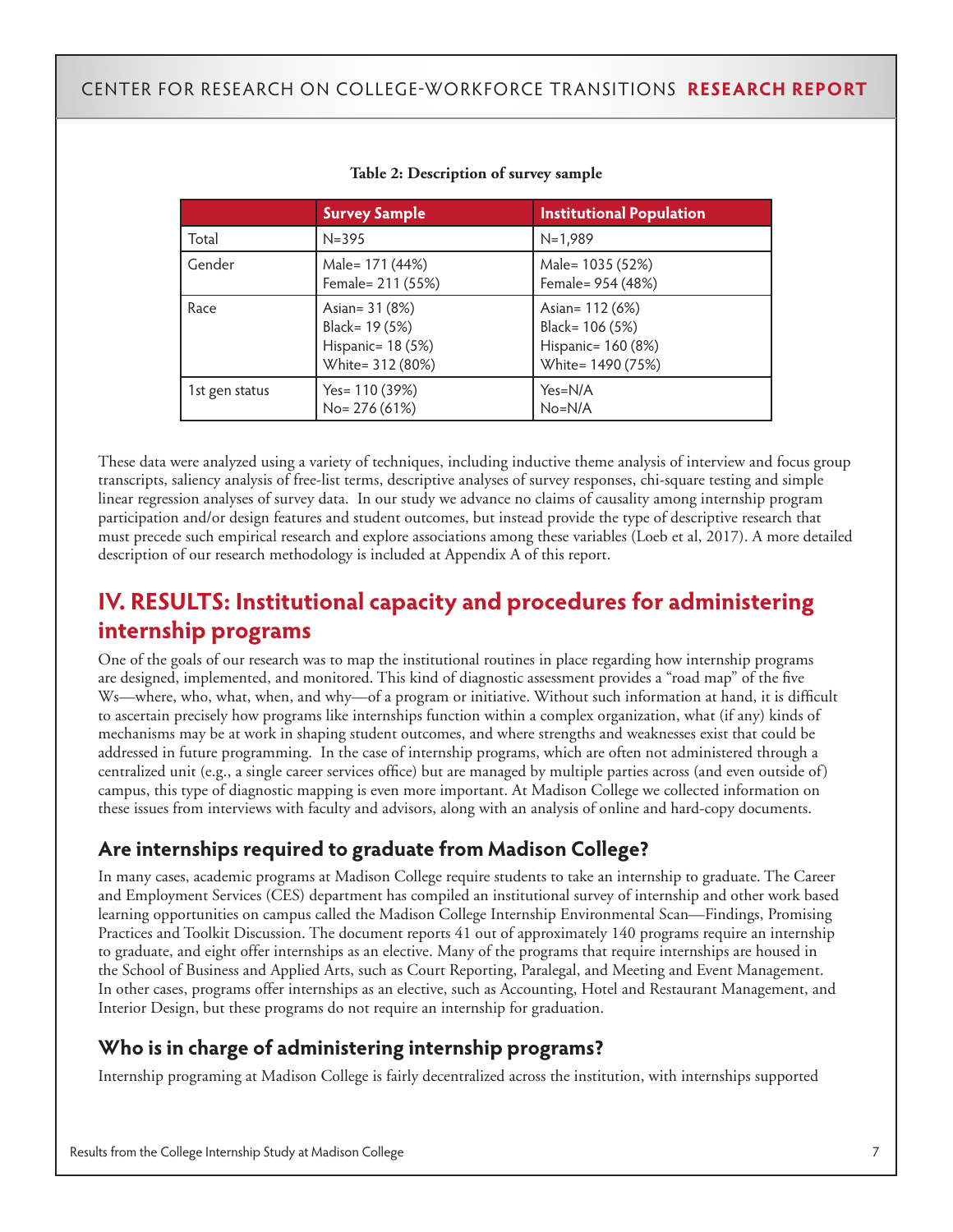|                | <b>Survey Sample</b>                                                      | <b>Institutional Population</b>                                               |
|----------------|---------------------------------------------------------------------------|-------------------------------------------------------------------------------|
| Total          | $N = 395$                                                                 | $N=1,989$                                                                     |
| Gender         | Male= 171 (44%)<br>Female= 211 (55%)                                      | Male= 1035 (52%)<br>Female= 954 (48%)                                         |
| Race           | Asian= 31 (8%)<br>Black= 19 (5%)<br>Hispanic= 18 (5%)<br>White= 312 (80%) | Asian= 112 (6%)<br>Black= 106 (5%)<br>Hispanic= 160 (8%)<br>White= 1490 (75%) |
| 1st gen status | Yes= 110 (39%)<br>No= 276 (61%)                                           | $Yes=N/A$<br>$No=N/A$                                                         |

#### **Table 2: Description of survey sample**

These data were analyzed using a variety of techniques, including inductive theme analysis of interview and focus group transcripts, saliency analysis of free-list terms, descriptive analyses of survey responses, chi-square testing and simple linear regression analyses of survey data. In our study we advance no claims of causality among internship program participation and/or design features and student outcomes, but instead provide the type of descriptive research that must precede such empirical research and explore associations among these variables (Loeb et al, 2017). A more detailed description of our research methodology is included at Appendix A of this report.

# **IV. RESULTS: Institutional capacity and procedures for administering internship programs**

One of the goals of our research was to map the institutional routines in place regarding how internship programs are designed, implemented, and monitored. This kind of diagnostic assessment provides a "road map" of the five Ws—where, who, what, when, and why—of a program or initiative. Without such information at hand, it is difficult to ascertain precisely how programs like internships function within a complex organization, what (if any) kinds of mechanisms may be at work in shaping student outcomes, and where strengths and weaknesses exist that could be addressed in future programming. In the case of internship programs, which are often not administered through a centralized unit (e.g., a single career services office) but are managed by multiple parties across (and even outside of) campus, this type of diagnostic mapping is even more important. At Madison College we collected information on these issues from interviews with faculty and advisors, along with an analysis of online and hard-copy documents.

### **Are internships required to graduate from Madison College?**

In many cases, academic programs at Madison College require students to take an internship to graduate. The Career and Employment Services (CES) department has compiled an institutional survey of internship and other work based learning opportunities on campus called the Madison College Internship Environmental Scan—Findings, Promising Practices and Toolkit Discussion. The document reports 41 out of approximately 140 programs require an internship to graduate, and eight offer internships as an elective. Many of the programs that require internships are housed in the School of Business and Applied Arts, such as Court Reporting, Paralegal, and Meeting and Event Management. In other cases, programs offer internships as an elective, such as Accounting, Hotel and Restaurant Management, and Interior Design, but these programs do not require an internship for graduation.

### **Who is in charge of administering internship programs?**

Internship programing at Madison College is fairly decentralized across the institution, with internships supported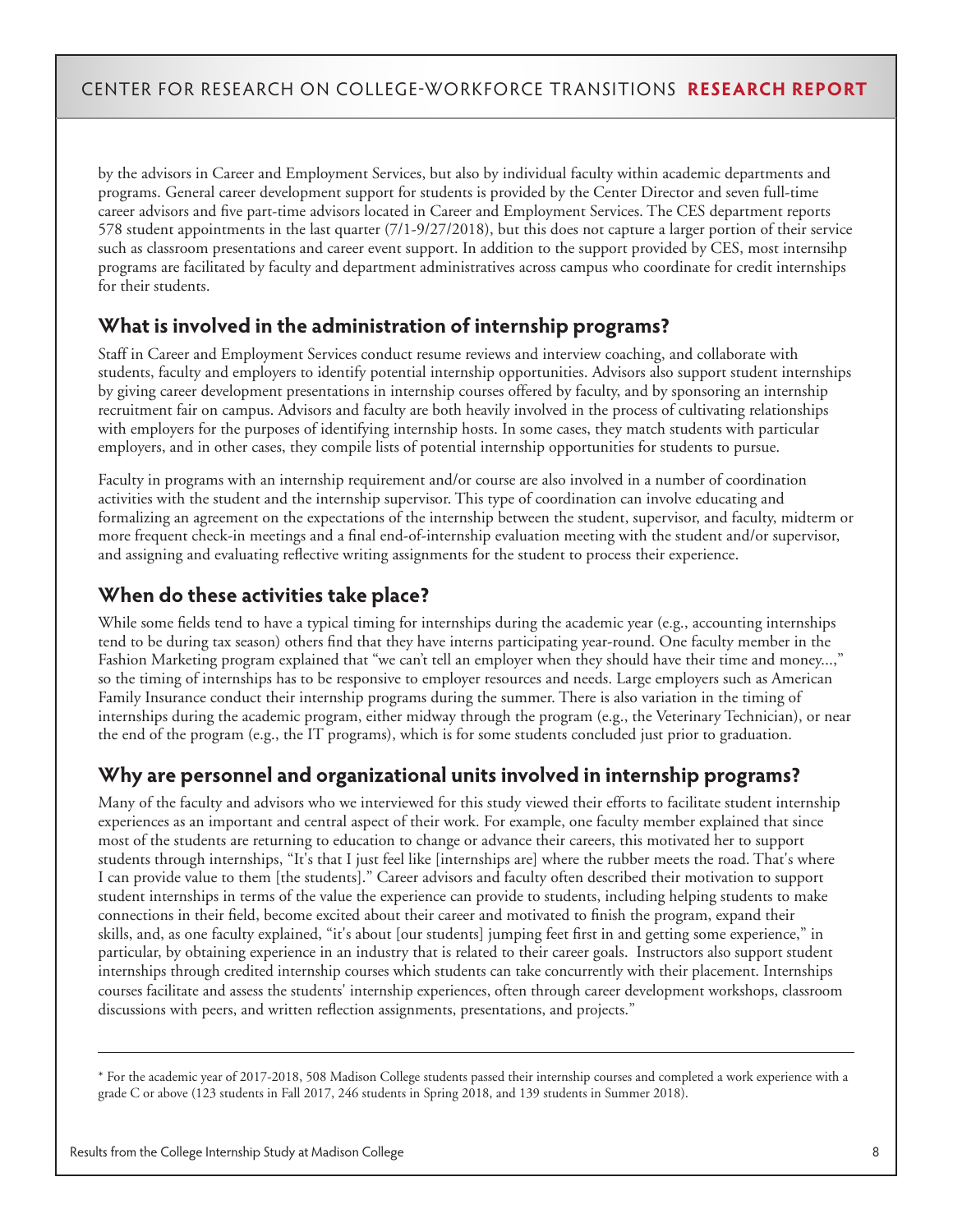by the advisors in Career and Employment Services, but also by individual faculty within academic departments and programs. General career development support for students is provided by the Center Director and seven full-time career advisors and five part-time advisors located in Career and Employment Services. The CES department reports 578 student appointments in the last quarter (7/1-9/27/2018), but this does not capture a larger portion of their service such as classroom presentations and career event support. In addition to the support provided by CES, most internsihp programs are facilitated by faculty and department administratives across campus who coordinate for credit internships for their students.

### **What is involved in the administration of internship programs?**

Staff in Career and Employment Services conduct resume reviews and interview coaching, and collaborate with students, faculty and employers to identify potential internship opportunities. Advisors also support student internships by giving career development presentations in internship courses offered by faculty, and by sponsoring an internship recruitment fair on campus. Advisors and faculty are both heavily involved in the process of cultivating relationships with employers for the purposes of identifying internship hosts. In some cases, they match students with particular employers, and in other cases, they compile lists of potential internship opportunities for students to pursue.

Faculty in programs with an internship requirement and/or course are also involved in a number of coordination activities with the student and the internship supervisor. This type of coordination can involve educating and formalizing an agreement on the expectations of the internship between the student, supervisor, and faculty, midterm or more frequent check-in meetings and a final end-of-internship evaluation meeting with the student and/or supervisor, and assigning and evaluating reflective writing assignments for the student to process their experience.

### **When do these activities take place?**

While some fields tend to have a typical timing for internships during the academic year (e.g., accounting internships tend to be during tax season) others find that they have interns participating year-round. One faculty member in the Fashion Marketing program explained that "we can't tell an employer when they should have their time and money...," so the timing of internships has to be responsive to employer resources and needs. Large employers such as American Family Insurance conduct their internship programs during the summer. There is also variation in the timing of internships during the academic program, either midway through the program (e.g., the Veterinary Technician), or near the end of the program (e.g., the IT programs), which is for some students concluded just prior to graduation.

### **Why are personnel and organizational units involved in internship programs?**

Many of the faculty and advisors who we interviewed for this study viewed their efforts to facilitate student internship experiences as an important and central aspect of their work. For example, one faculty member explained that since most of the students are returning to education to change or advance their careers, this motivated her to support students through internships, "It's that I just feel like [internships are] where the rubber meets the road. That's where I can provide value to them [the students]." Career advisors and faculty often described their motivation to support student internships in terms of the value the experience can provide to students, including helping students to make connections in their field, become excited about their career and motivated to finish the program, expand their skills, and, as one faculty explained, "it's about [our students] jumping feet first in and getting some experience," in particular, by obtaining experience in an industry that is related to their career goals. Instructors also support student internships through credited internship courses which students can take concurrently with their placement. Internships courses facilitate and assess the students' internship experiences, often through career development workshops, classroom discussions with peers, and written reflection assignments, presentations, and projects."

\* For the academic year of 2017-2018, 508 Madison College students passed their internship courses and completed a work experience with a grade C or above (123 students in Fall 2017, 246 students in Spring 2018, and 139 students in Summer 2018).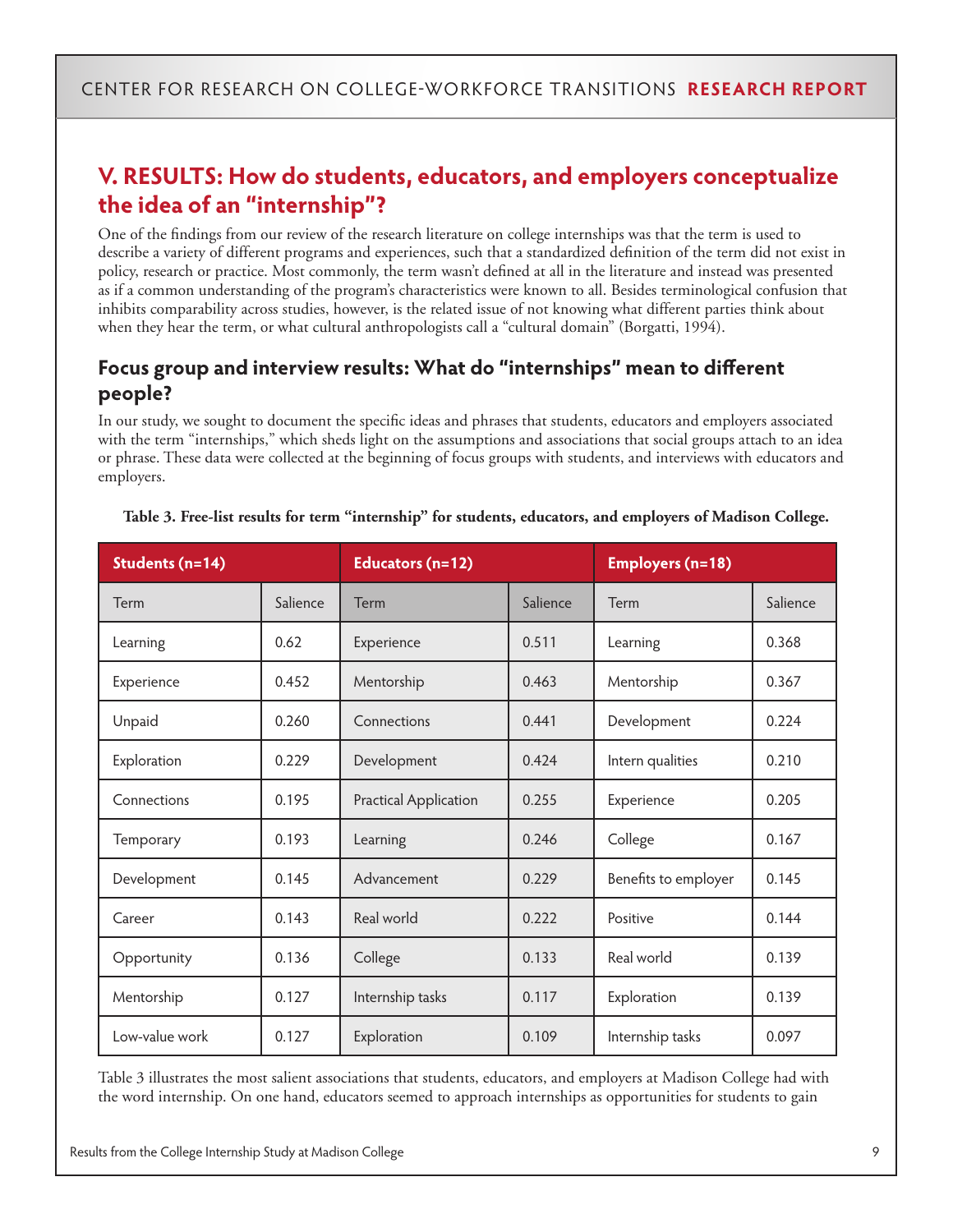# **V. RESULTS: How do students, educators, and employers conceptualize the idea of an "internship"?**

One of the findings from our review of the research literature on college internships was that the term is used to describe a variety of different programs and experiences, such that a standardized definition of the term did not exist in policy, research or practice. Most commonly, the term wasn't defined at all in the literature and instead was presented as if a common understanding of the program's characteristics were known to all. Besides terminological confusion that inhibits comparability across studies, however, is the related issue of not knowing what different parties think about when they hear the term, or what cultural anthropologists call a "cultural domain" (Borgatti, 1994).

### **Focus group and interview results: What do "internships" mean to different people?**

In our study, we sought to document the specific ideas and phrases that students, educators and employers associated with the term "internships," which sheds light on the assumptions and associations that social groups attach to an idea or phrase. These data were collected at the beginning of focus groups with students, and interviews with educators and employers.

| Students (n=14) |          | Educators (n=12)      |          | <b>Employers (n=18)</b> |          |  |
|-----------------|----------|-----------------------|----------|-------------------------|----------|--|
| Term            | Salience | Term                  | Salience | Term                    | Salience |  |
| Learning        | 0.62     | Experience            | 0.511    | Learning                | 0.368    |  |
| Experience      | 0.452    | Mentorship            | 0.463    | Mentorship              | 0.367    |  |
| Unpaid          | 0.260    | Connections           | 0.441    | Development             | 0.224    |  |
| Exploration     | 0.229    | Development           | 0.424    | Intern qualities        | 0.210    |  |
| Connections     | 0.195    | Practical Application | 0.255    | Experience              | 0.205    |  |
| Temporary       | 0.193    | Learning              | 0.246    | College                 | 0.167    |  |
| Development     | 0.145    | Advancement           | 0.229    | Benefits to employer    | 0.145    |  |
| Career          | 0.143    | Real world            | 0.222    | Positive                | 0.144    |  |
| Opportunity     | 0.136    | College               | 0.133    | Real world              | 0.139    |  |
| Mentorship      | 0.127    | Internship tasks      | 0.117    | Exploration             | 0.139    |  |
| Low-value work  | 0.127    | Exploration           | 0.109    | Internship tasks        | 0.097    |  |

#### **Table 3. Free-list results for term "internship" for students, educators, and employers of Madison College.**

Table 3 illustrates the most salient associations that students, educators, and employers at Madison College had with the word internship. On one hand, educators seemed to approach internships as opportunities for students to gain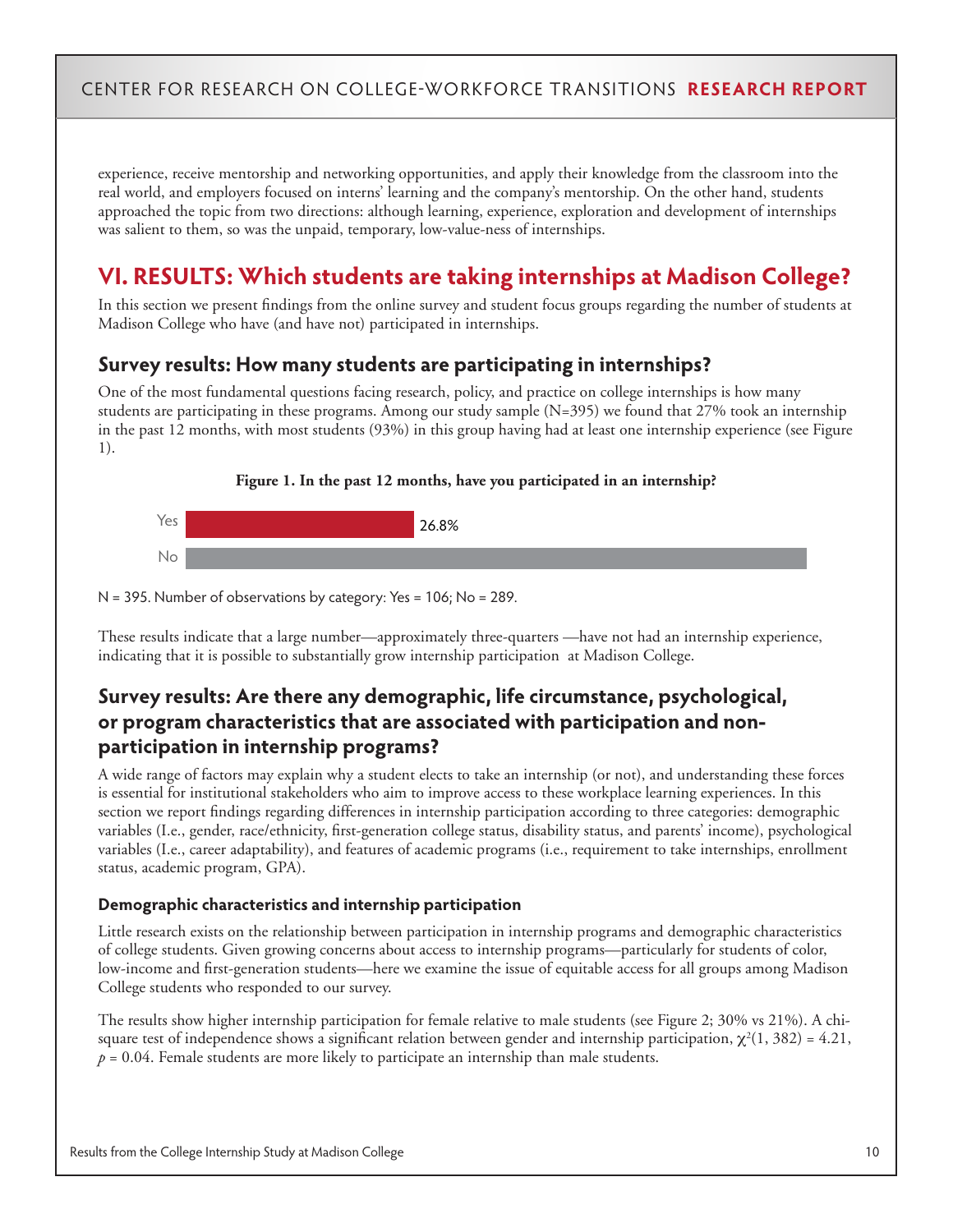experience, receive mentorship and networking opportunities, and apply their knowledge from the classroom into the real world, and employers focused on interns' learning and the company's mentorship. On the other hand, students approached the topic from two directions: although learning, experience, exploration and development of internships was salient to them, so was the unpaid, temporary, low-value-ness of internships.

# **VI. RESULTS: Which students are taking internships at Madison College?**

In this section we present findings from the online survey and student focus groups regarding the number of students at Madison College who have (and have not) participated in internships.

#### **Survey results: How many students are participating in internships?**

One of the most fundamental questions facing research, policy, and practice on college internships is how many students are participating in these programs. Among our study sample (N=395) we found that 27% took an internship in the past 12 months, with most students (93%) in this group having had at least one internship experience (see Figure 1).



#### **Figure 1. In the past 12 months, have you participated in an internship?**

N = 395. Number of observations by category: Yes = 106; No = 289.

These results indicate that a large number—approximately three-quarters —have not had an internship experience, indicating that it is possible to substantially grow internship participation at Madison College.

### **Survey results: Are there any demographic, life circumstance, psychological, or program characteristics that are associated with participation and nonparticipation in internship programs?**

A wide range of factors may explain why a student elects to take an internship (or not), and understanding these forces is essential for institutional stakeholders who aim to improve access to these workplace learning experiences. In this section we report findings regarding differences in internship participation according to three categories: demographic variables (I.e., gender, race/ethnicity, first-generation college status, disability status, and parents' income), psychological variables (I.e., career adaptability), and features of academic programs (i.e., requirement to take internships, enrollment status, academic program, GPA).

#### **Demographic characteristics and internship participation**

Little research exists on the relationship between participation in internship programs and demographic characteristics of college students. Given growing concerns about access to internship programs—particularly for students of color, low-income and first-generation students—here we examine the issue of equitable access for all groups among Madison College students who responded to our survey.

The results show higher internship participation for female relative to male students (see Figure 2; 30% vs 21%). A chisquare test of independence shows a significant relation between gender and internship participation,  $\chi^2(1, 382) = 4.21$ ,  $p = 0.04$ . Female students are more likely to participate an internship than male students.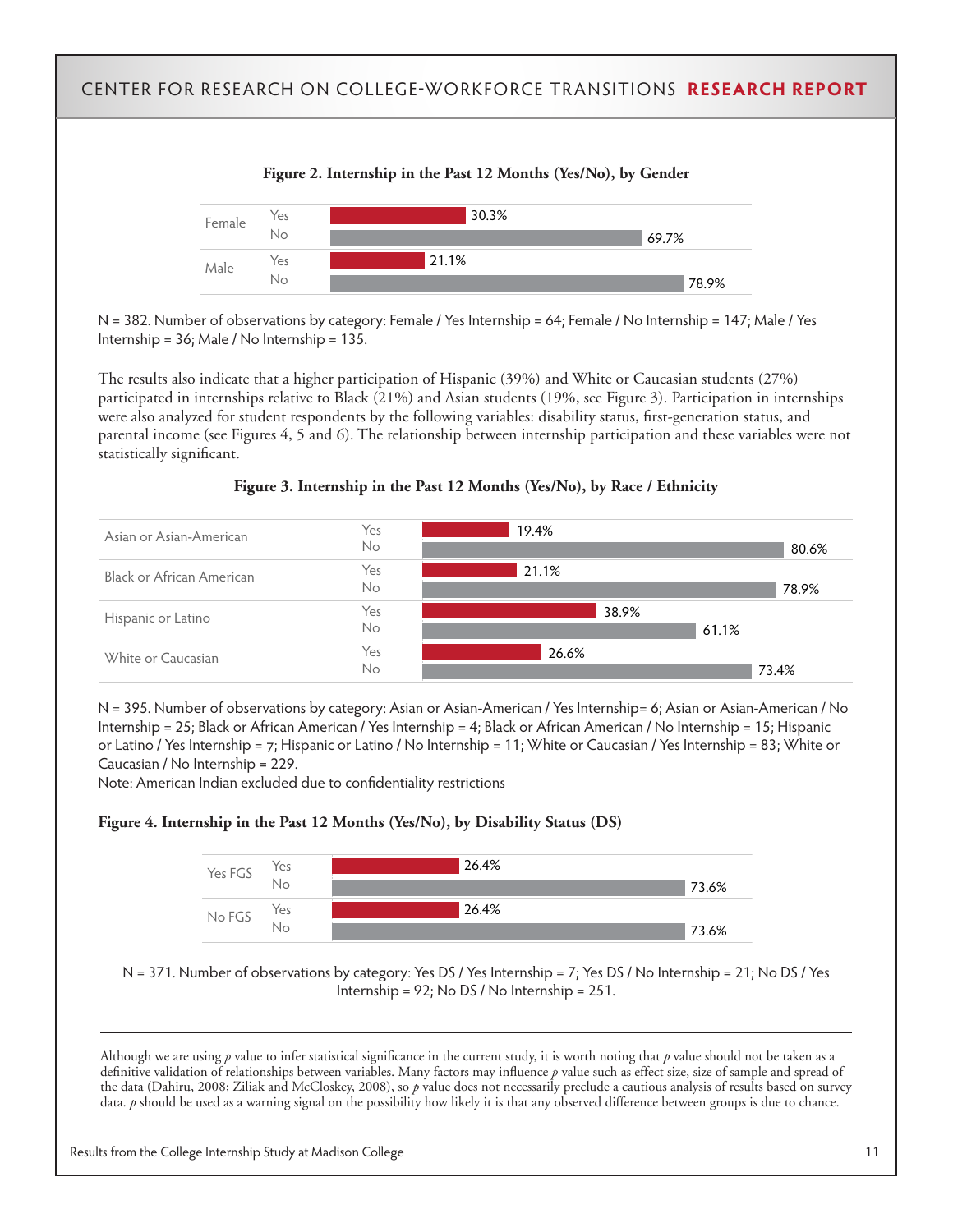

N = 382. Number of observations by category: Female / Yes Internship = 64; Female / No Internship = 147; Male / Yes Internship = 36; Male / No Internship = 135.

The results also indicate that a higher participation of Hispanic (39%) and White or Caucasian students (27%) participated in internships relative to Black (21%) and Asian students (19%, see Figure 3). Participation in internships were also analyzed for student respondents by the following variables: disability status, first-generation status, and parental income (see Figures 4, 5 and 6). The relationship between internship participation and these variables were not statistically significant.





N = 395. Number of observations by category: Asian or Asian-American / Yes Internship= 6; Asian or Asian-American / No Internship = 25; Black or African American / Yes Internship = 4; Black or African American / No Internship = 15; Hispanic or Latino / Yes Internship = 7; Hispanic or Latino / No Internship = 11; White or Caucasian / Yes Internship = 83; White or Caucasian / No Internship = 229.

Note: American Indian excluded due to confidentiality restrictions

#### **Figure 4. Internship in the Past 12 Months (Yes/No), by Disability Status (DS)**



N = 371. Number of observations by category: Yes DS / Yes Internship = 7; Yes DS / No Internship = 21; No DS / Yes Internship = 92; No DS / No Internship = 251.

Although we are using *p* value to infer statistical significance in the current study, it is worth noting that *p* value should not be taken as a definitive validation of relationships between variables. Many factors may influence *p* value such as effect size, size of sample and spread of the data (Dahiru, 2008; Ziliak and McCloskey, 2008), so *p* value does not necessarily preclude a cautious analysis of results based on survey data. *p* should be used as a warning signal on the possibility how likely it is that any observed difference between groups is due to chance.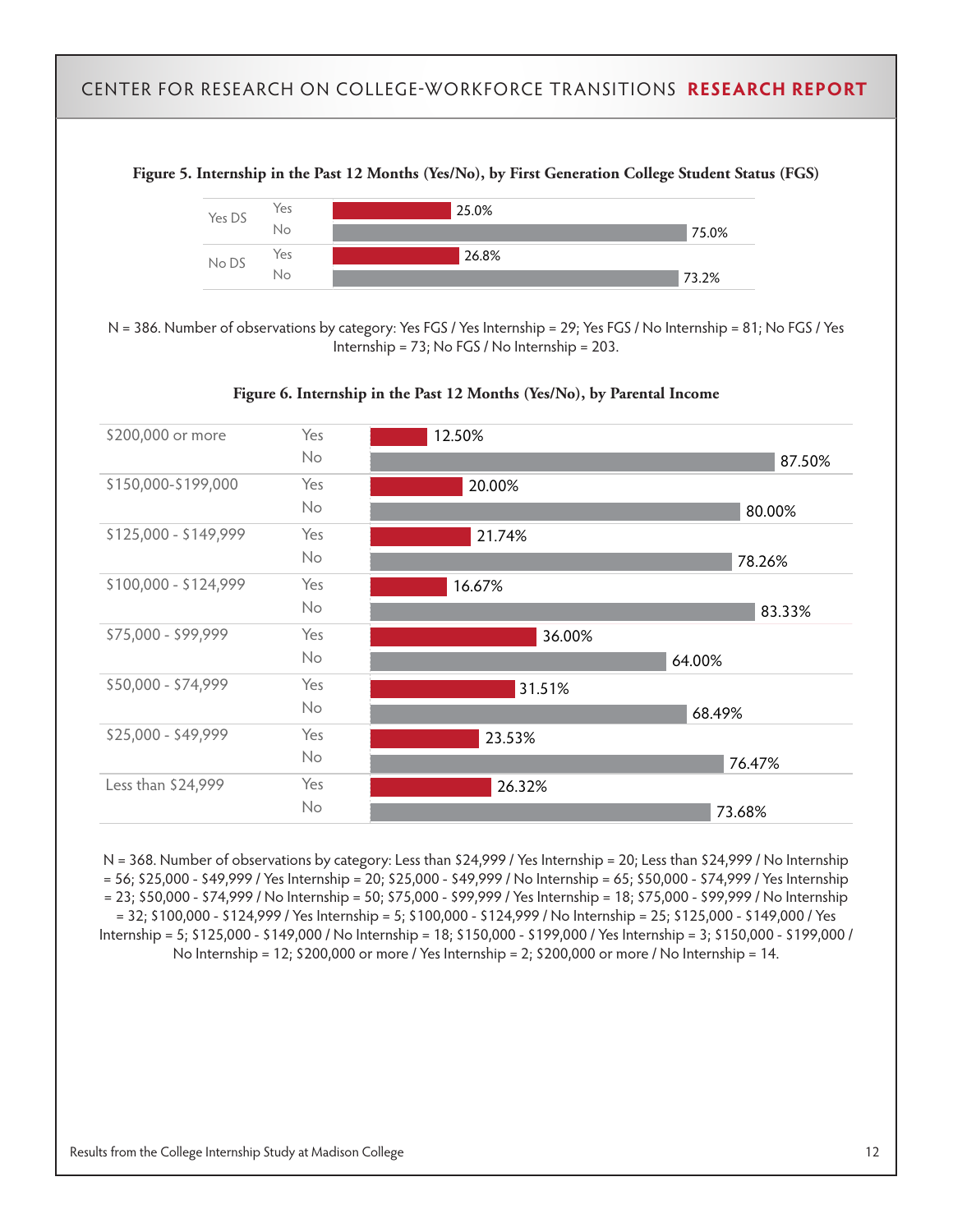**Figure 5. Internship in the Past 12 Months (Yes/No), by First Generation College Student Status (FGS)**



N = 386. Number of observations by category: Yes FGS / Yes Internship = 29; Yes FGS / No Internship = 81; No FGS / Yes Internship = 73; No FGS / No Internship = 203.





N = 368. Number of observations by category: Less than \$24,999 / Yes Internship = 20; Less than \$24,999 / No Internship = 56; \$25,000 - \$49,999 / Yes Internship = 20; \$25,000 - \$49,999 / No Internship = 65; \$50,000 - \$74,999 / Yes Internship = 23; \$50,000 - \$74,999 / No Internship = 50; \$75,000 - \$99,999 / Yes Internship = 18; \$75,000 - \$99,999 / No Internship = 32; \$100,000 - \$124,999 / Yes Internship = 5; \$100,000 - \$124,999 / No Internship = 25; \$125,000 - \$149,000 / Yes Internship = 5; \$125,000 - \$149,000 / No Internship = 18; \$150,000 - \$199,000 / Yes Internship = 3; \$150,000 - \$199,000 / No Internship = 12; \$200,000 or more / Yes Internship = 2; \$200,000 or more / No Internship = 14.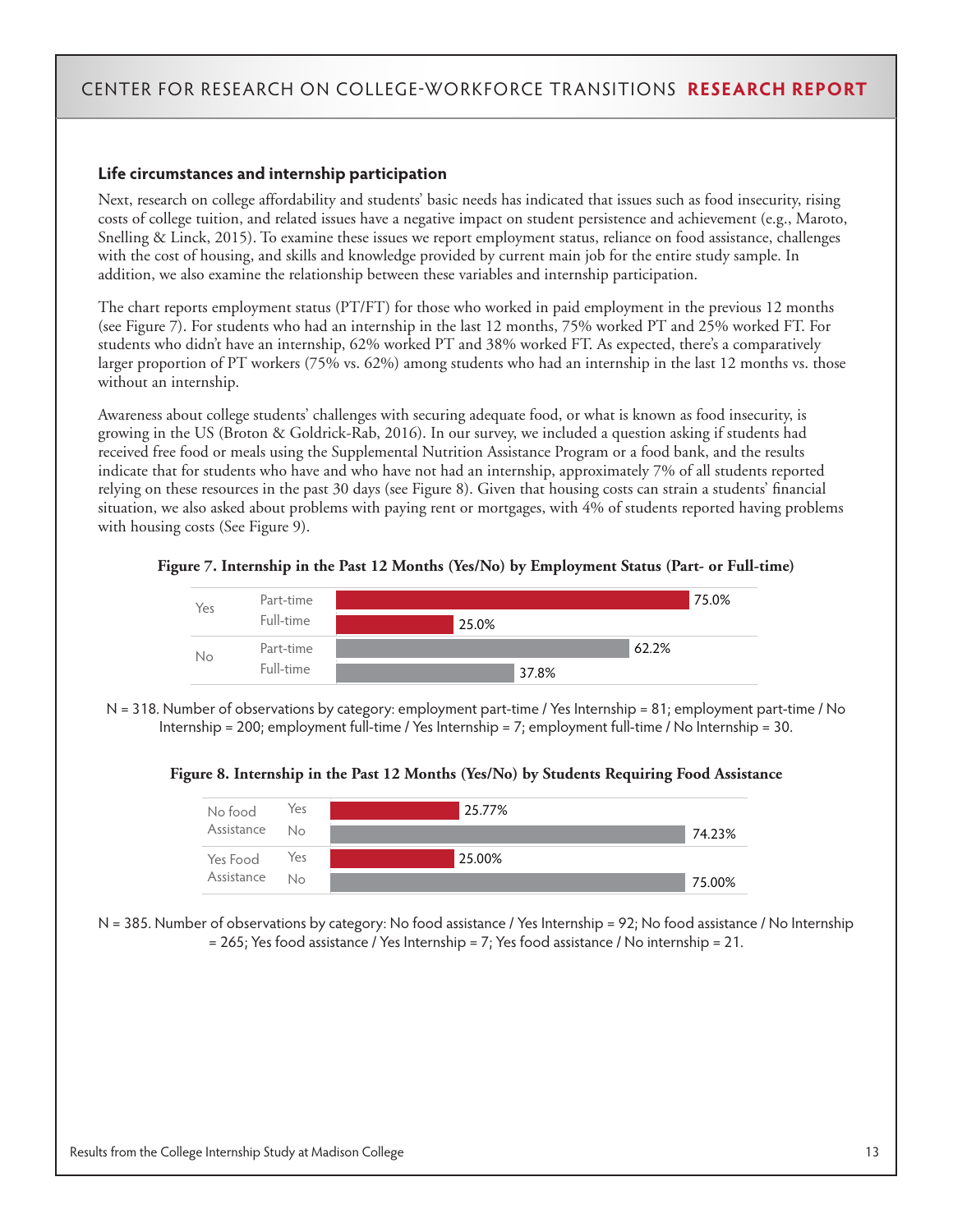#### **Life circumstances and internship participation**

Next, research on college affordability and students' basic needs has indicated that issues such as food insecurity, rising costs of college tuition, and related issues have a negative impact on student persistence and achievement (e.g., Maroto, Snelling & Linck, 2015). To examine these issues we report employment status, reliance on food assistance, challenges with the cost of housing, and skills and knowledge provided by current main job for the entire study sample. In addition, we also examine the relationship between these variables and internship participation.

The chart reports employment status (PT/FT) for those who worked in paid employment in the previous 12 months (see Figure 7). For students who had an internship in the last 12 months, 75% worked PT and 25% worked FT. For students who didn't have an internship, 62% worked PT and 38% worked FT. As expected, there's a comparatively larger proportion of PT workers (75% vs. 62%) among students who had an internship in the last 12 months vs. those without an internship.

Awareness about college students' challenges with securing adequate food, or what is known as food insecurity, is growing in the US (Broton & Goldrick-Rab, 2016). In our survey, we included a question asking if students had received free food or meals using the Supplemental Nutrition Assistance Program or a food bank, and the results indicate that for students who have and who have not had an internship, approximately 7% of all students reported relying on these resources in the past 30 days (see Figure 8). Given that housing costs can strain a students' financial situation, we also asked about problems with paying rent or mortgages, with 4% of students reported having problems with housing costs (See Figure 9).





N = 318. Number of observations by category: employment part-time / Yes Internship = 81; employment part-time / No Internship = 200; employment full-time / Yes Internship = 7; employment full-time / No Internship = 30.

**Figure 8. Internship in the Past 12 Months (Yes/No) by Students Requiring Food Assistance** 



N = 385. Number of observations by category: No food assistance / Yes Internship = 92; No food assistance / No Internship  $= 265$ ; Yes food assistance / Yes Internship  $= 7$ ; Yes food assistance / No internship  $= 21$ .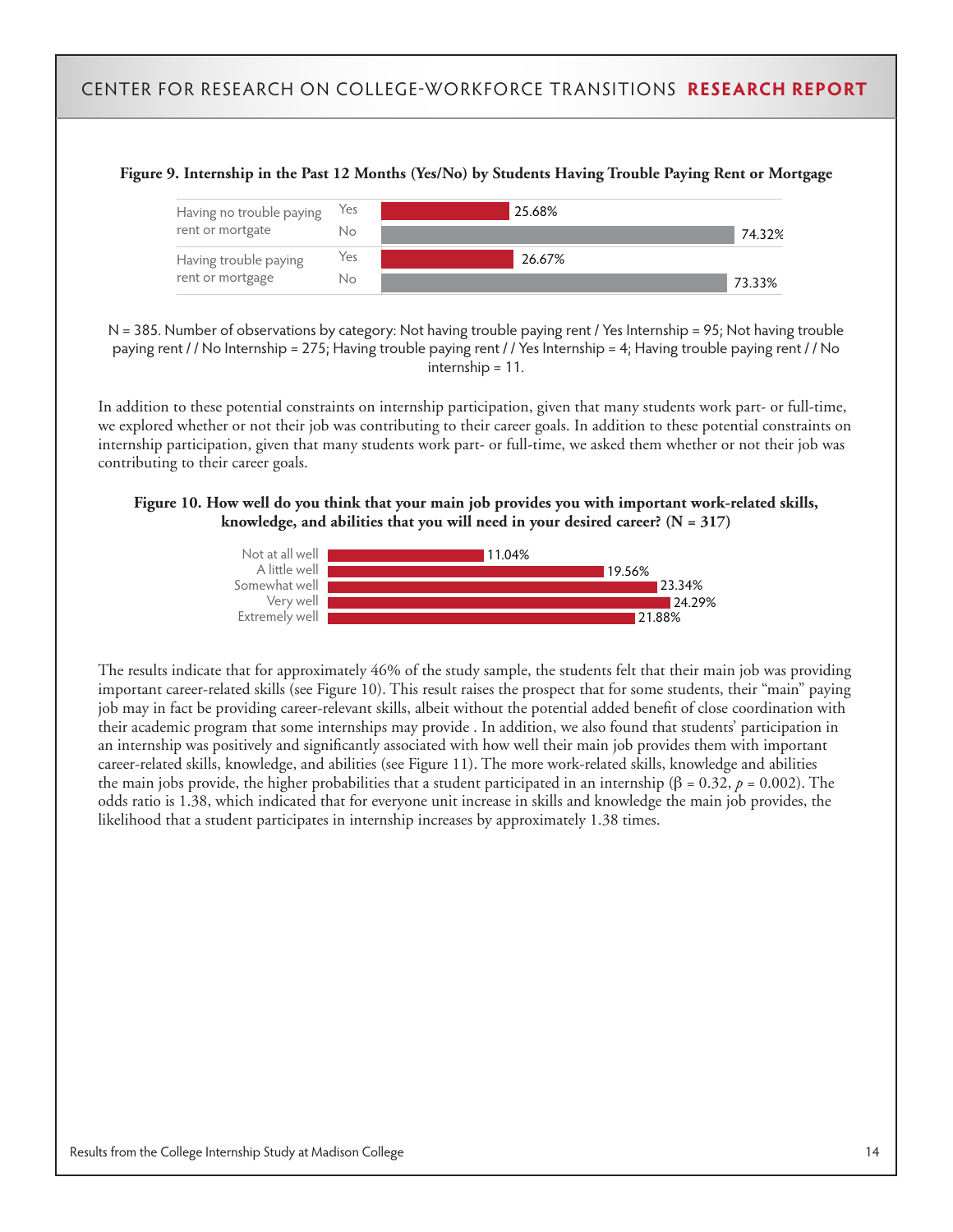#### **Figure 9. Internship in the Past 12 Months (Yes/No) by Students Having Trouble Paying Rent or Mortgage**



N = 385. Number of observations by category: Not having trouble paying rent / Yes Internship = 95; Not having trouble paying rent / / No Internship = 275; Having trouble paying rent / / Yes Internship = 4; Having trouble paying rent / / No internship = 11.

In addition to these potential constraints on internship participation, given that many students work part- or full-time, we explored whether or not their job was contributing to their career goals. In addition to these potential constraints on internship participation, given that many students work part- or full-time, we asked them whether or not their job was contributing to their career goals.

#### **Figure 10. How well do you think that your main job provides you with important work-related skills, knowledge, and abilities that you will need in your desired career? (N = 317)**



The results indicate that for approximately 46% of the study sample, the students felt that their main job was providing important career-related skills (see Figure 10). This result raises the prospect that for some students, their "main" paying job may in fact be providing career-relevant skills, albeit without the potential added benefit of close coordination with their academic program that some internships may provide . In addition, we also found that students' participation in an internship was positively and significantly associated with how well their main job provides them with important career-related skills, knowledge, and abilities (see Figure 11). The more work-related skills, knowledge and abilities the main jobs provide, the higher probabilities that a student participated in an internship (β = 0.32, *p* = 0.002). The odds ratio is 1.38, which indicated that for everyone unit increase in skills and knowledge the main job provides, the likelihood that a student participates in internship increases by approximately 1.38 times.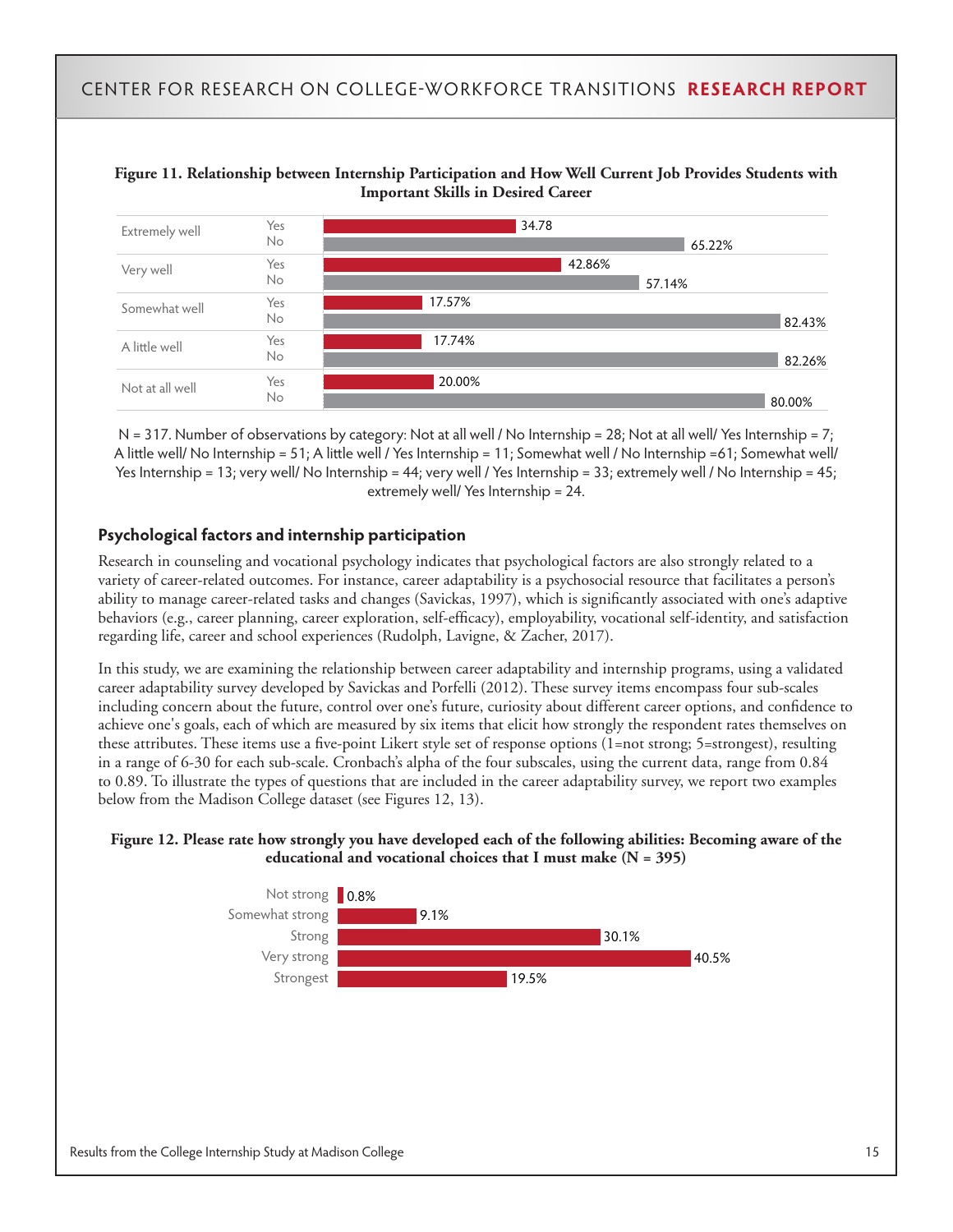



N = 317. Number of observations by category: Not at all well / No Internship = 28; Not at all well/ Yes Internship = 7; A little well/ No Internship = 51; A little well / Yes Internship = 11; Somewhat well / No Internship =61; Somewhat well/ Yes Internship = 13; very well/ No Internship = 44; very well / Yes Internship = 33; extremely well / No Internship = 45; extremely well/ Yes Internship = 24.

#### **Psychological factors and internship participation**

Research in counseling and vocational psychology indicates that psychological factors are also strongly related to a variety of career-related outcomes. For instance, career adaptability is a psychosocial resource that facilitates a person's ability to manage career-related tasks and changes (Savickas, 1997), which is significantly associated with one's adaptive behaviors (e.g., career planning, career exploration, self-efficacy), employability, vocational self-identity, and satisfaction regarding life, career and school experiences (Rudolph, Lavigne, & Zacher, 2017).

In this study, we are examining the relationship between career adaptability and internship programs, using a validated career adaptability survey developed by Savickas and Porfelli (2012). These survey items encompass four sub-scales including concern about the future, control over one's future, curiosity about different career options, and confidence to achieve one's goals, each of which are measured by six items that elicit how strongly the respondent rates themselves on these attributes. These items use a five-point Likert style set of response options (1=not strong; 5=strongest), resulting in a range of 6-30 for each sub-scale. Cronbach's alpha of the four subscales, using the current data, range from 0.84 to 0.89. To illustrate the types of questions that are included in the career adaptability survey, we report two examples below from the Madison College dataset (see Figures 12, 13).

#### **Figure 12. Please rate how strongly you have developed each of the following abilities: Becoming aware of the educational and vocational choices that I must make (N = 395)**

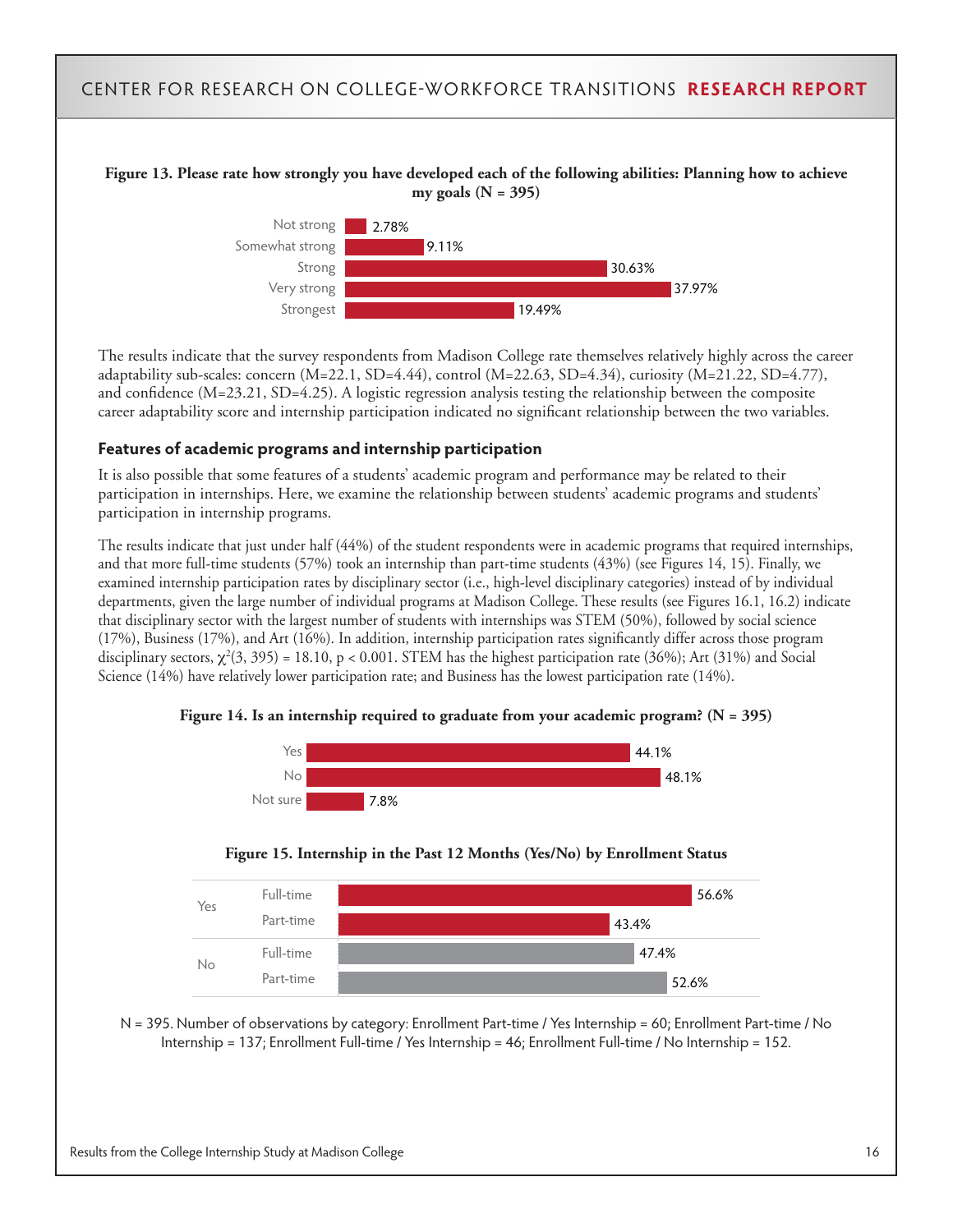



The results indicate that the survey respondents from Madison College rate themselves relatively highly across the career adaptability sub-scales: concern  $(M=22.1, SD=4.44)$ , control  $(M=22.63, SD=4.34)$ , curiosity  $(M=21.22, SD=4.77)$ , and confidence (M=23.21, SD=4.25). A logistic regression analysis testing the relationship between the composite career adaptability score and internship participation indicated no significant relationship between the two variables.

#### **Features of academic programs and internship participation**

It is also possible that some features of a students' academic program and performance may be related to their participation in internships. Here, we examine the relationship between students' academic programs and students' participation in internship programs.

The results indicate that just under half (44%) of the student respondents were in academic programs that required internships, and that more full-time students (57%) took an internship than part-time students (43%) (see Figures 14, 15). Finally, we examined internship participation rates by disciplinary sector (i.e., high-level disciplinary categories) instead of by individual departments, given the large number of individual programs at Madison College. These results (see Figures 16.1, 16.2) indicate that disciplinary sector with the largest number of students with internships was STEM (50%), followed by social science (17%), Business (17%), and Art (16%). In addition, internship participation rates significantly differ across those program disciplinary sectors,  $\chi^2(3,395)$  = 18.10, p < 0.001. STEM has the highest participation rate (36%); Art (31%) and Social Science (14%) have relatively lower participation rate; and Business has the lowest participation rate (14%).





**Figure 15. Internship in the Past 12 Months (Yes/No) by Enrollment Status**



N = 395. Number of observations by category: Enrollment Part-time / Yes Internship = 60; Enrollment Part-time / No Internship = 137; Enrollment Full-time / Yes Internship = 46; Enrollment Full-time / No Internship = 152.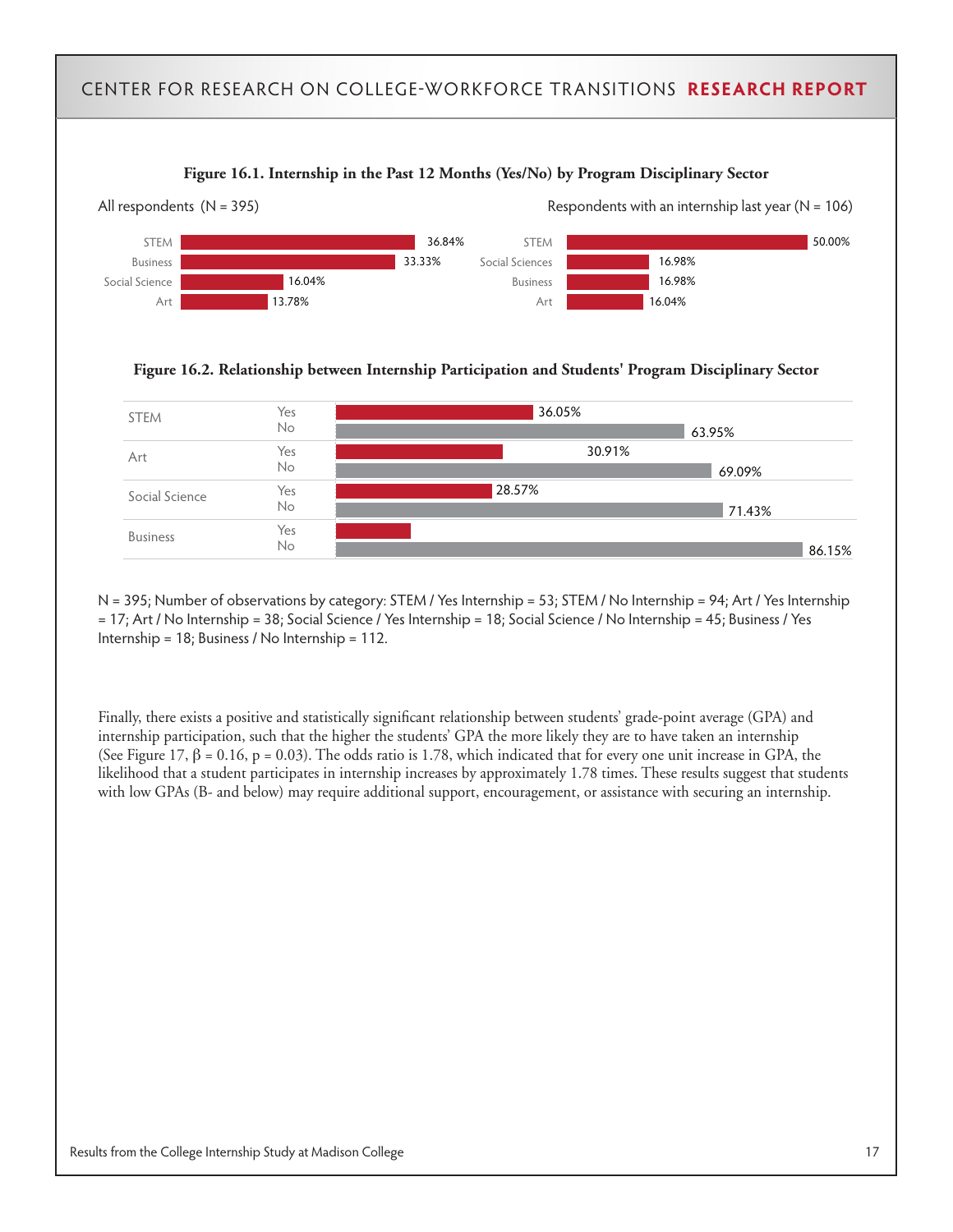

**Figure 16.2. Relationship between Internship Participation and Students' Program Disciplinary Sector**



N = 395; Number of observations by category: STEM / Yes Internship = 53; STEM / No Internship = 94; Art / Yes Internship = 17; Art / No Internship = 38; Social Science / Yes Internship = 18; Social Science / No Internship = 45; Business / Yes Internship = 18; Business / No Internship = 112.

Finally, there exists a positive and statistically significant relationship between students' grade-point average (GPA) and internship participation, such that the higher the students' GPA the more likely they are to have taken an internship (See Figure 17,  $\beta$  = 0.16, p = 0.03). The odds ratio is 1.78, which indicated that for every one unit increase in GPA, the likelihood that a student participates in internship increases by approximately 1.78 times. These results suggest that students with low GPAs (B- and below) may require additional support, encouragement, or assistance with securing an internship.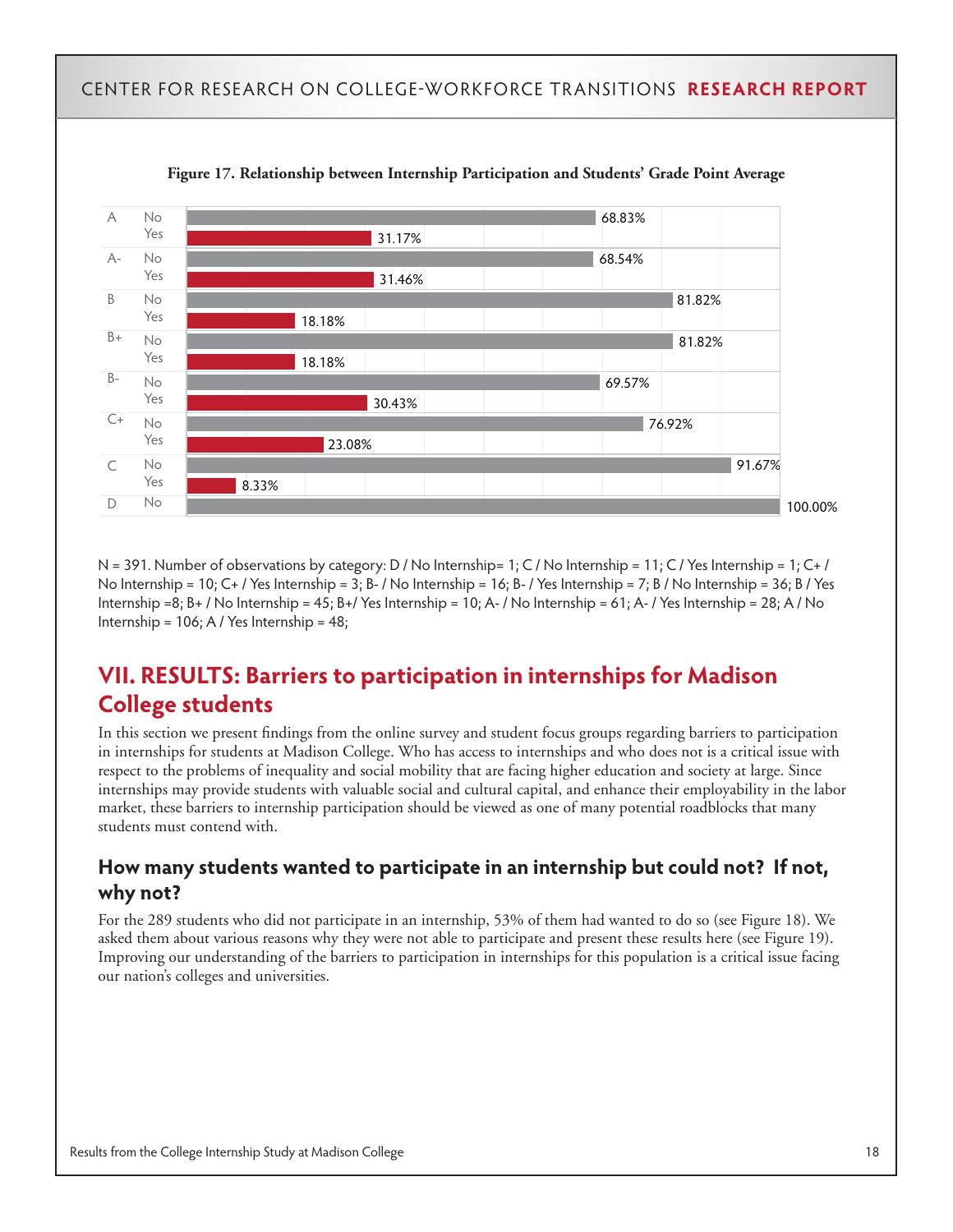

**Figure 17. Relationship between Internship Participation and Students' Grade Point Average**

N = 391. Number of observations by category: D / No Internship = 1; C / No Internship = 11; C / Yes Internship = 1; C+ / No Internship = 10; C+/ Yes Internship = 3; B-/ No Internship = 16; B-/ Yes Internship = 7; B/ No Internship = 36; B/ Yes Internship = 8; B+ / No Internship =  $45$ ; B+/ Yes Internship =  $10$ ; A- / No Internship =  $61$ ; A- / Yes Internship =  $28$ ; A / No Internship = 106; A / Yes Internship = 48;

# **VII. RESULTS: Barriers to participation in internships for Madison College students**

In this section we present findings from the online survey and student focus groups regarding barriers to participation in internships for students at Madison College. Who has access to internships and who does not is a critical issue with respect to the problems of inequality and social mobility that are facing higher education and society at large. Since internships may provide students with valuable social and cultural capital, and enhance their employability in the labor market, these barriers to internship participation should be viewed as one of many potential roadblocks that many students must contend with.

### **How many students wanted to participate in an internship but could not? If not, why not?**

For the 289 students who did not participate in an internship, 53% of them had wanted to do so (see Figure 18). We asked them about various reasons why they were not able to participate and present these results here (see Figure 19). Improving our understanding of the barriers to participation in internships for this population is a critical issue facing our nation's colleges and universities.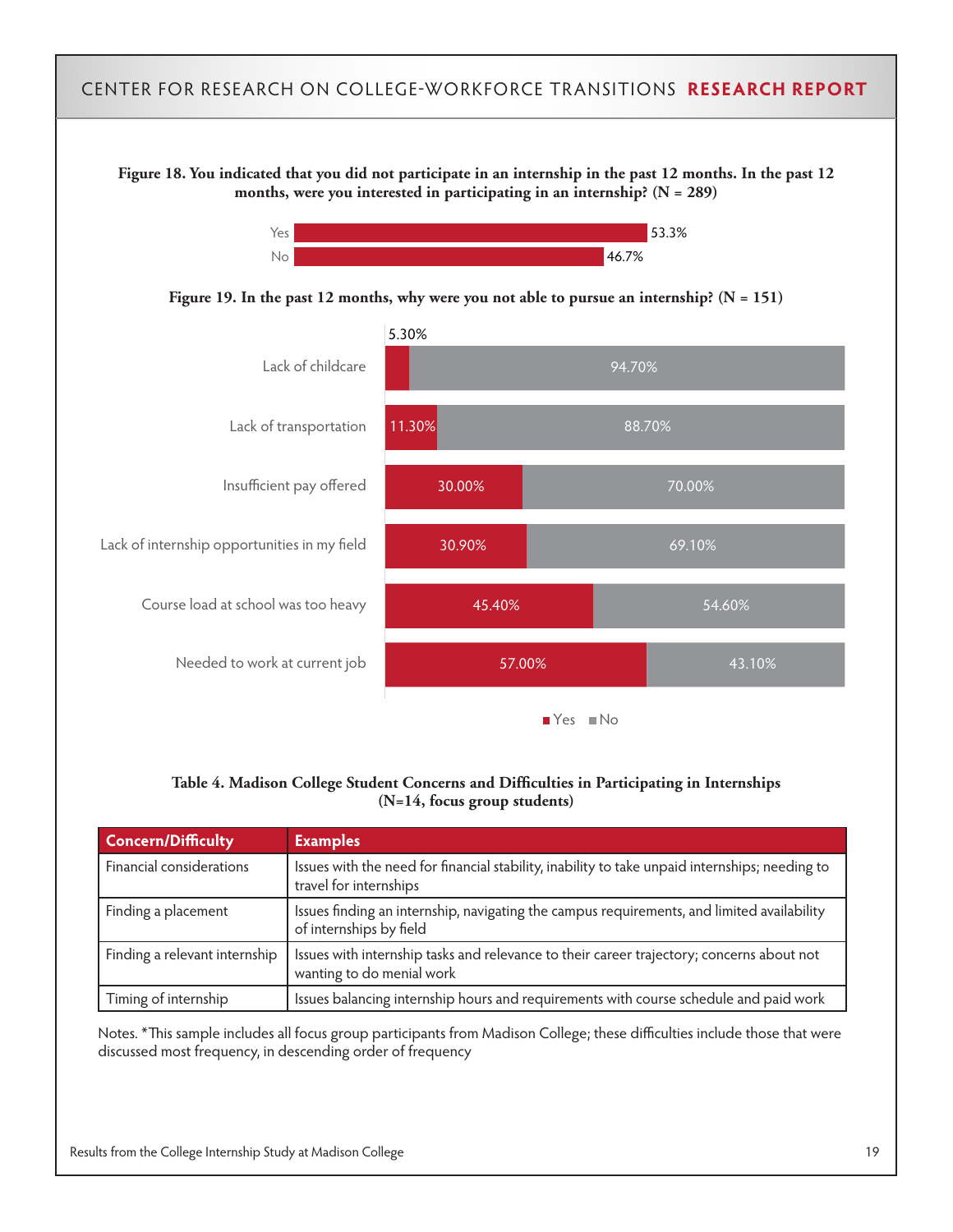**Figure 18. You indicated that you did not participate in an internship in the past 12 months. In the past 12 months, were you interested in participating in an internship? (N = 289)**



**Figure 19. In the past 12 months, why were you not able to pursue an internship? (N = 151)**



#### **Table 4. Madison College Student Concerns and Difficulties in Participating in Internships (N=14, focus group students)**

| <b>Concern/Difficulty</b>     | <b>Examples</b>                                                                                                          |
|-------------------------------|--------------------------------------------------------------------------------------------------------------------------|
| Financial considerations      | Issues with the need for financial stability, inability to take unpaid internships; needing to<br>travel for internships |
| Finding a placement           | Issues finding an internship, navigating the campus requirements, and limited availability<br>of internships by field    |
| Finding a relevant internship | Issues with internship tasks and relevance to their career trajectory; concerns about not<br>wanting to do menial work   |
| Timing of internship          | Issues balancing internship hours and requirements with course schedule and paid work                                    |

Notes. \*This sample includes all focus group participants from Madison College; these difficulties include those that were discussed most frequency, in descending order of frequency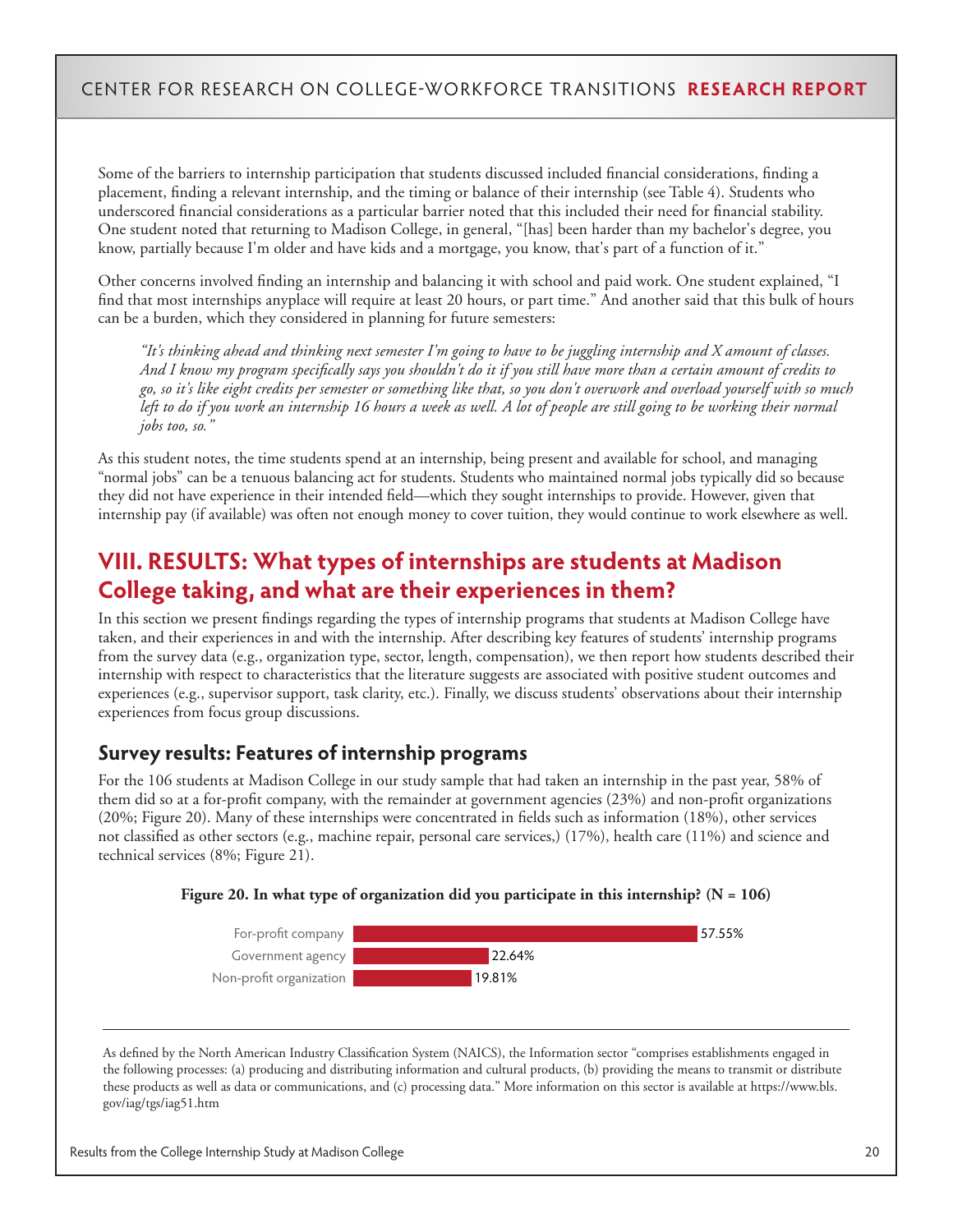Some of the barriers to internship participation that students discussed included financial considerations, finding a placement, finding a relevant internship, and the timing or balance of their internship (see Table 4). Students who underscored financial considerations as a particular barrier noted that this included their need for financial stability. One student noted that returning to Madison College, in general, "[has] been harder than my bachelor's degree, you know, partially because I'm older and have kids and a mortgage, you know, that's part of a function of it."

Other concerns involved finding an internship and balancing it with school and paid work. One student explained, "I find that most internships anyplace will require at least 20 hours, or part time." And another said that this bulk of hours can be a burden, which they considered in planning for future semesters:

*"It's thinking ahead and thinking next semester I'm going to have to be juggling internship and X amount of classes. And I know my program specifically says you shouldn't do it if you still have more than a certain amount of credits to go, so it's like eight credits per semester or something like that, so you don't overwork and overload yourself with so much left to do if you work an internship 16 hours a week as well. A lot of people are still going to be working their normal jobs too, so."*

As this student notes, the time students spend at an internship, being present and available for school, and managing "normal jobs" can be a tenuous balancing act for students. Students who maintained normal jobs typically did so because they did not have experience in their intended field—which they sought internships to provide. However, given that internship pay (if available) was often not enough money to cover tuition, they would continue to work elsewhere as well.

# **VIII. RESULTS: What types of internships are students at Madison College taking, and what are their experiences in them?**

In this section we present findings regarding the types of internship programs that students at Madison College have taken, and their experiences in and with the internship. After describing key features of students' internship programs from the survey data (e.g., organization type, sector, length, compensation), we then report how students described their internship with respect to characteristics that the literature suggests are associated with positive student outcomes and experiences (e.g., supervisor support, task clarity, etc.). Finally, we discuss students' observations about their internship experiences from focus group discussions.

### **Survey results: Features of internship programs**

For the 106 students at Madison College in our study sample that had taken an internship in the past year, 58% of them did so at a for-profit company, with the remainder at government agencies (23%) and non-profit organizations (20%; Figure 20). Many of these internships were concentrated in fields such as information (18%), other services not classified as other sectors (e.g., machine repair, personal care services,) (17%), health care (11%) and science and technical services (8%; Figure 21).





As defined by the North American Industry Classification System (NAICS), the Information sector "comprises establishments engaged in the following processes: (a) producing and distributing information and cultural products, (b) providing the means to transmit or distribute these products as well as data or communications, and (c) processing data." More information on this sector is available at https://www.bls. gov/iag/tgs/iag51.htm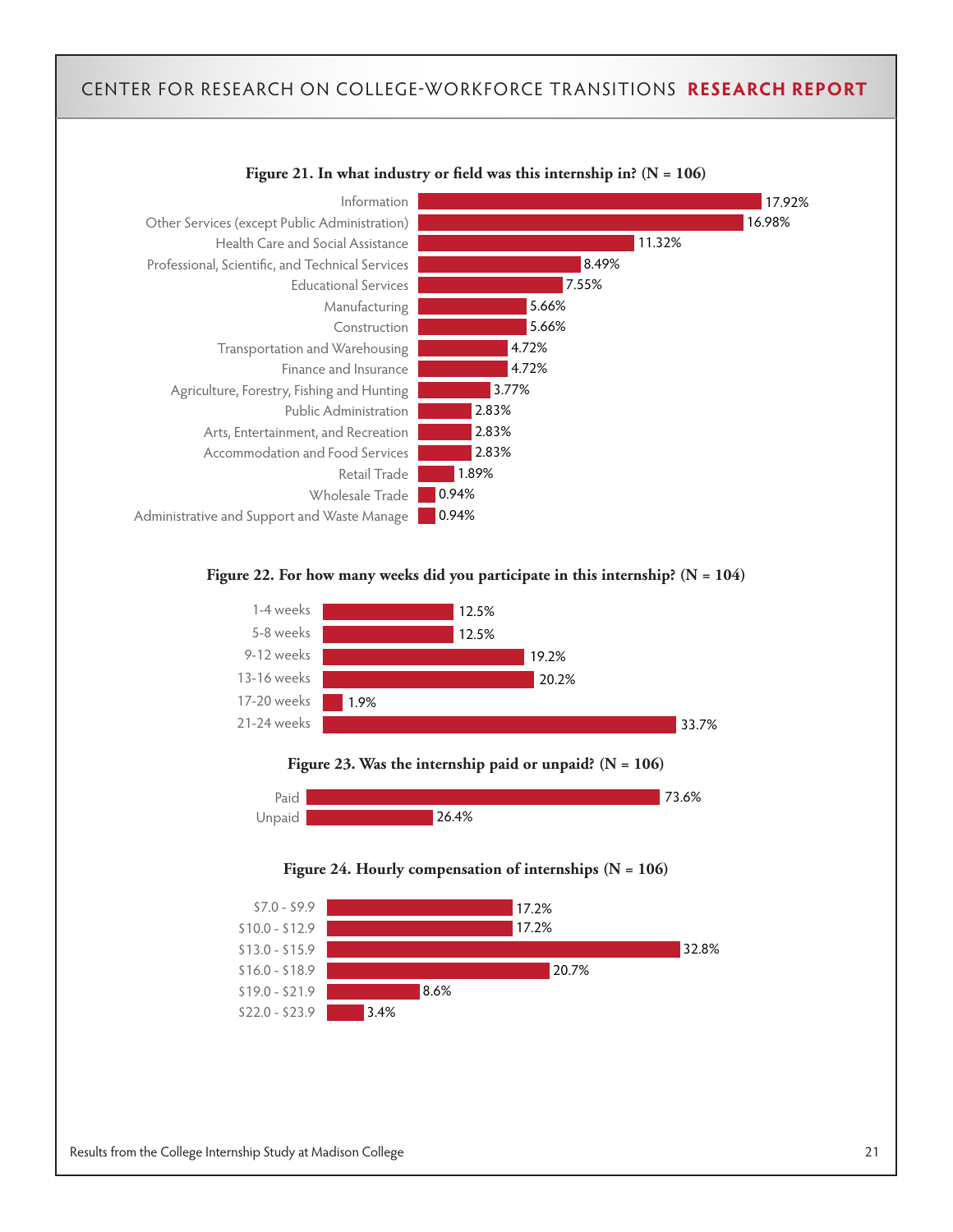

#### **Figure 22. For how many weeks did you participate in this internship? (N = 104)**



**Figure 23. Was the internship paid or unpaid? (N = 106)**





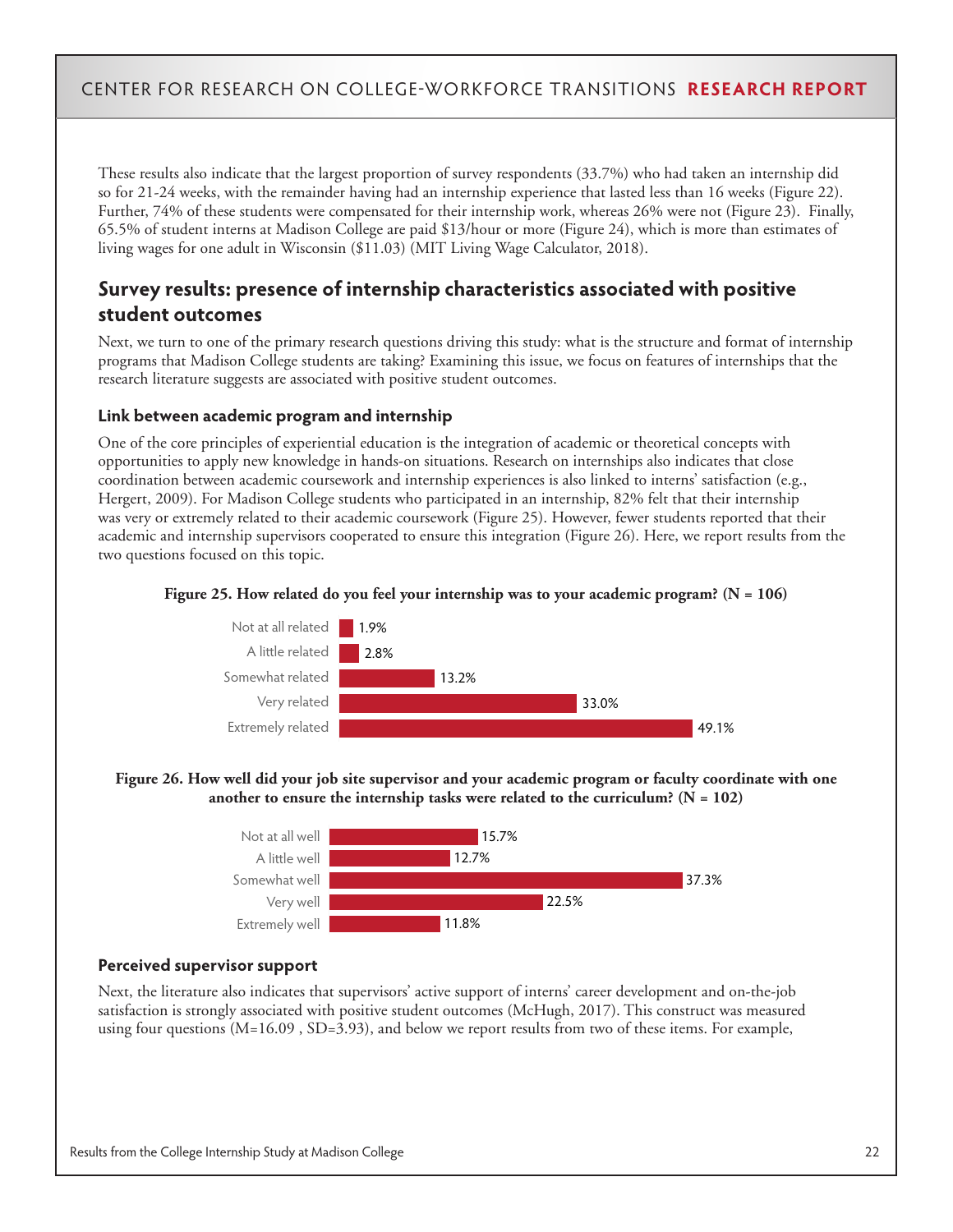These results also indicate that the largest proportion of survey respondents (33.7%) who had taken an internship did so for 21-24 weeks, with the remainder having had an internship experience that lasted less than 16 weeks (Figure 22). Further, 74% of these students were compensated for their internship work, whereas 26% were not (Figure 23). Finally, 65.5% of student interns at Madison College are paid \$13/hour or more (Figure 24), which is more than estimates of living wages for one adult in Wisconsin (\$11.03) (MIT Living Wage Calculator, 2018).

### **Survey results: presence of internship characteristics associated with positive student outcomes**

Next, we turn to one of the primary research questions driving this study: what is the structure and format of internship programs that Madison College students are taking? Examining this issue, we focus on features of internships that the research literature suggests are associated with positive student outcomes.

#### **Link between academic program and internship**

One of the core principles of experiential education is the integration of academic or theoretical concepts with opportunities to apply new knowledge in hands-on situations. Research on internships also indicates that close coordination between academic coursework and internship experiences is also linked to interns' satisfaction (e.g., Hergert, 2009). For Madison College students who participated in an internship, 82% felt that their internship was very or extremely related to their academic coursework (Figure 25). However, fewer students reported that their academic and internship supervisors cooperated to ensure this integration (Figure 26). Here, we report results from the two questions focused on this topic.





#### **Figure 26. How well did your job site supervisor and your academic program or faculty coordinate with one**  another to ensure the internship tasks were related to the curriculum?  $(N = 102)$



#### **Perceived supervisor support**

Next, the literature also indicates that supervisors' active support of interns' career development and on-the-job satisfaction is strongly associated with positive student outcomes (McHugh, 2017). This construct was measured using four questions (M=16.09 , SD=3.93), and below we report results from two of these items. For example,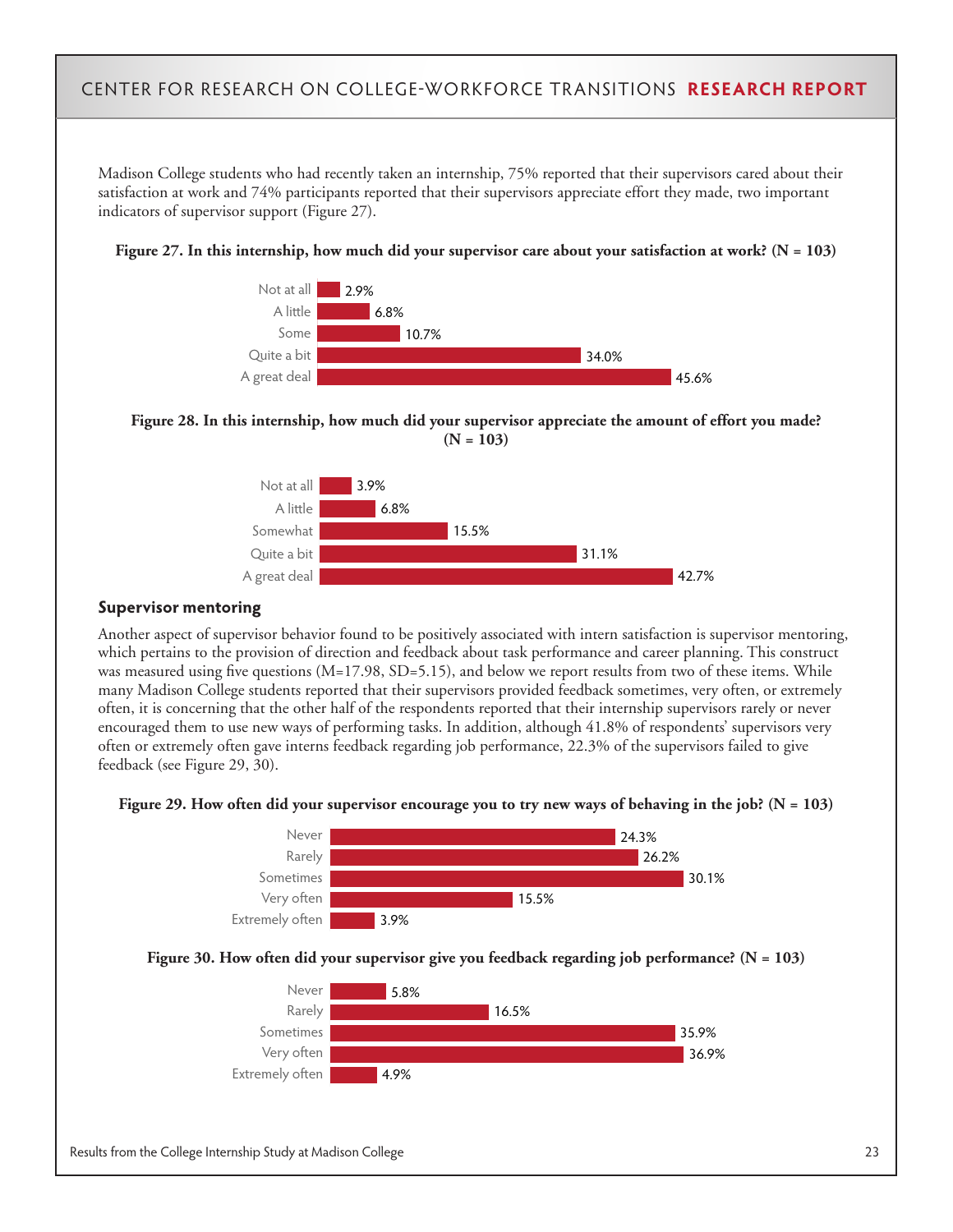Madison College students who had recently taken an internship, 75% reported that their supervisors cared about their satisfaction at work and 74% participants reported that their supervisors appreciate effort they made, two important indicators of supervisor support (Figure 27).









#### **Supervisor mentoring**

Another aspect of supervisor behavior found to be positively associated with intern satisfaction is supervisor mentoring, which pertains to the provision of direction and feedback about task performance and career planning. This construct was measured using five questions (M=17.98, SD=5.15), and below we report results from two of these items. While many Madison College students reported that their supervisors provided feedback sometimes, very often, or extremely often, it is concerning that the other half of the respondents reported that their internship supervisors rarely or never encouraged them to use new ways of performing tasks. In addition, although 41.8% of respondents' supervisors very often or extremely often gave interns feedback regarding job performance, 22.3% of the supervisors failed to give feedback (see Figure 29, 30).





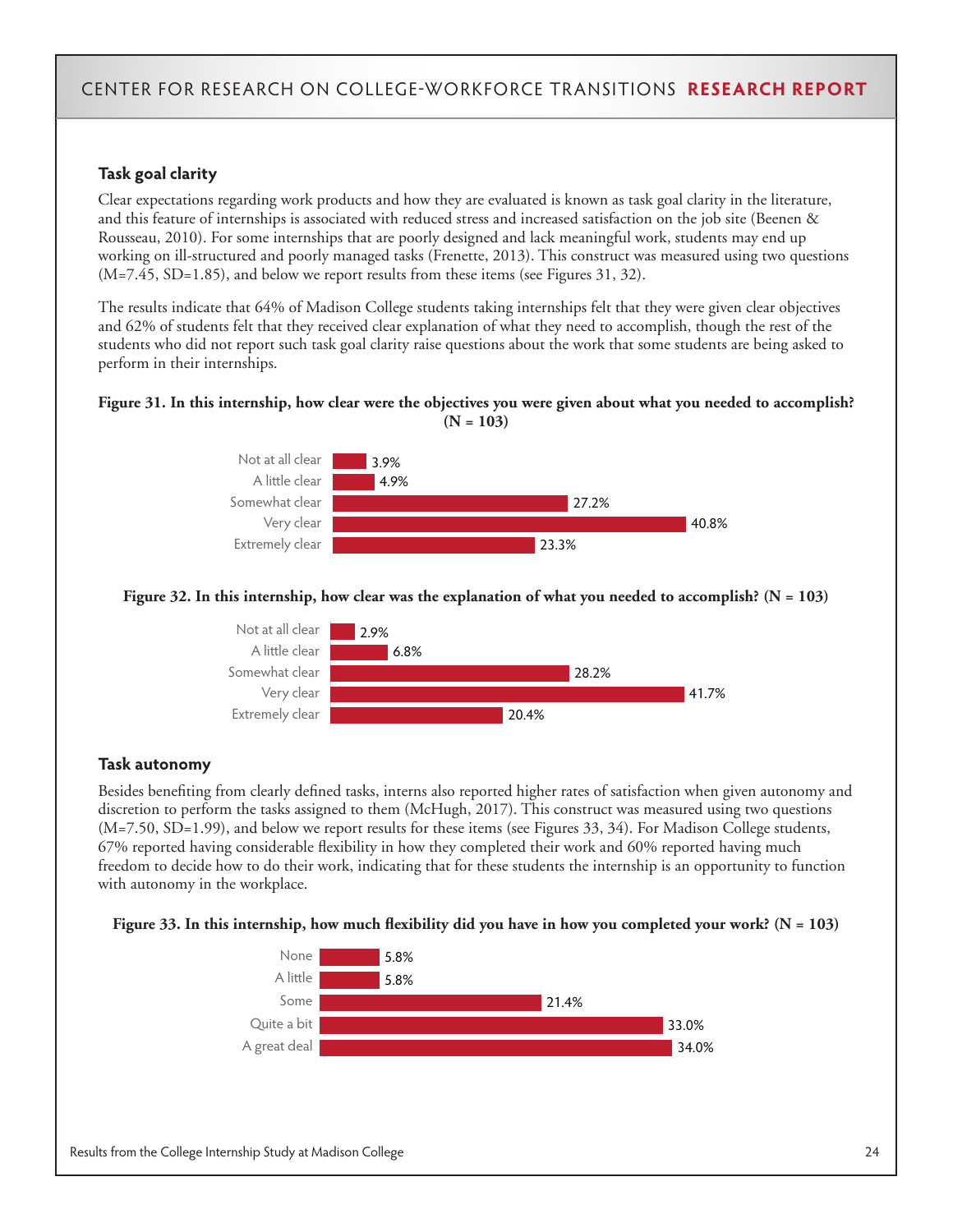#### **Task goal clarity**

Clear expectations regarding work products and how they are evaluated is known as task goal clarity in the literature, and this feature of internships is associated with reduced stress and increased satisfaction on the job site (Beenen & Rousseau, 2010). For some internships that are poorly designed and lack meaningful work, students may end up working on ill-structured and poorly managed tasks (Frenette, 2013). This construct was measured using two questions  $(M=7.45, SD=1.85)$ , and below we report results from these items (see Figures 31, 32).

The results indicate that 64% of Madison College students taking internships felt that they were given clear objectives and 62% of students felt that they received clear explanation of what they need to accomplish, though the rest of the students who did not report such task goal clarity raise questions about the work that some students are being asked to perform in their internships.

#### **Figure 31. In this internship, how clear were the objectives you were given about what you needed to accomplish? (N = 103)**



#### **Figure 32. In this internship, how clear was the explanation of what you needed to accomplish? (N = 103)**



#### **Task autonomy**

Besides benefiting from clearly defined tasks, interns also reported higher rates of satisfaction when given autonomy and discretion to perform the tasks assigned to them (McHugh, 2017). This construct was measured using two questions (M=7.50, SD=1.99), and below we report results for these items (see Figures 33, 34). For Madison College students, 67% reported having considerable flexibility in how they completed their work and 60% reported having much freedom to decide how to do their work, indicating that for these students the internship is an opportunity to function with autonomy in the workplace.



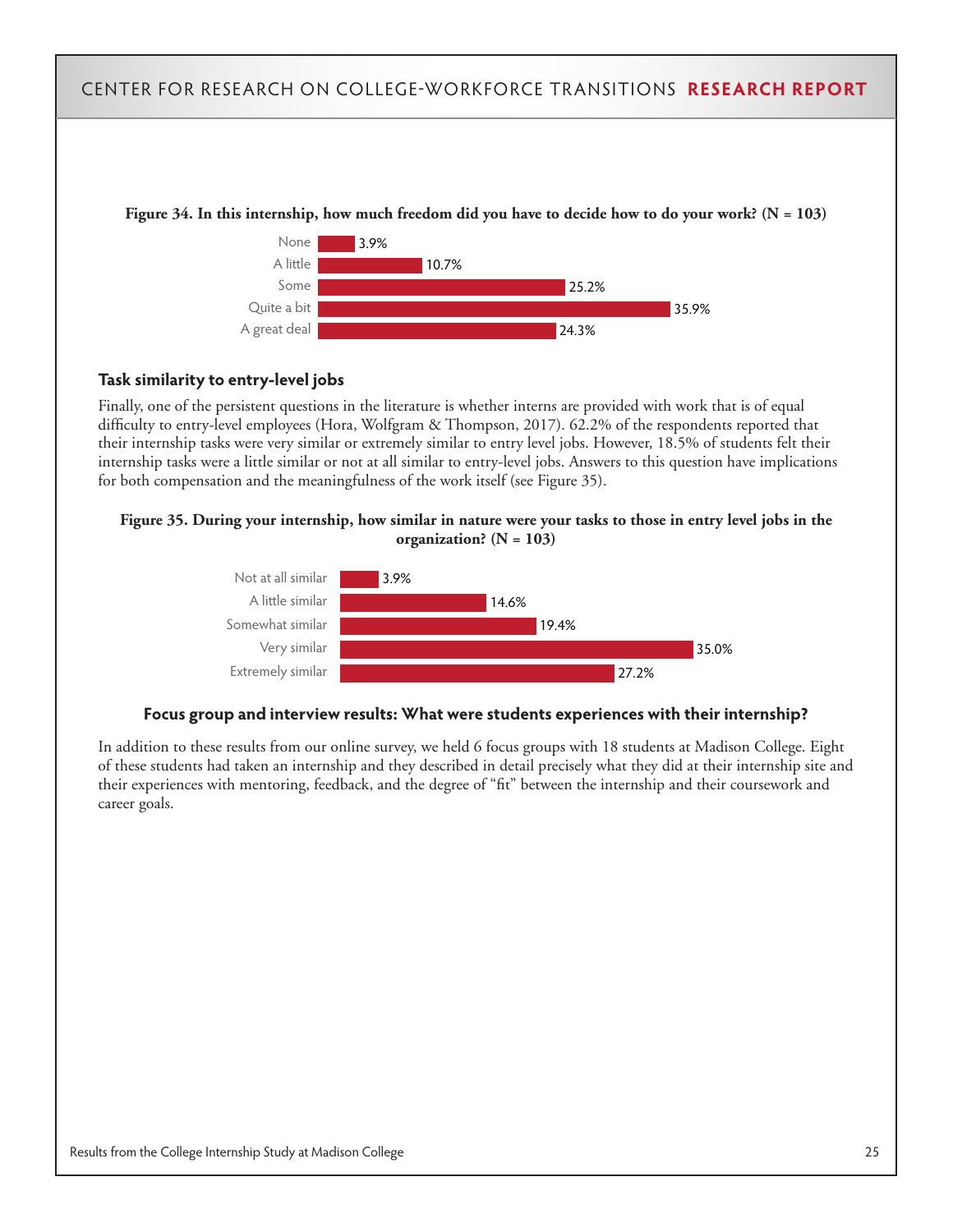

**Figure 34. In this internship, how much freedom did you have to decide how to do your work? (N = 103)**

#### **Task similarity to entry-level jobs**

Finally, one of the persistent questions in the literature is whether interns are provided with work that is of equal difficulty to entry-level employees (Hora, Wolfgram & Thompson, 2017). 62.2% of the respondents reported that their internship tasks were very similar or extremely similar to entry level jobs. However, 18.5% of students felt their internship tasks were a little similar or not at all similar to entry-level jobs. Answers to this question have implications for both compensation and the meaningfulness of the work itself (see Figure 35).





#### **Focus group and interview results: What were students experiences with their internship?**

In addition to these results from our online survey, we held 6 focus groups with 18 students at Madison College. Eight of these students had taken an internship and they described in detail precisely what they did at their internship site and their experiences with mentoring, feedback, and the degree of "fit" between the internship and their coursework and career goals.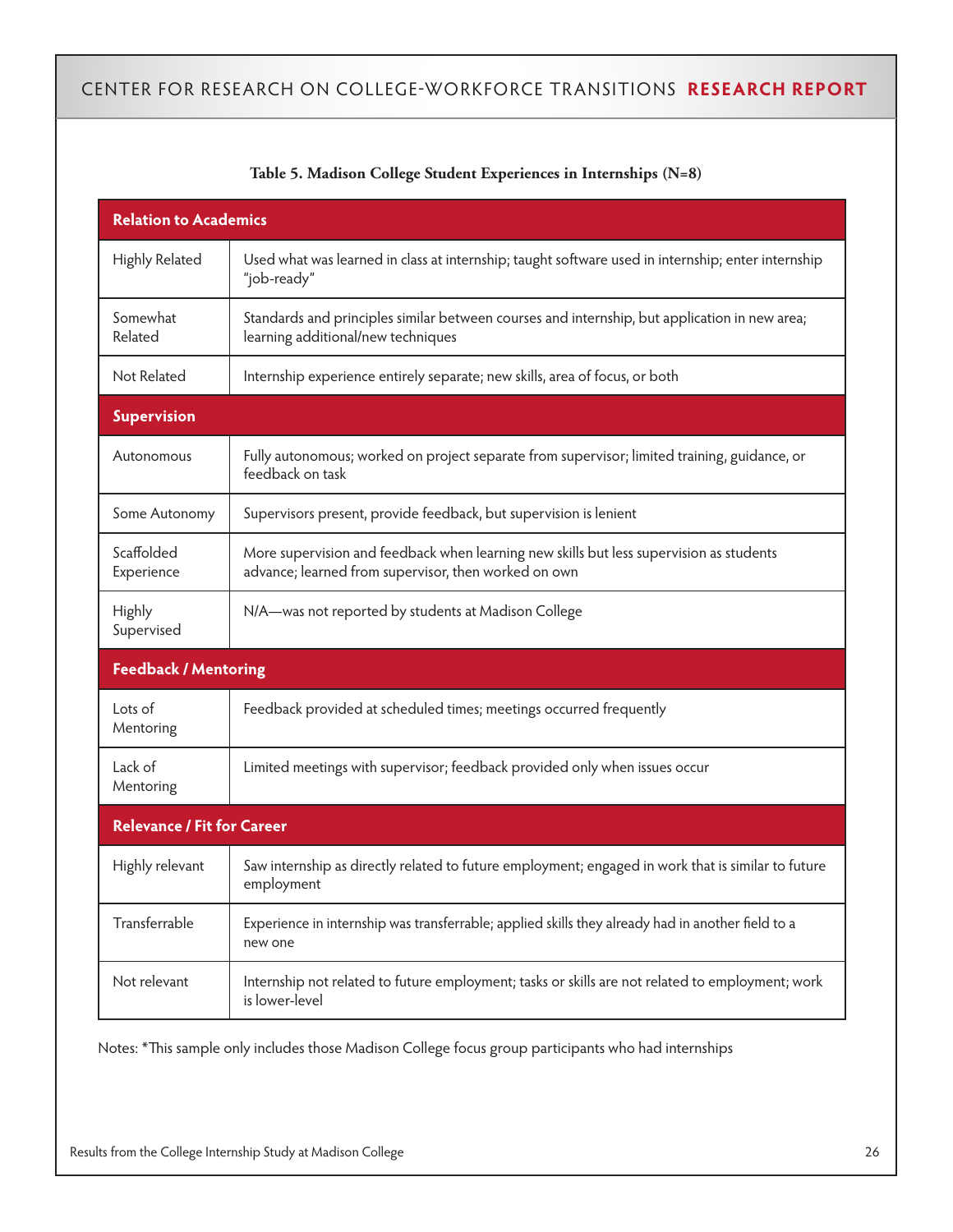| <b>Relation to Academics</b>      |                                                                                                                                                 |  |  |  |  |
|-----------------------------------|-------------------------------------------------------------------------------------------------------------------------------------------------|--|--|--|--|
| Highly Related                    | Used what was learned in class at internship; taught software used in internship; enter internship<br>"job-ready"                               |  |  |  |  |
| Somewhat<br>Related               | Standards and principles similar between courses and internship, but application in new area;<br>learning additional/new techniques             |  |  |  |  |
| Not Related                       | Internship experience entirely separate; new skills, area of focus, or both                                                                     |  |  |  |  |
| <b>Supervision</b>                |                                                                                                                                                 |  |  |  |  |
| Autonomous                        | Fully autonomous; worked on project separate from supervisor; limited training, guidance, or<br>feedback on task                                |  |  |  |  |
| Some Autonomy                     | Supervisors present, provide feedback, but supervision is lenient                                                                               |  |  |  |  |
| Scaffolded<br>Experience          | More supervision and feedback when learning new skills but less supervision as students<br>advance; learned from supervisor, then worked on own |  |  |  |  |
| <b>Highly</b><br>Supervised       | N/A—was not reported by students at Madison College                                                                                             |  |  |  |  |
| <b>Feedback / Mentoring</b>       |                                                                                                                                                 |  |  |  |  |
| Lots of<br>Mentoring              | Feedback provided at scheduled times; meetings occurred frequently                                                                              |  |  |  |  |
| Lack of<br>Mentoring              | Limited meetings with supervisor; feedback provided only when issues occur                                                                      |  |  |  |  |
| <b>Relevance / Fit for Career</b> |                                                                                                                                                 |  |  |  |  |
| Highly relevant                   | Saw internship as directly related to future employment; engaged in work that is similar to future<br>employment                                |  |  |  |  |
| Transferrable                     | Experience in internship was transferrable; applied skills they already had in another field to a<br>new one                                    |  |  |  |  |
| Not relevant                      | Internship not related to future employment; tasks or skills are not related to employment; work<br>is lower-level                              |  |  |  |  |

#### **Table 5. Madison College Student Experiences in Internships (N=8)**

Notes: \*This sample only includes those Madison College focus group participants who had internships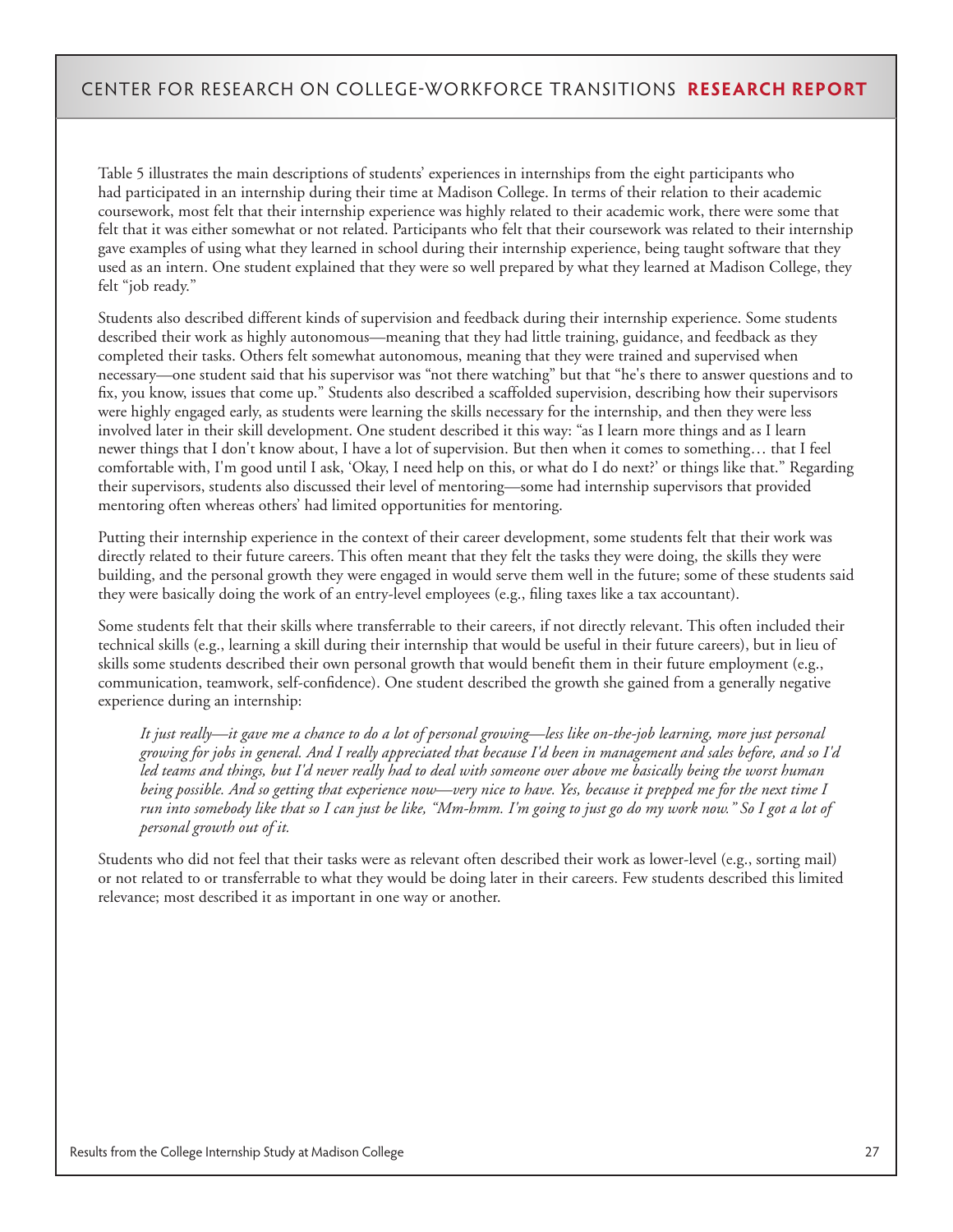Table 5 illustrates the main descriptions of students' experiences in internships from the eight participants who had participated in an internship during their time at Madison College. In terms of their relation to their academic coursework, most felt that their internship experience was highly related to their academic work, there were some that felt that it was either somewhat or not related. Participants who felt that their coursework was related to their internship gave examples of using what they learned in school during their internship experience, being taught software that they used as an intern. One student explained that they were so well prepared by what they learned at Madison College, they felt "job ready."

Students also described different kinds of supervision and feedback during their internship experience. Some students described their work as highly autonomous—meaning that they had little training, guidance, and feedback as they completed their tasks. Others felt somewhat autonomous, meaning that they were trained and supervised when necessary—one student said that his supervisor was "not there watching" but that "he's there to answer questions and to fix, you know, issues that come up." Students also described a scaffolded supervision, describing how their supervisors were highly engaged early, as students were learning the skills necessary for the internship, and then they were less involved later in their skill development. One student described it this way: "as I learn more things and as I learn newer things that I don't know about, I have a lot of supervision. But then when it comes to something… that I feel comfortable with, I'm good until I ask, 'Okay, I need help on this, or what do I do next?' or things like that." Regarding their supervisors, students also discussed their level of mentoring—some had internship supervisors that provided mentoring often whereas others' had limited opportunities for mentoring.

Putting their internship experience in the context of their career development, some students felt that their work was directly related to their future careers. This often meant that they felt the tasks they were doing, the skills they were building, and the personal growth they were engaged in would serve them well in the future; some of these students said they were basically doing the work of an entry-level employees (e.g., filing taxes like a tax accountant).

Some students felt that their skills where transferrable to their careers, if not directly relevant. This often included their technical skills (e.g., learning a skill during their internship that would be useful in their future careers), but in lieu of skills some students described their own personal growth that would benefit them in their future employment (e.g., communication, teamwork, self-confidence). One student described the growth she gained from a generally negative experience during an internship:

*It just really—it gave me a chance to do a lot of personal growing—less like on-the-job learning, more just personal growing for jobs in general. And I really appreciated that because I'd been in management and sales before, and so I'd led teams and things, but I'd never really had to deal with someone over above me basically being the worst human being possible. And so getting that experience now—very nice to have. Yes, because it prepped me for the next time I run into somebody like that so I can just be like, "Mm-hmm. I'm going to just go do my work now." So I got a lot of personal growth out of it.*

Students who did not feel that their tasks were as relevant often described their work as lower-level (e.g., sorting mail) or not related to or transferrable to what they would be doing later in their careers. Few students described this limited relevance; most described it as important in one way or another.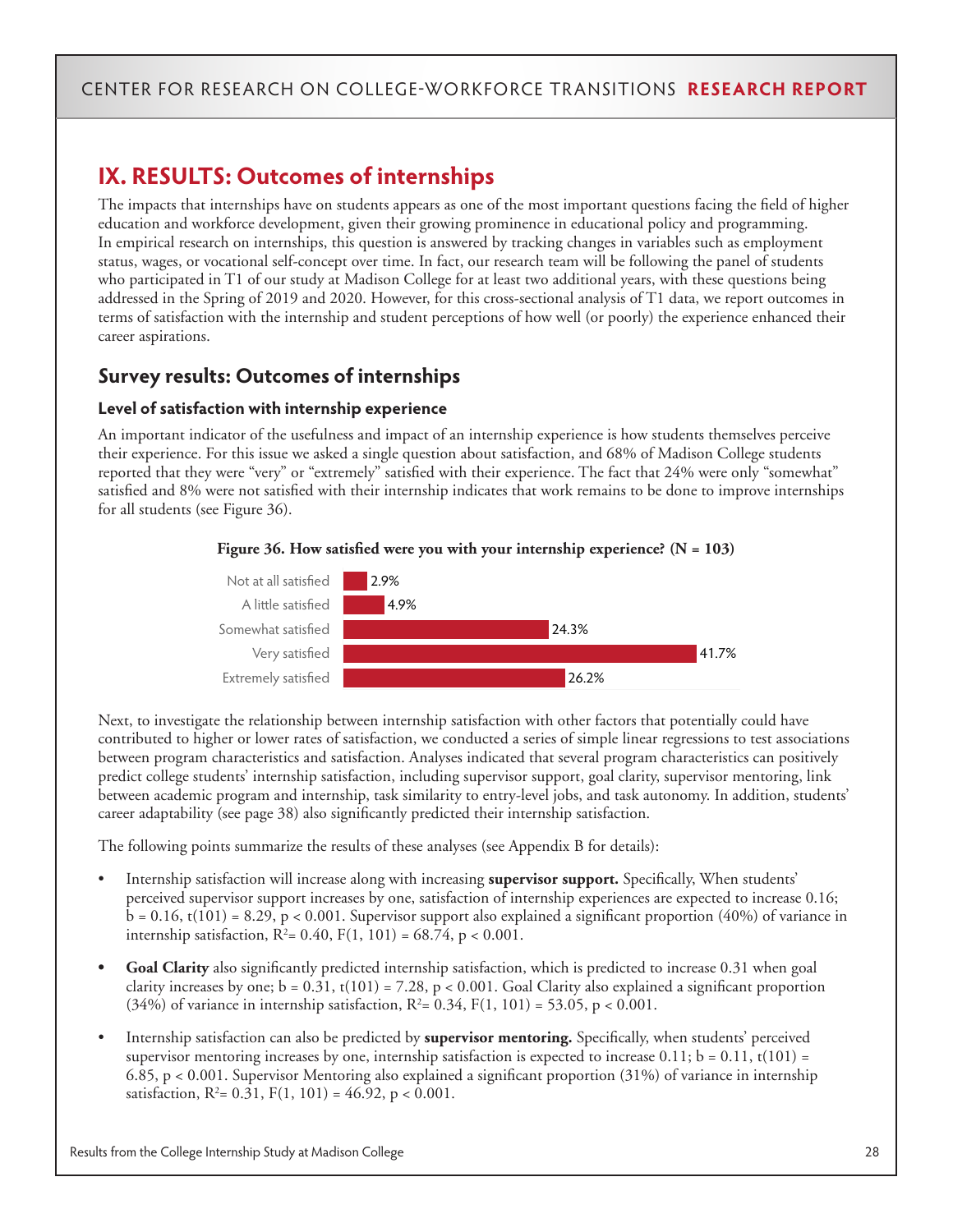# **IX. RESULTS: Outcomes of internships**

The impacts that internships have on students appears as one of the most important questions facing the field of higher education and workforce development, given their growing prominence in educational policy and programming. In empirical research on internships, this question is answered by tracking changes in variables such as employment status, wages, or vocational self-concept over time. In fact, our research team will be following the panel of students who participated in T1 of our study at Madison College for at least two additional years, with these questions being addressed in the Spring of 2019 and 2020. However, for this cross-sectional analysis of T1 data, we report outcomes in terms of satisfaction with the internship and student perceptions of how well (or poorly) the experience enhanced their career aspirations.

### **Survey results: Outcomes of internships**

#### **Level of satisfaction with internship experience**

An important indicator of the usefulness and impact of an internship experience is how students themselves perceive their experience. For this issue we asked a single question about satisfaction, and 68% of Madison College students reported that they were "very" or "extremely" satisfied with their experience. The fact that 24% were only "somewhat" satisfied and 8% were not satisfied with their internship indicates that work remains to be done to improve internships for all students (see Figure 36).





Next, to investigate the relationship between internship satisfaction with other factors that potentially could have contributed to higher or lower rates of satisfaction, we conducted a series of simple linear regressions to test associations between program characteristics and satisfaction. Analyses indicated that several program characteristics can positively predict college students' internship satisfaction, including supervisor support, goal clarity, supervisor mentoring, link between academic program and internship, task similarity to entry-level jobs, and task autonomy. In addition, students' career adaptability (see page 38) also significantly predicted their internship satisfaction.

The following points summarize the results of these analyses (see Appendix B for details):

- Internship satisfaction will increase along with increasing **supervisor support.** Specifically, When students' perceived supervisor support increases by one, satisfaction of internship experiences are expected to increase 0.16;  $b = 0.16$ , t(101) = 8.29, p < 0.001. Supervisor support also explained a significant proportion (40%) of variance in internship satisfaction,  $R^2 = 0.40$ ,  $F(1, 101) = 68.74$ ,  $p < 0.001$ .
- **• Goal Clarity** also significantly predicted internship satisfaction, which is predicted to increase 0.31 when goal clarity increases by one;  $b = 0.31$ ,  $t(101) = 7.28$ ,  $p < 0.001$ . Goal Clarity also explained a significant proportion (34%) of variance in internship satisfaction,  $R^2 = 0.34$ ,  $F(1, 101) = 53.05$ ,  $p < 0.001$ .
- Internship satisfaction can also be predicted by **supervisor mentoring.** Specifically, when students' perceived supervisor mentoring increases by one, internship satisfaction is expected to increase  $0.11$ ;  $b = 0.11$ ,  $t(101) =$ 6.85, p < 0.001. Supervisor Mentoring also explained a significant proportion (31%) of variance in internship satisfaction,  $R^2 = 0.31$ ,  $F(1, 101) = 46.92$ ,  $p < 0.001$ .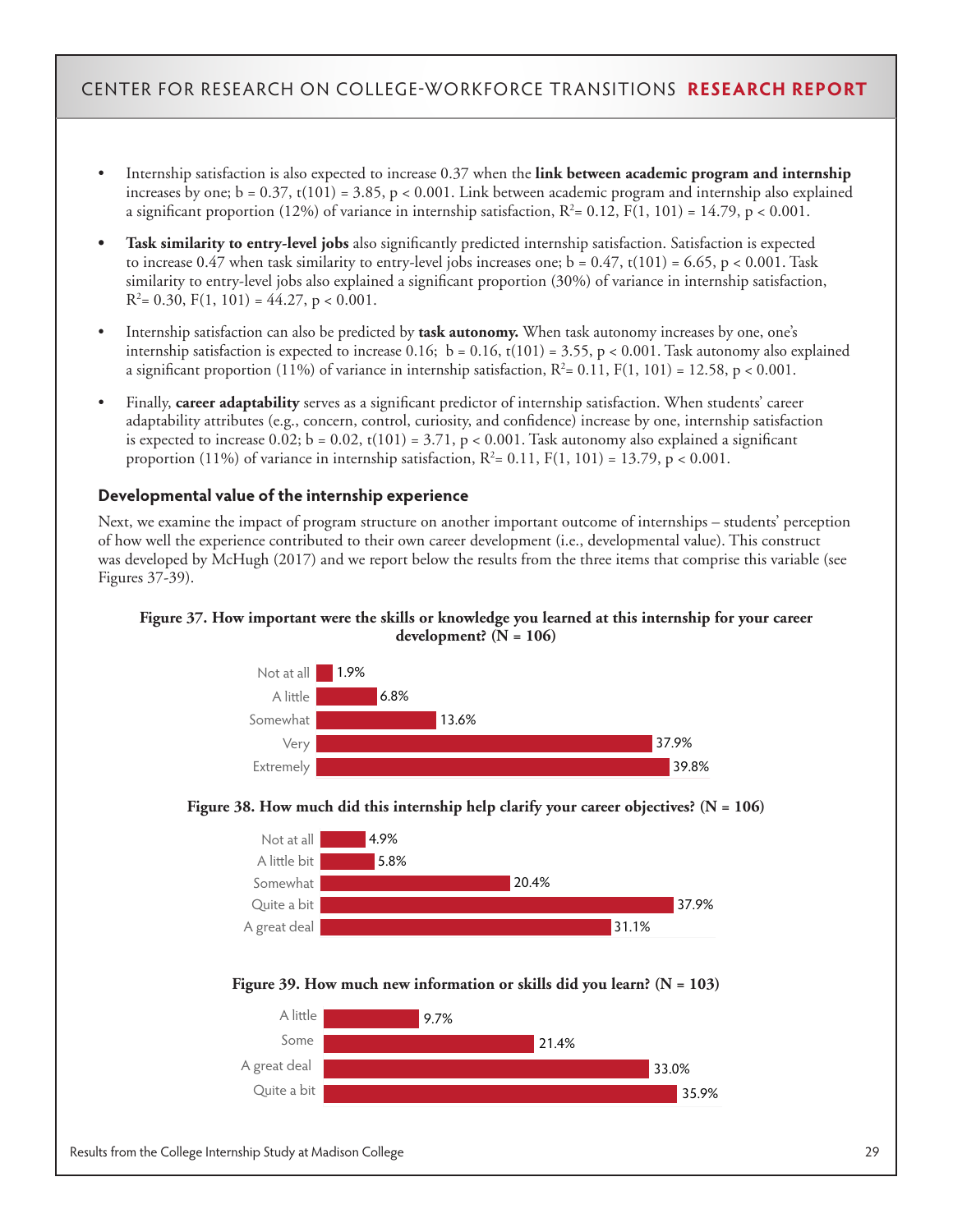- Internship satisfaction is also expected to increase 0.37 when the **link between academic program and internship**  increases by one;  $b = 0.37$ ,  $t(101) = 3.85$ ,  $p < 0.001$ . Link between academic program and internship also explained a significant proportion (12%) of variance in internship satisfaction,  $R^2$ = 0.12, F(1, 101) = 14.79, p < 0.001.
- **• Task similarity to entry-level jobs** also significantly predicted internship satisfaction. Satisfaction is expected to increase 0.47 when task similarity to entry-level jobs increases one;  $b = 0.47$ ,  $t(101) = 6.65$ ,  $p < 0.001$ . Task similarity to entry-level jobs also explained a significant proportion (30%) of variance in internship satisfaction,  $R^2$  = 0.30, F(1, 101) = 44.27, p < 0.001.
- Internship satisfaction can also be predicted by **task autonomy.** When task autonomy increases by one, one's internship satisfaction is expected to increase 0.16; b = 0.16, t(101) = 3.55, p < 0.001. Task autonomy also explained a significant proportion (11%) of variance in internship satisfaction,  $R^2 = 0.11$ ,  $F(1, 101) = 12.58$ ,  $p < 0.001$ .
- Finally, **career adaptability** serves as a significant predictor of internship satisfaction. When students' career adaptability attributes (e.g., concern, control, curiosity, and confidence) increase by one, internship satisfaction is expected to increase  $0.02$ ;  $b = 0.02$ ,  $t(101) = 3.71$ ,  $p < 0.001$ . Task autonomy also explained a significant proportion (11%) of variance in internship satisfaction,  $R^2 = 0.11$ ,  $F(1, 101) = 13.79$ ,  $p < 0.001$ .

#### **Developmental value of the internship experience**

Next, we examine the impact of program structure on another important outcome of internships – students' perception of how well the experience contributed to their own career development (i.e., developmental value). This construct was developed by McHugh (2017) and we report below the results from the three items that comprise this variable (see Figures 37-39).

#### **Figure 37. How important were the skills or knowledge you learned at this internship for your career development? (N = 106)**



#### **Figure 38. How much did this internship help clarify your career objectives? (N = 106)**





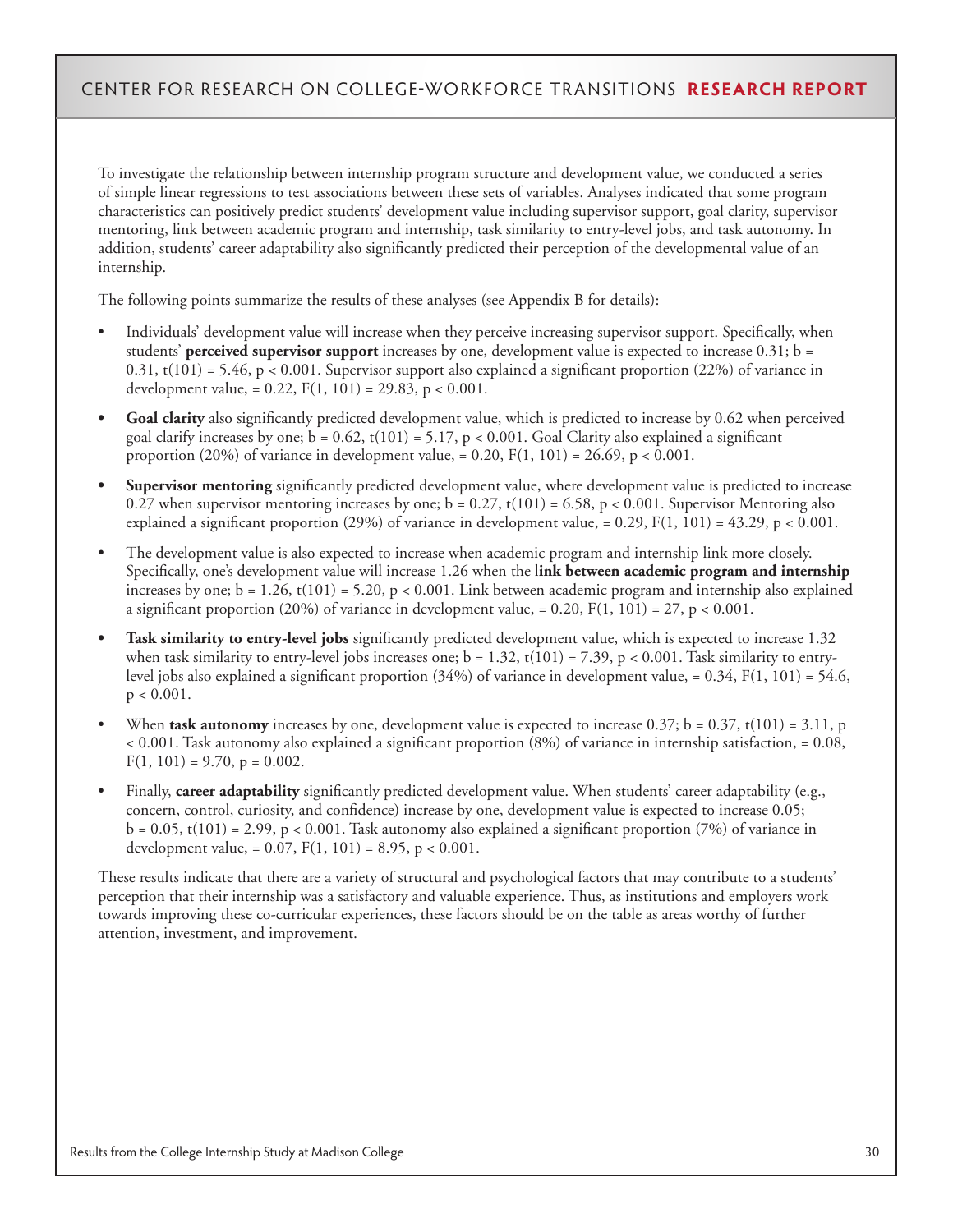To investigate the relationship between internship program structure and development value, we conducted a series of simple linear regressions to test associations between these sets of variables. Analyses indicated that some program characteristics can positively predict students' development value including supervisor support, goal clarity, supervisor mentoring, link between academic program and internship, task similarity to entry-level jobs, and task autonomy. In addition, students' career adaptability also significantly predicted their perception of the developmental value of an internship.

The following points summarize the results of these analyses (see Appendix B for details):

- Individuals' development value will increase when they perceive increasing supervisor support. Specifically, when students' **perceived supervisor support** increases by one, development value is expected to increase 0.31; b = 0.31, t(101) = 5.46, p < 0.001. Supervisor support also explained a significant proportion (22%) of variance in development value, =  $0.22$ ,  $F(1, 101) = 29.83$ , p <  $0.001$ .
- **• Goal clarity** also significantly predicted development value, which is predicted to increase by 0.62 when perceived goal clarify increases by one;  $b = 0.62$ ,  $t(101) = 5.17$ ,  $p < 0.001$ . Goal Clarity also explained a significant proportion (20%) of variance in development value, = 0.20,  $F(1, 101) = 26.69$ , p < 0.001.
- **• Supervisor mentoring** significantly predicted development value, where development value is predicted to increase 0.27 when supervisor mentoring increases by one;  $b = 0.27$ ,  $t(101) = 6.58$ ,  $p < 0.001$ . Supervisor Mentoring also explained a significant proportion (29%) of variance in development value, =  $0.29$ , F(1, 101) =  $43.29$ , p <  $0.001$ .
- The development value is also expected to increase when academic program and internship link more closely. Specifically, one's development value will increase 1.26 when the l**ink between academic program and internship**  increases by one;  $b = 1.26$ ,  $t(101) = 5.20$ ,  $p < 0.001$ . Link between academic program and internship also explained a significant proportion (20%) of variance in development value, = 0.20,  $F(1, 101) = 27$ , p < 0.001.
- **• Task similarity to entry-level jobs** significantly predicted development value, which is expected to increase 1.32 when task similarity to entry-level jobs increases one;  $b = 1.32$ ,  $t(101) = 7.39$ ,  $p < 0.001$ . Task similarity to entrylevel jobs also explained a significant proportion  $(34%)$  of variance in development value, = 0.34, F(1, 101) = 54.6,  $p < 0.001$ .
- When **task autonomy** increases by one, development value is expected to increase  $0.37$ ; b =  $0.37$ , t(101) =  $3.11$ , p < 0.001. Task autonomy also explained a significant proportion (8%) of variance in internship satisfaction, = 0.08,  $F(1, 101) = 9.70, p = 0.002.$
- Finally, **career adaptability** significantly predicted development value. When students' career adaptability (e.g., concern, control, curiosity, and confidence) increase by one, development value is expected to increase 0.05;  $b = 0.05$ , t(101) = 2.99, p < 0.001. Task autonomy also explained a significant proportion (7%) of variance in development value, =  $0.07$ ,  $F(1, 101) = 8.95$ , p <  $0.001$ .

These results indicate that there are a variety of structural and psychological factors that may contribute to a students' perception that their internship was a satisfactory and valuable experience. Thus, as institutions and employers work towards improving these co-curricular experiences, these factors should be on the table as areas worthy of further attention, investment, and improvement.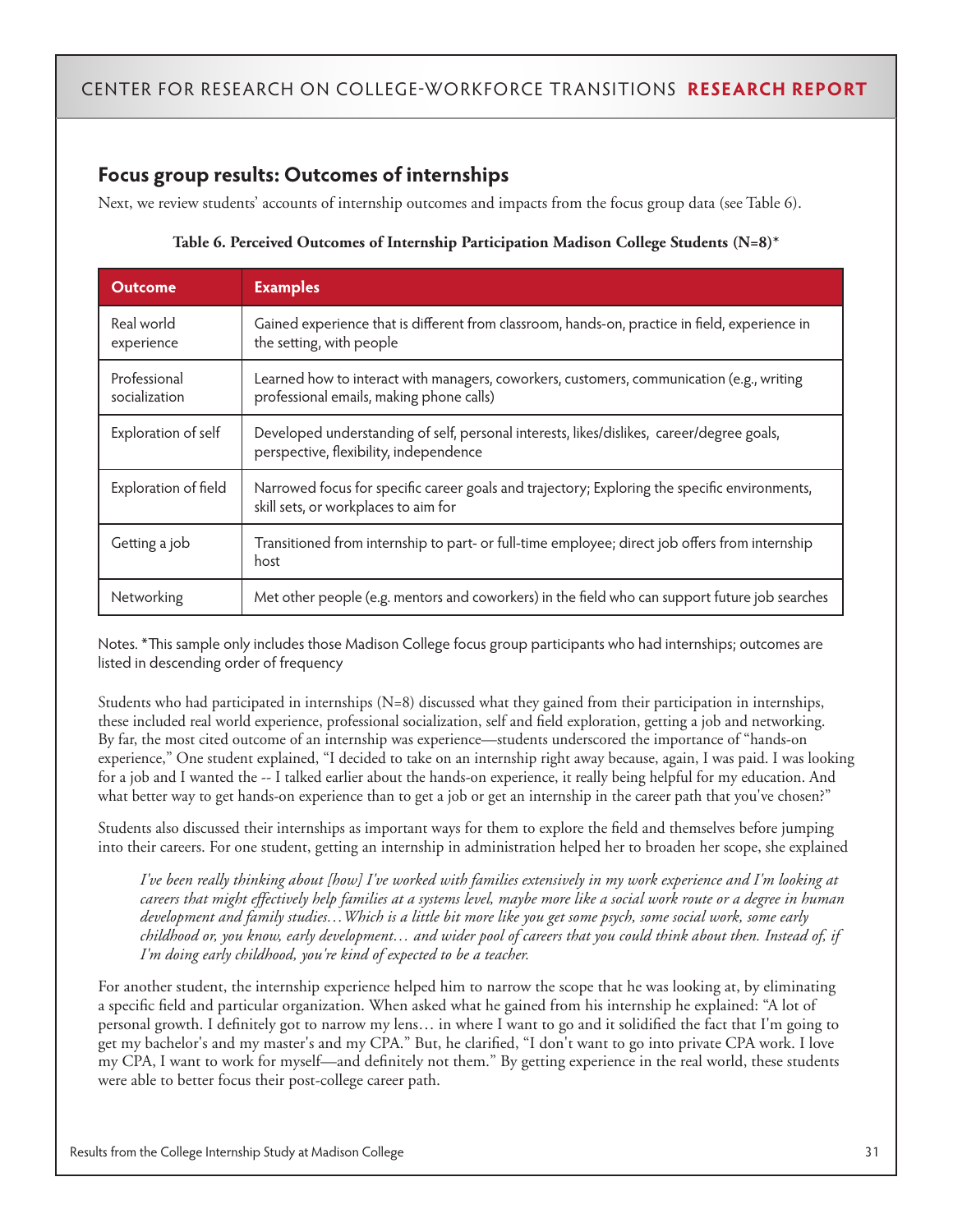### **Focus group results: Outcomes of internships**

Next, we review students' accounts of internship outcomes and impacts from the focus group data (see Table 6).

| <b>Outcome</b>                | <b>Examples</b>                                                                                                                       |
|-------------------------------|---------------------------------------------------------------------------------------------------------------------------------------|
| Real world<br>experience      | Gained experience that is different from classroom, hands-on, practice in field, experience in<br>the setting, with people            |
| Professional<br>socialization | Learned how to interact with managers, coworkers, customers, communication (e.g., writing<br>professional emails, making phone calls) |
| Exploration of self           | Developed understanding of self, personal interests, likes/dislikes, career/degree goals,<br>perspective, flexibility, independence   |
| Exploration of field          | Narrowed focus for specific career goals and trajectory; Exploring the specific environments,<br>skill sets, or workplaces to aim for |
| Getting a job                 | Transitioned from internship to part- or full-time employee; direct job offers from internship<br>host                                |
| Networking                    | Met other people (e.g. mentors and coworkers) in the field who can support future job searches                                        |

#### **Table 6. Perceived Outcomes of Internship Participation Madison College Students (N=8)\***

Notes. \*This sample only includes those Madison College focus group participants who had internships; outcomes are listed in descending order of frequency

Students who had participated in internships (N=8) discussed what they gained from their participation in internships, these included real world experience, professional socialization, self and field exploration, getting a job and networking. By far, the most cited outcome of an internship was experience—students underscored the importance of "hands-on experience," One student explained, "I decided to take on an internship right away because, again, I was paid. I was looking for a job and I wanted the -- I talked earlier about the hands-on experience, it really being helpful for my education. And what better way to get hands-on experience than to get a job or get an internship in the career path that you've chosen?"

Students also discussed their internships as important ways for them to explore the field and themselves before jumping into their careers. For one student, getting an internship in administration helped her to broaden her scope, she explained

*I've been really thinking about [how] I've worked with families extensively in my work experience and I'm looking at careers that might effectively help families at a systems level, maybe more like a social work route or a degree in human development and family studies…Which is a little bit more like you get some psych, some social work, some early childhood or, you know, early development… and wider pool of careers that you could think about then. Instead of, if I'm doing early childhood, you're kind of expected to be a teacher.* 

For another student, the internship experience helped him to narrow the scope that he was looking at, by eliminating a specific field and particular organization. When asked what he gained from his internship he explained: "A lot of personal growth. I definitely got to narrow my lens… in where I want to go and it solidified the fact that I'm going to get my bachelor's and my master's and my CPA." But, he clarified, "I don't want to go into private CPA work. I love my CPA, I want to work for myself—and definitely not them." By getting experience in the real world, these students were able to better focus their post-college career path.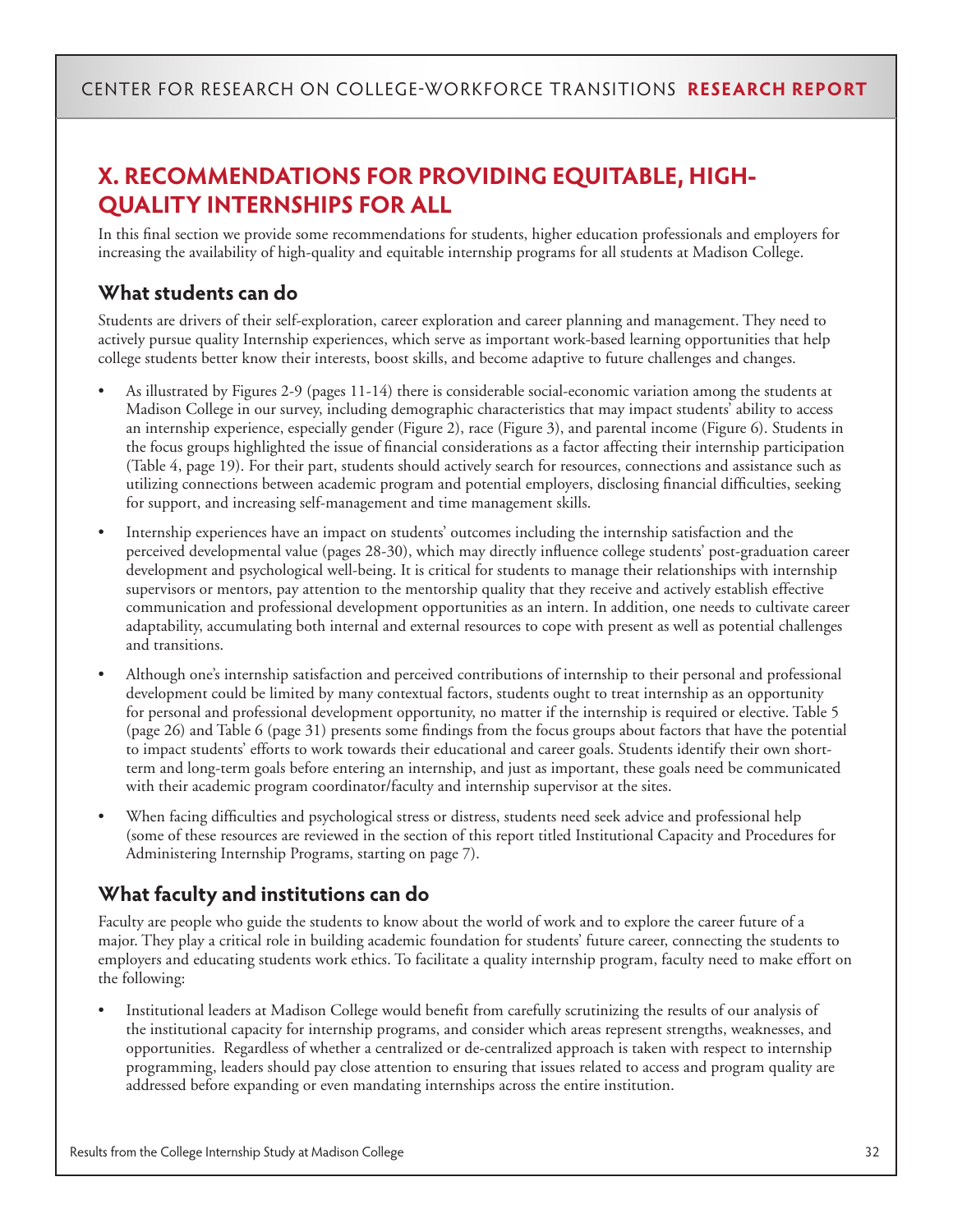# **X. RECOMMENDATIONS FOR PROVIDING EQUITABLE, HIGH-QUALITY INTERNSHIPS FOR ALL**

In this final section we provide some recommendations for students, higher education professionals and employers for increasing the availability of high-quality and equitable internship programs for all students at Madison College.

### **What students can do**

Students are drivers of their self-exploration, career exploration and career planning and management. They need to actively pursue quality Internship experiences, which serve as important work-based learning opportunities that help college students better know their interests, boost skills, and become adaptive to future challenges and changes.

- As illustrated by Figures 2-9 (pages 11-14) there is considerable social-economic variation among the students at Madison College in our survey, including demographic characteristics that may impact students' ability to access an internship experience, especially gender (Figure 2), race (Figure 3), and parental income (Figure 6). Students in the focus groups highlighted the issue of financial considerations as a factor affecting their internship participation (Table 4, page 19). For their part, students should actively search for resources, connections and assistance such as utilizing connections between academic program and potential employers, disclosing financial difficulties, seeking for support, and increasing self-management and time management skills.
- Internship experiences have an impact on students' outcomes including the internship satisfaction and the perceived developmental value (pages 28-30), which may directly influence college students' post-graduation career development and psychological well-being. It is critical for students to manage their relationships with internship supervisors or mentors, pay attention to the mentorship quality that they receive and actively establish effective communication and professional development opportunities as an intern. In addition, one needs to cultivate career adaptability, accumulating both internal and external resources to cope with present as well as potential challenges and transitions.
- Although one's internship satisfaction and perceived contributions of internship to their personal and professional development could be limited by many contextual factors, students ought to treat internship as an opportunity for personal and professional development opportunity, no matter if the internship is required or elective. Table 5 (page 26) and Table 6 (page 31) presents some findings from the focus groups about factors that have the potential to impact students' efforts to work towards their educational and career goals. Students identify their own shortterm and long-term goals before entering an internship, and just as important, these goals need be communicated with their academic program coordinator/faculty and internship supervisor at the sites.
- When facing difficulties and psychological stress or distress, students need seek advice and professional help (some of these resources are reviewed in the section of this report titled Institutional Capacity and Procedures for Administering Internship Programs, starting on page 7).

### **What faculty and institutions can do**

Faculty are people who guide the students to know about the world of work and to explore the career future of a major. They play a critical role in building academic foundation for students' future career, connecting the students to employers and educating students work ethics. To facilitate a quality internship program, faculty need to make effort on the following:

• Institutional leaders at Madison College would benefit from carefully scrutinizing the results of our analysis of the institutional capacity for internship programs, and consider which areas represent strengths, weaknesses, and opportunities. Regardless of whether a centralized or de-centralized approach is taken with respect to internship programming, leaders should pay close attention to ensuring that issues related to access and program quality are addressed before expanding or even mandating internships across the entire institution.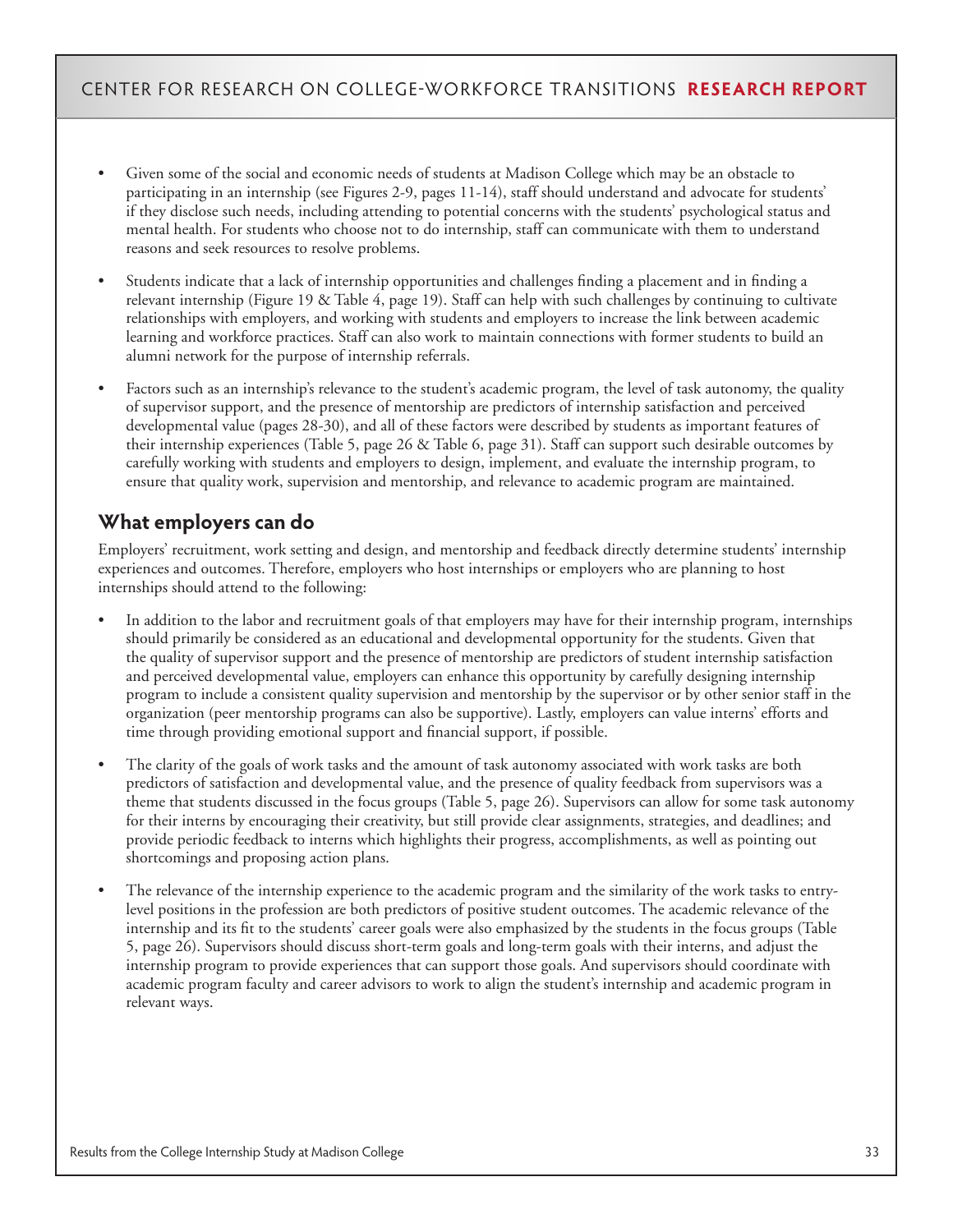- Given some of the social and economic needs of students at Madison College which may be an obstacle to participating in an internship (see Figures 2-9, pages 11-14), staff should understand and advocate for students' if they disclose such needs, including attending to potential concerns with the students' psychological status and mental health. For students who choose not to do internship, staff can communicate with them to understand reasons and seek resources to resolve problems.
- Students indicate that a lack of internship opportunities and challenges finding a placement and in finding a relevant internship (Figure 19 & Table 4, page 19). Staff can help with such challenges by continuing to cultivate relationships with employers, and working with students and employers to increase the link between academic learning and workforce practices. Staff can also work to maintain connections with former students to build an alumni network for the purpose of internship referrals.
- Factors such as an internship's relevance to the student's academic program, the level of task autonomy, the quality of supervisor support, and the presence of mentorship are predictors of internship satisfaction and perceived developmental value (pages 28-30), and all of these factors were described by students as important features of their internship experiences (Table 5, page 26 & Table 6, page 31). Staff can support such desirable outcomes by carefully working with students and employers to design, implement, and evaluate the internship program, to ensure that quality work, supervision and mentorship, and relevance to academic program are maintained.

### **What employers can do**

Employers' recruitment, work setting and design, and mentorship and feedback directly determine students' internship experiences and outcomes. Therefore, employers who host internships or employers who are planning to host internships should attend to the following:

- In addition to the labor and recruitment goals of that employers may have for their internship program, internships should primarily be considered as an educational and developmental opportunity for the students. Given that the quality of supervisor support and the presence of mentorship are predictors of student internship satisfaction and perceived developmental value, employers can enhance this opportunity by carefully designing internship program to include a consistent quality supervision and mentorship by the supervisor or by other senior staff in the organization (peer mentorship programs can also be supportive). Lastly, employers can value interns' efforts and time through providing emotional support and financial support, if possible.
- The clarity of the goals of work tasks and the amount of task autonomy associated with work tasks are both predictors of satisfaction and developmental value, and the presence of quality feedback from supervisors was a theme that students discussed in the focus groups (Table 5, page 26). Supervisors can allow for some task autonomy for their interns by encouraging their creativity, but still provide clear assignments, strategies, and deadlines; and provide periodic feedback to interns which highlights their progress, accomplishments, as well as pointing out shortcomings and proposing action plans.
- The relevance of the internship experience to the academic program and the similarity of the work tasks to entrylevel positions in the profession are both predictors of positive student outcomes. The academic relevance of the internship and its fit to the students' career goals were also emphasized by the students in the focus groups (Table 5, page 26). Supervisors should discuss short-term goals and long-term goals with their interns, and adjust the internship program to provide experiences that can support those goals. And supervisors should coordinate with academic program faculty and career advisors to work to align the student's internship and academic program in relevant ways.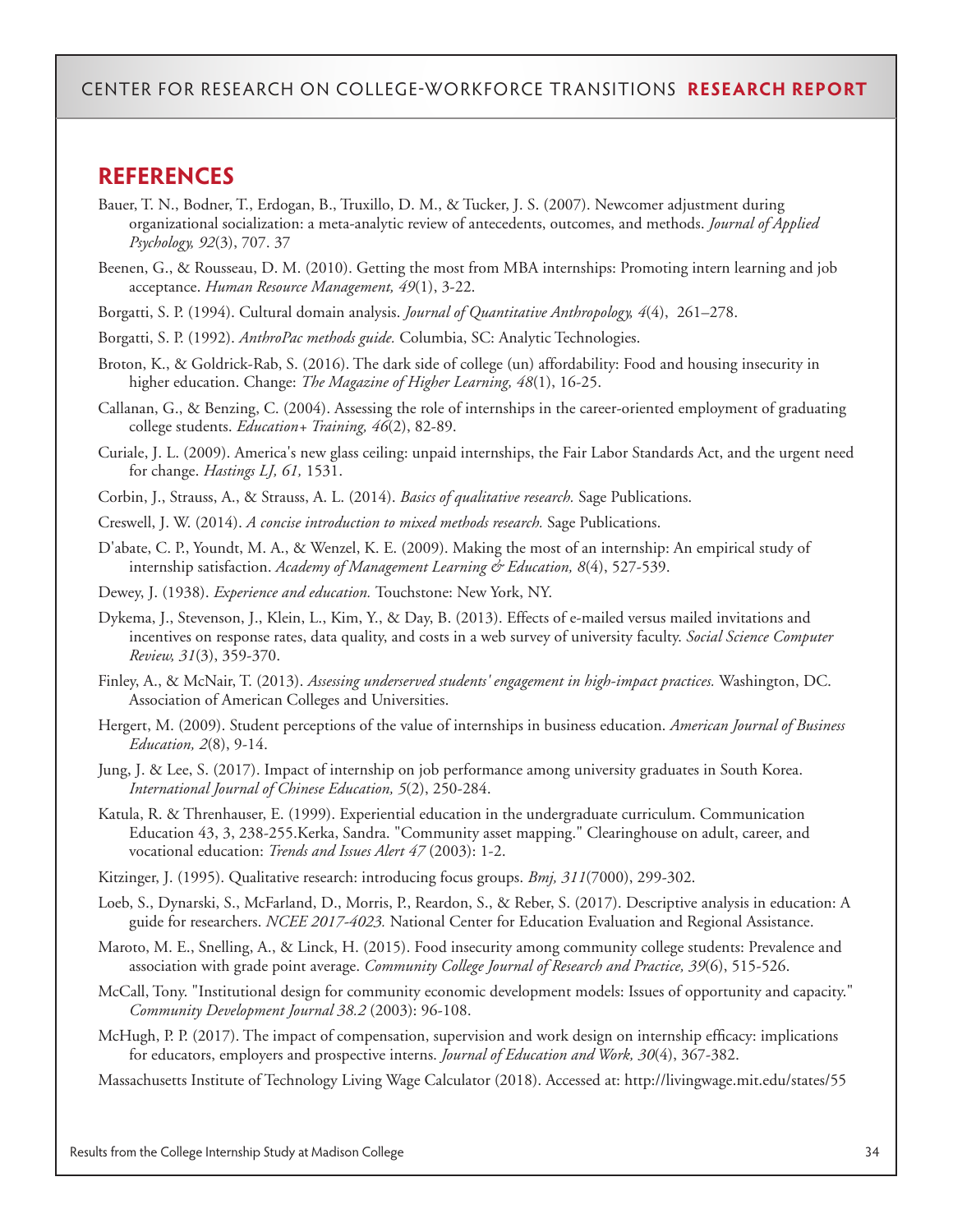### **REFERENCES**

- Bauer, T. N., Bodner, T., Erdogan, B., Truxillo, D. M., & Tucker, J. S. (2007). Newcomer adjustment during organizational socialization: a meta-analytic review of antecedents, outcomes, and methods. *Journal of Applied Psychology, 92*(3), 707. 37
- Beenen, G., & Rousseau, D. M. (2010). Getting the most from MBA internships: Promoting intern learning and job acceptance. *Human Resource Management, 49*(1), 3-22.
- Borgatti, S. P. (1994). Cultural domain analysis. *Journal of Quantitative Anthropology, 4*(4), 261–278.
- Borgatti, S. P. (1992). *AnthroPac methods guide.* Columbia, SC: Analytic Technologies.
- Broton, K., & Goldrick-Rab, S. (2016). The dark side of college (un) affordability: Food and housing insecurity in higher education. Change: *The Magazine of Higher Learning, 48*(1), 16-25.
- Callanan, G., & Benzing, C. (2004). Assessing the role of internships in the career-oriented employment of graduating college students. *Education+ Training, 46*(2), 82-89.
- Curiale, J. L. (2009). America's new glass ceiling: unpaid internships, the Fair Labor Standards Act, and the urgent need for change. *Hastings LJ, 61,* 1531.
- Corbin, J., Strauss, A., & Strauss, A. L. (2014). *Basics of qualitative research.* Sage Publications.
- Creswell, J. W. (2014). *A concise introduction to mixed methods research.* Sage Publications.
- D'abate, C. P., Youndt, M. A., & Wenzel, K. E. (2009). Making the most of an internship: An empirical study of internship satisfaction. *Academy of Management Learning & Education, 8*(4), 527-539.
- Dewey, J. (1938). *Experience and education.* Touchstone: New York, NY.
- Dykema, J., Stevenson, J., Klein, L., Kim, Y., & Day, B. (2013). Effects of e-mailed versus mailed invitations and incentives on response rates, data quality, and costs in a web survey of university faculty. *Social Science Computer Review, 31*(3), 359-370.
- Finley, A., & McNair, T. (2013). *Assessing underserved students' engagement in high-impact practices.* Washington, DC. Association of American Colleges and Universities.
- Hergert, M. (2009). Student perceptions of the value of internships in business education. *American Journal of Business Education, 2*(8), 9-14.
- Jung, J. & Lee, S. (2017). Impact of internship on job performance among university graduates in South Korea. *International Journal of Chinese Education, 5*(2), 250-284.
- Katula, R. & Threnhauser, E. (1999). Experiential education in the undergraduate curriculum. Communication Education 43, 3, 238-255.Kerka, Sandra. "Community asset mapping." Clearinghouse on adult, career, and vocational education: *Trends and Issues Alert 47* (2003): 1-2.
- Kitzinger, J. (1995). Qualitative research: introducing focus groups. *Bmj, 311*(7000), 299-302.
- Loeb, S., Dynarski, S., McFarland, D., Morris, P., Reardon, S., & Reber, S. (2017). Descriptive analysis in education: A guide for researchers. *NCEE 2017-4023.* National Center for Education Evaluation and Regional Assistance.
- Maroto, M. E., Snelling, A., & Linck, H. (2015). Food insecurity among community college students: Prevalence and association with grade point average. *Community College Journal of Research and Practice, 39*(6), 515-526.
- McCall, Tony. "Institutional design for community economic development models: Issues of opportunity and capacity." *Community Development Journal 38.2* (2003): 96-108.
- McHugh, P. P. (2017). The impact of compensation, supervision and work design on internship efficacy: implications for educators, employers and prospective interns. *Journal of Education and Work, 30*(4), 367-382.

Massachusetts Institute of Technology Living Wage Calculator (2018). Accessed at: http://livingwage.mit.edu/states/55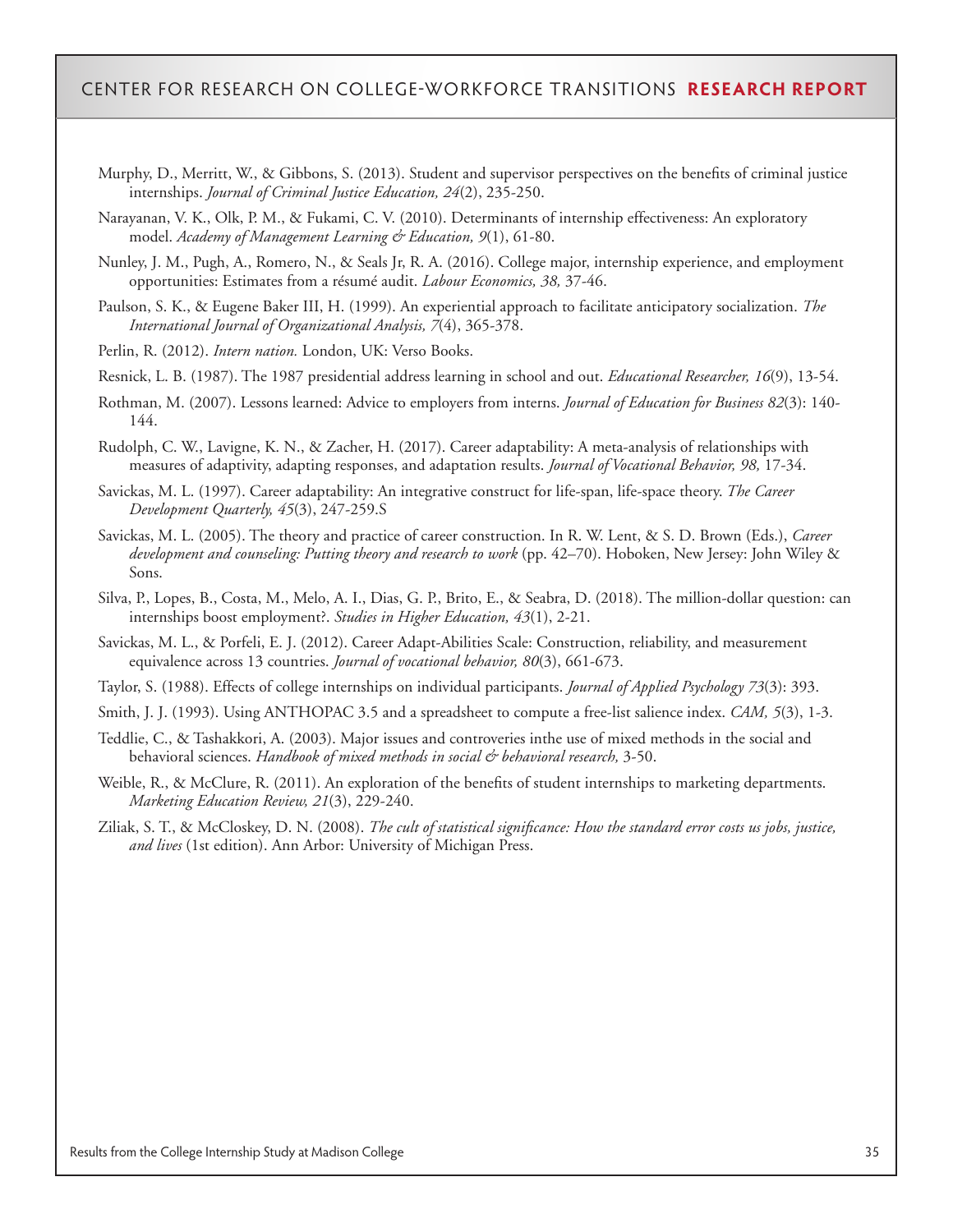- Murphy, D., Merritt, W., & Gibbons, S. (2013). Student and supervisor perspectives on the benefits of criminal justice internships. *Journal of Criminal Justice Education, 24*(2), 235-250.
- Narayanan, V. K., Olk, P. M., & Fukami, C. V. (2010). Determinants of internship effectiveness: An exploratory model. *Academy of Management Learning & Education, 9*(1), 61-80.
- Nunley, J. M., Pugh, A., Romero, N., & Seals Jr, R. A. (2016). College major, internship experience, and employment opportunities: Estimates from a résumé audit. *Labour Economics, 38,* 37-46.
- Paulson, S. K., & Eugene Baker III, H. (1999). An experiential approach to facilitate anticipatory socialization. *The International Journal of Organizational Analysis, 7*(4), 365-378.
- Perlin, R. (2012). *Intern nation.* London, UK: Verso Books.
- Resnick, L. B. (1987). The 1987 presidential address learning in school and out. *Educational Researcher, 16*(9), 13-54.
- Rothman, M. (2007). Lessons learned: Advice to employers from interns. *Journal of Education for Business 82*(3): 140- 144.
- Rudolph, C. W., Lavigne, K. N., & Zacher, H. (2017). Career adaptability: A meta-analysis of relationships with measures of adaptivity, adapting responses, and adaptation results. *Journal of Vocational Behavior, 98,* 17-34.
- Savickas, M. L. (1997). Career adaptability: An integrative construct for life-span, life-space theory. *The Career Development Quarterly, 45*(3), 247-259.S
- Savickas, M. L. (2005). The theory and practice of career construction. In R. W. Lent, & S. D. Brown (Eds.), *Career development and counseling: Putting theory and research to work* (pp. 42–70). Hoboken, New Jersey: John Wiley & Sons.
- Silva, P., Lopes, B., Costa, M., Melo, A. I., Dias, G. P., Brito, E., & Seabra, D. (2018). The million-dollar question: can internships boost employment?. *Studies in Higher Education, 43*(1), 2-21.
- Savickas, M. L., & Porfeli, E. J. (2012). Career Adapt-Abilities Scale: Construction, reliability, and measurement equivalence across 13 countries. *Journal of vocational behavior, 80*(3), 661-673.
- Taylor, S. (1988). Effects of college internships on individual participants. *Journal of Applied Psychology 73*(3): 393.
- Smith, J. J. (1993). Using ANTHOPAC 3.5 and a spreadsheet to compute a free-list salience index. *CAM, 5*(3), 1-3.
- Teddlie, C., & Tashakkori, A. (2003). Major issues and controveries inthe use of mixed methods in the social and behavioral sciences. *Handbook of mixed methods in social & behavioral research,* 3-50.
- Weible, R., & McClure, R. (2011). An exploration of the benefits of student internships to marketing departments. *Marketing Education Review, 21*(3), 229-240.
- Ziliak, S. T., & McCloskey, D. N. (2008). *The cult of statistical significance: How the standard error costs us jobs, justice, and lives* (1st edition). Ann Arbor: University of Michigan Press.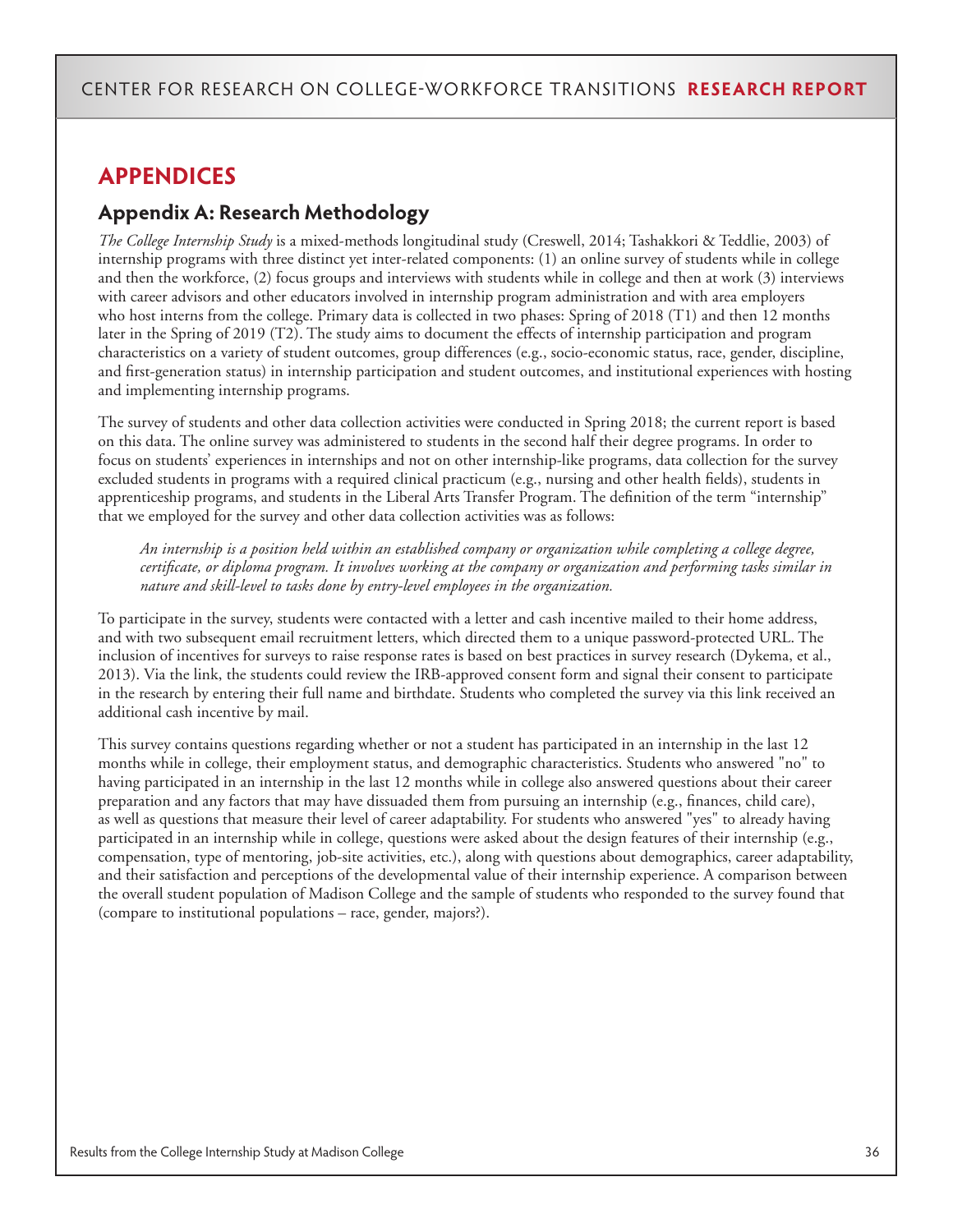# **APPENDICES**

### **Appendix A: Research Methodology**

*The College Internship Study* is a mixed-methods longitudinal study (Creswell, 2014; Tashakkori & Teddlie, 2003) of internship programs with three distinct yet inter-related components: (1) an online survey of students while in college and then the workforce, (2) focus groups and interviews with students while in college and then at work (3) interviews with career advisors and other educators involved in internship program administration and with area employers who host interns from the college. Primary data is collected in two phases: Spring of 2018 (T1) and then 12 months later in the Spring of 2019 (T2). The study aims to document the effects of internship participation and program characteristics on a variety of student outcomes, group differences (e.g., socio-economic status, race, gender, discipline, and first-generation status) in internship participation and student outcomes, and institutional experiences with hosting and implementing internship programs.

The survey of students and other data collection activities were conducted in Spring 2018; the current report is based on this data. The online survey was administered to students in the second half their degree programs. In order to focus on students' experiences in internships and not on other internship-like programs, data collection for the survey excluded students in programs with a required clinical practicum (e.g., nursing and other health fields), students in apprenticeship programs, and students in the Liberal Arts Transfer Program. The definition of the term "internship" that we employed for the survey and other data collection activities was as follows:

*An internship is a position held within an established company or organization while completing a college degree, certificate, or diploma program. It involves working at the company or organization and performing tasks similar in nature and skill-level to tasks done by entry-level employees in the organization.*

To participate in the survey, students were contacted with a letter and cash incentive mailed to their home address, and with two subsequent email recruitment letters, which directed them to a unique password-protected URL. The inclusion of incentives for surveys to raise response rates is based on best practices in survey research (Dykema, et al., 2013). Via the link, the students could review the IRB-approved consent form and signal their consent to participate in the research by entering their full name and birthdate. Students who completed the survey via this link received an additional cash incentive by mail.

This survey contains questions regarding whether or not a student has participated in an internship in the last 12 months while in college, their employment status, and demographic characteristics. Students who answered "no" to having participated in an internship in the last 12 months while in college also answered questions about their career preparation and any factors that may have dissuaded them from pursuing an internship (e.g., finances, child care), as well as questions that measure their level of career adaptability. For students who answered "yes" to already having participated in an internship while in college, questions were asked about the design features of their internship (e.g., compensation, type of mentoring, job-site activities, etc.), along with questions about demographics, career adaptability, and their satisfaction and perceptions of the developmental value of their internship experience. A comparison between the overall student population of Madison College and the sample of students who responded to the survey found that (compare to institutional populations – race, gender, majors?).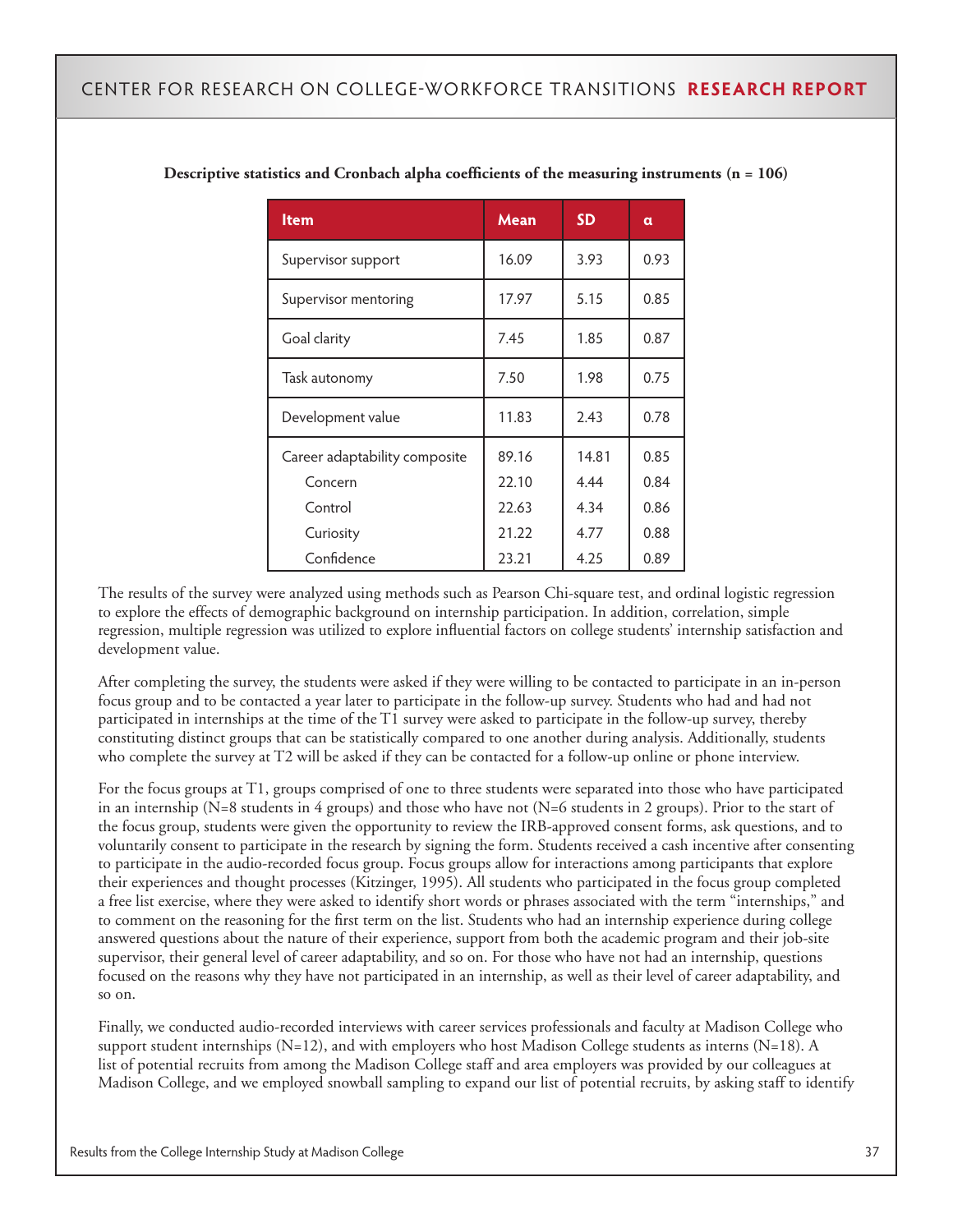| <b>Item</b>                   | Mean  | <b>SD</b> | α    |
|-------------------------------|-------|-----------|------|
| Supervisor support            | 16.09 | 3.93      | 0.93 |
| Supervisor mentoring          | 17.97 | 5.15      | 0.85 |
| Goal clarity                  | 7.45  | 1.85      | 0.87 |
| Task autonomy                 | 7.50  | 1.98      | 0.75 |
| Development value             | 11.83 | 2.43      | 0.78 |
| Career adaptability composite | 89.16 | 14.81     | 0.85 |
| Concern                       | 22.10 | 4.44      | 0.84 |
| Control                       | 22.63 | 4.34      | 0.86 |
| Curiosity                     | 21.22 | 4.77      | 0.88 |
| Confidence                    | 23.21 | 4.25      | 0.89 |

#### **Descriptive statistics and Cronbach alpha coefficients of the measuring instruments (n = 106)**

The results of the survey were analyzed using methods such as Pearson Chi-square test, and ordinal logistic regression to explore the effects of demographic background on internship participation. In addition, correlation, simple regression, multiple regression was utilized to explore influential factors on college students' internship satisfaction and development value.

After completing the survey, the students were asked if they were willing to be contacted to participate in an in-person focus group and to be contacted a year later to participate in the follow-up survey. Students who had and had not participated in internships at the time of the T1 survey were asked to participate in the follow-up survey, thereby constituting distinct groups that can be statistically compared to one another during analysis. Additionally, students who complete the survey at T2 will be asked if they can be contacted for a follow-up online or phone interview.

For the focus groups at T1, groups comprised of one to three students were separated into those who have participated in an internship (N=8 students in 4 groups) and those who have not (N=6 students in 2 groups). Prior to the start of the focus group, students were given the opportunity to review the IRB-approved consent forms, ask questions, and to voluntarily consent to participate in the research by signing the form. Students received a cash incentive after consenting to participate in the audio-recorded focus group. Focus groups allow for interactions among participants that explore their experiences and thought processes (Kitzinger, 1995). All students who participated in the focus group completed a free list exercise, where they were asked to identify short words or phrases associated with the term "internships," and to comment on the reasoning for the first term on the list. Students who had an internship experience during college answered questions about the nature of their experience, support from both the academic program and their job-site supervisor, their general level of career adaptability, and so on. For those who have not had an internship, questions focused on the reasons why they have not participated in an internship, as well as their level of career adaptability, and so on.

Finally, we conducted audio-recorded interviews with career services professionals and faculty at Madison College who support student internships  $(N=12)$ , and with employers who host Madison College students as interns  $(N=18)$ . A list of potential recruits from among the Madison College staff and area employers was provided by our colleagues at Madison College, and we employed snowball sampling to expand our list of potential recruits, by asking staff to identify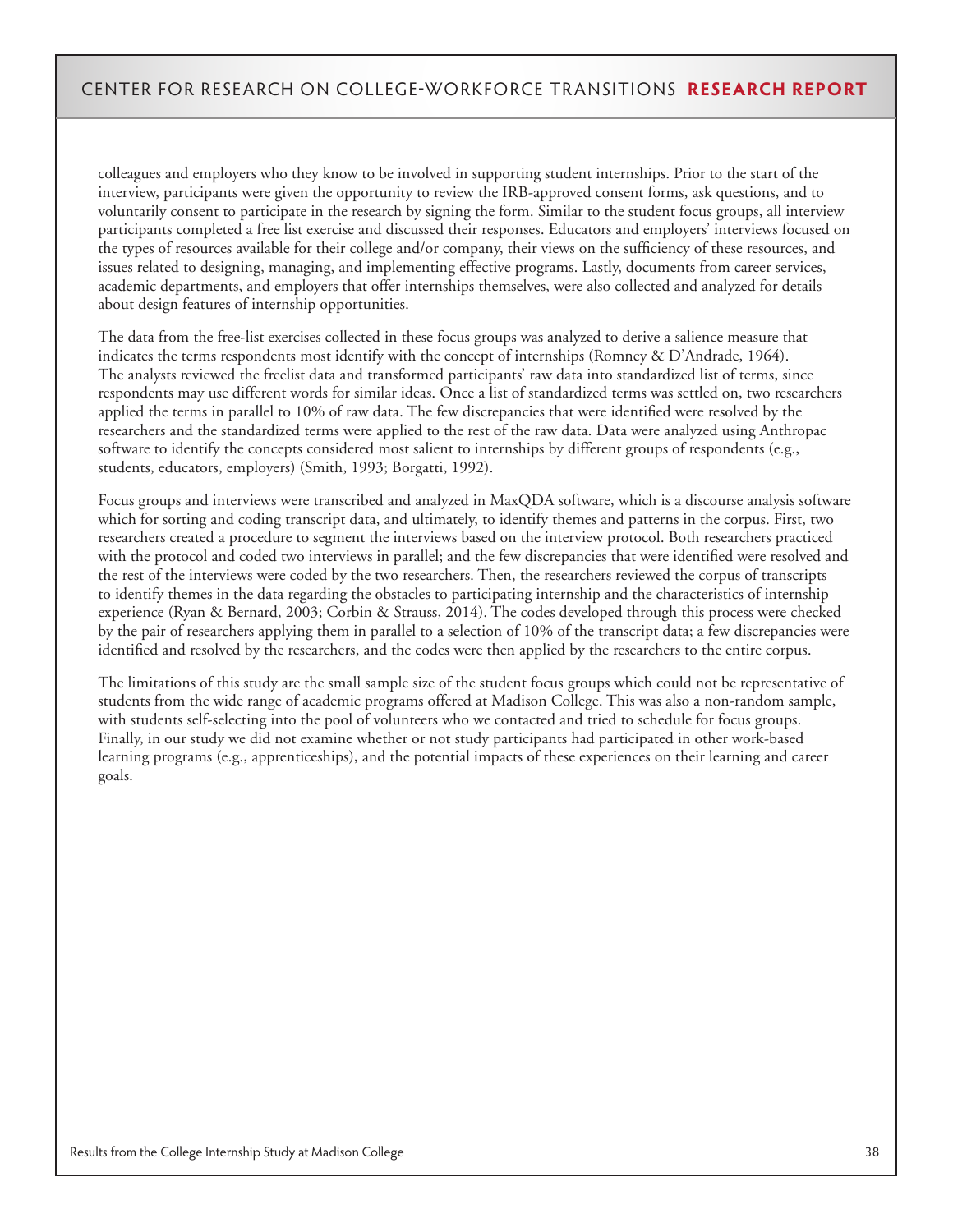colleagues and employers who they know to be involved in supporting student internships. Prior to the start of the interview, participants were given the opportunity to review the IRB-approved consent forms, ask questions, and to voluntarily consent to participate in the research by signing the form. Similar to the student focus groups, all interview participants completed a free list exercise and discussed their responses. Educators and employers' interviews focused on the types of resources available for their college and/or company, their views on the sufficiency of these resources, and issues related to designing, managing, and implementing effective programs. Lastly, documents from career services, academic departments, and employers that offer internships themselves, were also collected and analyzed for details about design features of internship opportunities.

The data from the free-list exercises collected in these focus groups was analyzed to derive a salience measure that indicates the terms respondents most identify with the concept of internships (Romney & D'Andrade, 1964). The analysts reviewed the freelist data and transformed participants' raw data into standardized list of terms, since respondents may use different words for similar ideas. Once a list of standardized terms was settled on, two researchers applied the terms in parallel to 10% of raw data. The few discrepancies that were identified were resolved by the researchers and the standardized terms were applied to the rest of the raw data. Data were analyzed using Anthropac software to identify the concepts considered most salient to internships by different groups of respondents (e.g., students, educators, employers) (Smith, 1993; Borgatti, 1992).

Focus groups and interviews were transcribed and analyzed in MaxQDA software, which is a discourse analysis software which for sorting and coding transcript data, and ultimately, to identify themes and patterns in the corpus. First, two researchers created a procedure to segment the interviews based on the interview protocol. Both researchers practiced with the protocol and coded two interviews in parallel; and the few discrepancies that were identified were resolved and the rest of the interviews were coded by the two researchers. Then, the researchers reviewed the corpus of transcripts to identify themes in the data regarding the obstacles to participating internship and the characteristics of internship experience (Ryan & Bernard, 2003; Corbin & Strauss, 2014). The codes developed through this process were checked by the pair of researchers applying them in parallel to a selection of 10% of the transcript data; a few discrepancies were identified and resolved by the researchers, and the codes were then applied by the researchers to the entire corpus.

The limitations of this study are the small sample size of the student focus groups which could not be representative of students from the wide range of academic programs offered at Madison College. This was also a non-random sample, with students self-selecting into the pool of volunteers who we contacted and tried to schedule for focus groups. Finally, in our study we did not examine whether or not study participants had participated in other work-based learning programs (e.g., apprenticeships), and the potential impacts of these experiences on their learning and career goals.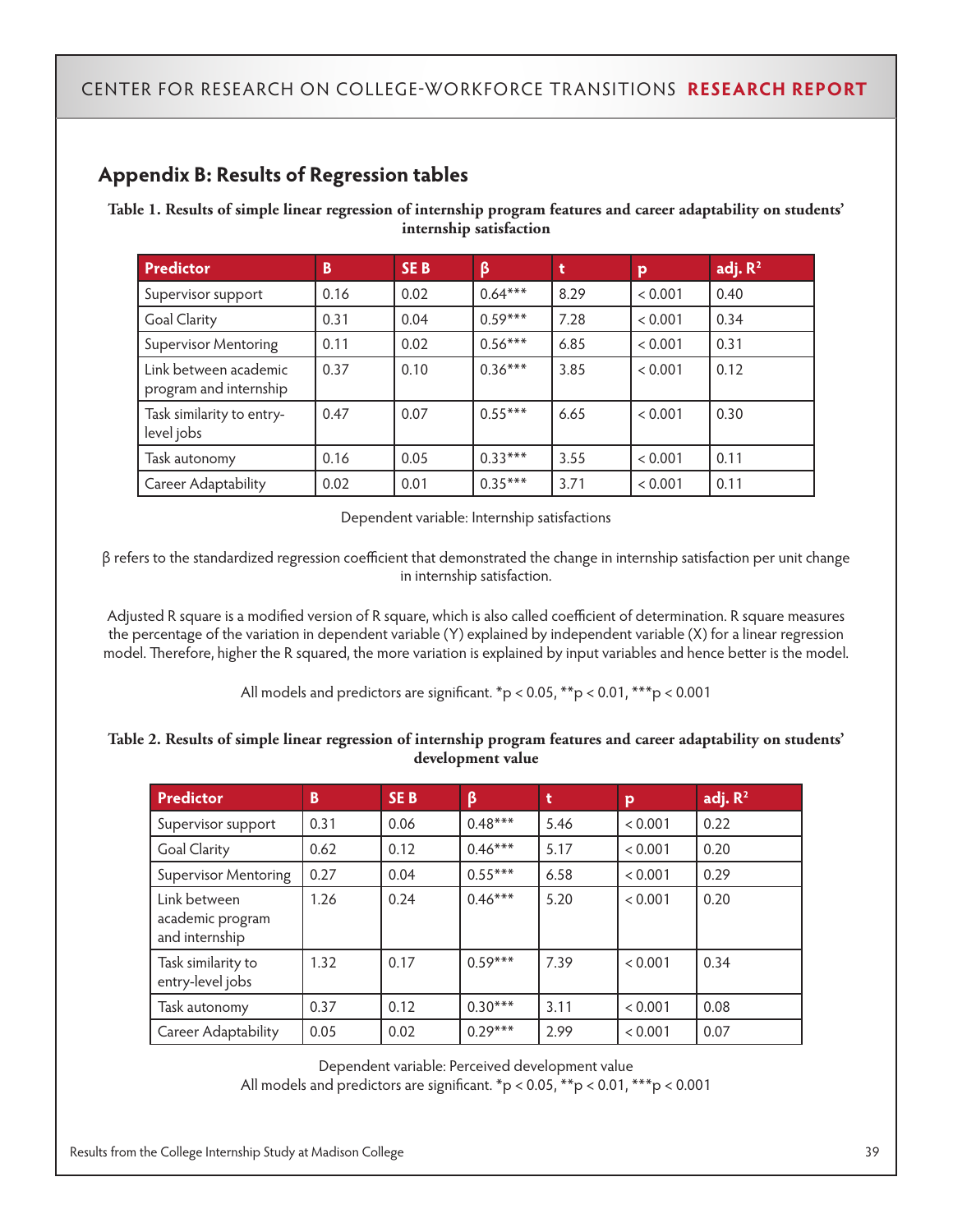# **Appendix B: Results of Regression tables**

**Table 1. Results of simple linear regression of internship program features and career adaptability on students' internship satisfaction**

| <b>Predictor</b>                                | B    | SE <sub>B</sub> | β         | t    | p       | adj. $R2$ |
|-------------------------------------------------|------|-----------------|-----------|------|---------|-----------|
| Supervisor support                              | 0.16 | 0.02            | $0.64***$ | 8.29 | < 0.001 | 0.40      |
| <b>Goal Clarity</b>                             | 0.31 | 0.04            | $0.59***$ | 7.28 | < 0.001 | 0.34      |
| <b>Supervisor Mentoring</b>                     | 0.11 | 0.02            | $0.56***$ | 6.85 | < 0.001 | 0.31      |
| Link between academic<br>program and internship | 0.37 | 0.10            | $0.36***$ | 3.85 | < 0.001 | 0.12      |
| Task similarity to entry-<br>level jobs         | 0.47 | 0.07            | $0.55***$ | 6.65 | < 0.001 | 0.30      |
| Task autonomy                                   | 0.16 | 0.05            | $0.33***$ | 3.55 | < 0.001 | 0.11      |
| <b>Career Adaptability</b>                      | 0.02 | 0.01            | $0.35***$ | 3.71 | < 0.001 | 0.11      |

Dependent variable: Internship satisfactions

β refers to the standardized regression coefficient that demonstrated the change in internship satisfaction per unit change in internship satisfaction.

Adjusted R square is a modified version of R square, which is also called coefficient of determination. R square measures the percentage of the variation in dependent variable (Y) explained by independent variable (X) for a linear regression model. Therefore, higher the R squared, the more variation is explained by input variables and hence better is the model.

All models and predictors are significant. \*p < 0.05, \*\*p < 0.01, \*\*\*p < 0.001

#### **Table 2. Results of simple linear regression of internship program features and career adaptability on students' development value**

| Predictor                                          | B    | <b>SEB</b> | ß         | t    | p       | adj. $R2$ |
|----------------------------------------------------|------|------------|-----------|------|---------|-----------|
| Supervisor support                                 | 0.31 | 0.06       | $0.48***$ | 5.46 | < 0.001 | 0.22      |
| <b>Goal Clarity</b>                                | 0.62 | 0.12       | $0.46***$ | 5.17 | < 0.001 | 0.20      |
| <b>Supervisor Mentoring</b>                        | 0.27 | 0.04       | $0.55***$ | 6.58 | < 0.001 | 0.29      |
| Link between<br>academic program<br>and internship | 1.26 | 0.24       | $0.46***$ | 5.20 | < 0.001 | 0.20      |
| Task similarity to<br>entry-level jobs             | 1.32 | 0.17       | $0.59***$ | 7.39 | < 0.001 | 0.34      |
| Task autonomy                                      | 0.37 | 0.12       | $0.30***$ | 3.11 | < 0.001 | 0.08      |
| Career Adaptability                                | 0.05 | 0.02       | $0.29***$ | 2.99 | < 0.001 | 0.07      |

Dependent variable: Perceived development value

All models and predictors are significant. \*p < 0.05, \*\*p < 0.01, \*\*\*p < 0.001

Results from the College Internship Study at Madison College 39